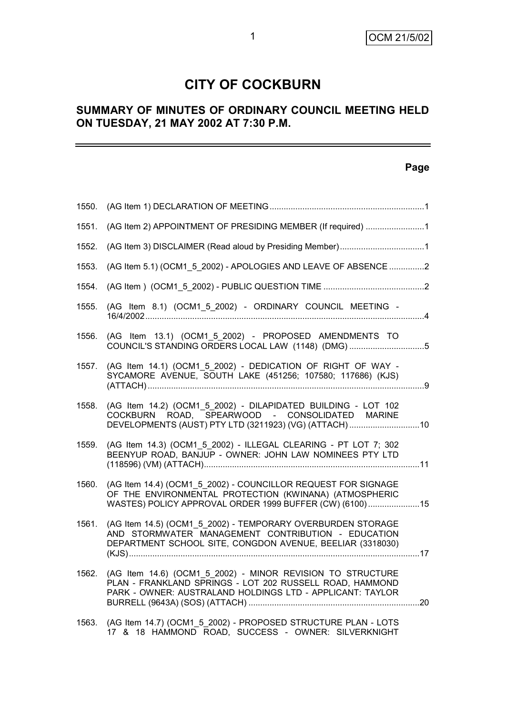# **CITY OF COCKBURN**

# **SUMMARY OF MINUTES OF ORDINARY COUNCIL MEETING HELD ON TUESDAY, 21 MAY 2002 AT 7:30 P.M.**

# **Page**

| 1550. |                                                                                                                                                                                     |  |
|-------|-------------------------------------------------------------------------------------------------------------------------------------------------------------------------------------|--|
| 1551. | (AG Item 2) APPOINTMENT OF PRESIDING MEMBER (If required) 1                                                                                                                         |  |
| 1552. |                                                                                                                                                                                     |  |
| 1553. | (AG Item 5.1) (OCM1_5_2002) - APOLOGIES AND LEAVE OF ABSENCE 2                                                                                                                      |  |
| 1554. |                                                                                                                                                                                     |  |
| 1555. | (AG Item 8.1) (OCM1_5_2002) - ORDINARY COUNCIL MEETING -                                                                                                                            |  |
| 1556. | (AG Item 13.1) (OCM1_5_2002) - PROPOSED AMENDMENTS TO<br>COUNCIL'S STANDING ORDERS LOCAL LAW (1148) (DMG)5                                                                          |  |
| 1557. | (AG Item 14.1) (OCM1_5_2002) - DEDICATION OF RIGHT OF WAY -<br>SYCAMORE AVENUE, SOUTH LAKE (451256; 107580; 117686) (KJS)                                                           |  |
| 1558. | (AG Item 14.2) (OCM1 5 2002) - DILAPIDATED BUILDING - LOT 102<br>COCKBURN ROAD, SPEARWOOD - CONSOLIDATED MARINE<br>DEVELOPMENTS (AUST) PTY LTD (3211923) (VG) (ATTACH) 10           |  |
| 1559. | (AG Item 14.3) (OCM1 5 2002) - ILLEGAL CLEARING - PT LOT 7; 302<br>BEENYUP ROAD, BANJUP - OWNER: JOHN LAW NOMINEES PTY LTD                                                          |  |
| 1560. | (AG Item 14.4) (OCM1 5 2002) - COUNCILLOR REQUEST FOR SIGNAGE<br>OF THE ENVIRONMENTAL PROTECTION (KWINANA) (ATMOSPHERIC<br>WASTES) POLICY APPROVAL ORDER 1999 BUFFER (CW) (6100)15  |  |
| 1561. | (AG Item 14.5) (OCM1 5 2002) - TEMPORARY OVERBURDEN STORAGE<br>AND STORMWATER MANAGEMENT CONTRIBUTION - EDUCATION<br>DEPARTMENT SCHOOL SITE, CONGDON AVENUE, BEELIAR (3318030)      |  |
| 1562. | (AG Item 14.6) (OCM1 5 2002) - MINOR REVISION TO STRUCTURE<br>PLAN - FRANKLAND SPRINGS - LOT 202 RUSSELL ROAD, HAMMOND<br>PARK - OWNER: AUSTRALAND HOLDINGS LTD - APPLICANT: TAYLOR |  |
| 1563. | (AG Item 14.7) (OCM1 5 2002) - PROPOSED STRUCTURE PLAN - LOTS<br>17 & 18 HAMMOND ROAD, SUCCESS - OWNER: SILVERKNIGHT                                                                |  |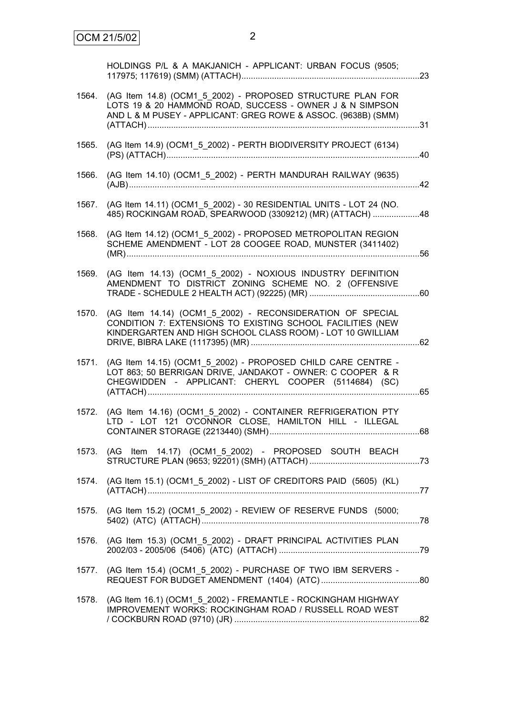|       | HOLDINGS P/L & A MAKJANICH - APPLICANT: URBAN FOCUS (9505;                                                                                                                              |  |
|-------|-----------------------------------------------------------------------------------------------------------------------------------------------------------------------------------------|--|
| 1564. | (AG Item 14.8) (OCM1_5_2002) - PROPOSED STRUCTURE PLAN FOR<br>LOTS 19 & 20 HAMMOND ROAD, SUCCESS - OWNER J & N SIMPSON<br>AND L & M PUSEY - APPLICANT: GREG ROWE & ASSOC. (9638B) (SMM) |  |
| 1565. | (AG Item 14.9) (OCM1_5_2002) - PERTH BIODIVERSITY PROJECT (6134)                                                                                                                        |  |
| 1566. | (AG Item 14.10) (OCM1_5_2002) - PERTH MANDURAH RAILWAY (9635)                                                                                                                           |  |
| 1567. | (AG Item 14.11) (OCM1_5_2002) - 30 RESIDENTIAL UNITS - LOT 24 (NO.<br>485) ROCKINGAM ROAD, SPEARWOOD (3309212) (MR) (ATTACH) 48                                                         |  |
| 1568. | (AG Item 14.12) (OCM1_5_2002) - PROPOSED METROPOLITAN REGION<br>SCHEME AMENDMENT - LOT 28 COOGEE ROAD, MUNSTER (3411402)                                                                |  |
| 1569. | (AG Item 14.13) (OCM1_5_2002) - NOXIOUS INDUSTRY DEFINITION<br>AMENDMENT TO DISTRICT ZONING SCHEME NO. 2 (OFFENSIVE                                                                     |  |
| 1570. | (AG Item 14.14) (OCM1 5 2002) - RECONSIDERATION OF SPECIAL<br>CONDITION 7: EXTENSIONS TO EXISTING SCHOOL FACILITIES (NEW<br>KINDERGARTEN AND HIGH SCHOOL CLASS ROOM) - LOT 10 GWILLIAM  |  |
| 1571. | (AG Item 14.15) (OCM1_5_2002) - PROPOSED CHILD CARE CENTRE -<br>LOT 863; 50 BERRIGAN DRIVE, JANDAKOT - OWNER: C COOPER & R<br>CHEGWIDDEN - APPLICANT: CHERYL COOPER (5114684) (SC)      |  |
| 1572. | (AG Item 14.16) (OCM1_5_2002) - CONTAINER REFRIGERATION PTY<br>LTD - LOT 121 O'CONNOR CLOSE, HAMILTON HILL - ILLEGAL                                                                    |  |
|       | 1573. (AG Item 14.17) (OCM1_5_2002) - PROPOSED SOUTH BEACH                                                                                                                              |  |
| 1574. | (AG Item 15.1) (OCM1_5_2002) - LIST OF CREDITORS PAID (5605) (KL)                                                                                                                       |  |
| 1575. | (AG Item 15.2) (OCM1_5_2002) - REVIEW OF RESERVE FUNDS (5000;                                                                                                                           |  |
| 1576. | (AG Item 15.3) (OCM1_5_2002) - DRAFT PRINCIPAL ACTIVITIES PLAN                                                                                                                          |  |
| 1577. | (AG Item 15.4) (OCM1_5_2002) - PURCHASE OF TWO IBM SERVERS -                                                                                                                            |  |
| 1578. | (AG Item 16.1) (OCM1_5_2002) - FREMANTLE - ROCKINGHAM HIGHWAY<br>IMPROVEMENT WORKS: ROCKINGHAM ROAD / RUSSELL ROAD WEST                                                                 |  |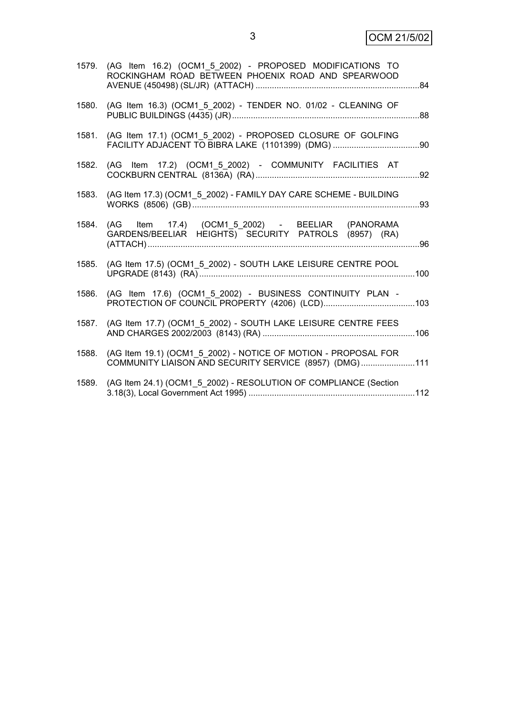3 OCM 21/5/02

|       | 1579. (AG Item 16.2) (OCM1 5 2002) - PROPOSED MODIFICATIONS TO<br>ROCKINGHAM ROAD BETWEEN PHOENIX ROAD AND SPEARWOOD     |  |
|-------|--------------------------------------------------------------------------------------------------------------------------|--|
| 1580. | (AG Item 16.3) (OCM1_5_2002) - TENDER NO. 01/02 - CLEANING OF                                                            |  |
|       | 1581. (AG Item 17.1) (OCM1 5 2002) - PROPOSED CLOSURE OF GOLFING                                                         |  |
| 1582. | (AG Item 17.2) (OCM1 5 2002) - COMMUNITY FACILITIES AT                                                                   |  |
| 1583. | (AG Item 17.3) (OCM1_5_2002) - FAMILY DAY CARE SCHEME - BUILDING                                                         |  |
| 1584. | (AG Item 17.4) (OCM1 5 2002) - BEELIAR (PANORAMA<br>GARDENS/BEELIAR HEIGHTS) SECURITY PATROLS (8957) (RA)                |  |
| 1585. | (AG Item 17.5) (OCM1_5_2002) - SOUTH LAKE LEISURE CENTRE POOL                                                            |  |
| 1586. | (AG Item 17.6) (OCM1 5 2002) - BUSINESS CONTINUITY PLAN -                                                                |  |
| 1587. | (AG Item 17.7) (OCM1 5 2002) - SOUTH LAKE LEISURE CENTRE FEES                                                            |  |
| 1588. | (AG Item 19.1) (OCM1 5 2002) - NOTICE OF MOTION - PROPOSAL FOR<br>COMMUNITY LIAISON AND SECURITY SERVICE (8957) (DMG)111 |  |
| 1589. | (AG Item 24.1) (OCM1_5_2002) - RESOLUTION OF COMPLIANCE (Section                                                         |  |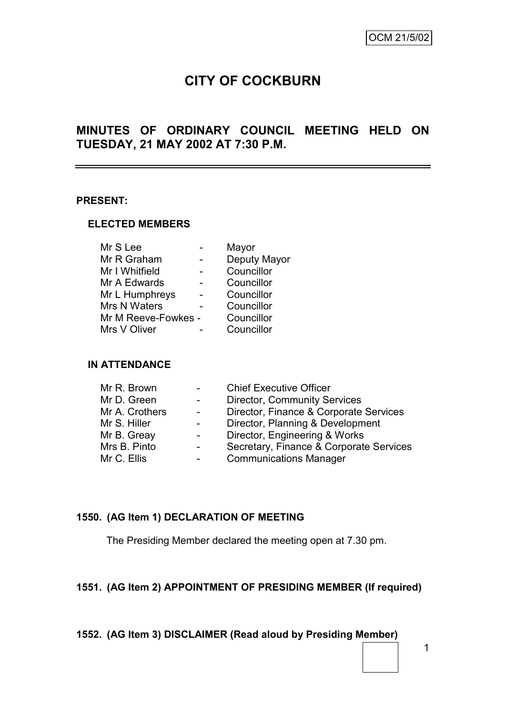# **CITY OF COCKBURN**

# **MINUTES OF ORDINARY COUNCIL MEETING HELD ON TUESDAY, 21 MAY 2002 AT 7:30 P.M.**

#### **PRESENT:**

#### **ELECTED MEMBERS**

| Mr S Lee            | Mayor        |
|---------------------|--------------|
| Mr R Graham         | Deputy Mayor |
| Mr I Whitfield      | Councillor   |
| Mr A Edwards        | Councillor   |
| Mr L Humphreys      | Councillor   |
| Mrs N Waters        | Councillor   |
| Mr M Reeve-Fowkes - | Councillor   |
| Mrs V Oliver        | Councillor   |
|                     |              |

## **IN ATTENDANCE**

| Mr R. Brown    | <b>Chief Executive Officer</b>          |
|----------------|-----------------------------------------|
| Mr D. Green    | <b>Director, Community Services</b>     |
| Mr A. Crothers | Director, Finance & Corporate Services  |
| Mr S. Hiller   | Director, Planning & Development        |
| Mr B. Greay    | Director, Engineering & Works           |
| Mrs B. Pinto   | Secretary, Finance & Corporate Services |
| Mr C. Ellis    | <b>Communications Manager</b>           |
|                |                                         |

## **1550. (AG Item 1) DECLARATION OF MEETING**

The Presiding Member declared the meeting open at 7.30 pm.

## **1551. (AG Item 2) APPOINTMENT OF PRESIDING MEMBER (If required)**

## **1552. (AG Item 3) DISCLAIMER (Read aloud by Presiding Member)**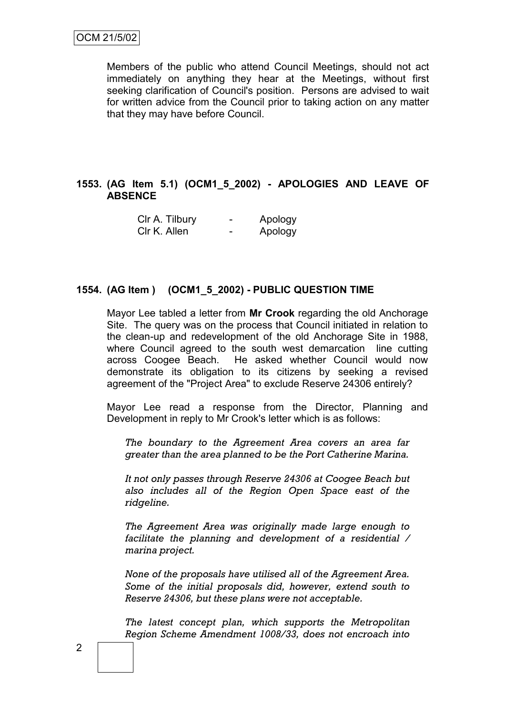Members of the public who attend Council Meetings, should not act immediately on anything they hear at the Meetings, without first seeking clarification of Council's position. Persons are advised to wait for written advice from the Council prior to taking action on any matter that they may have before Council.

## **1553. (AG Item 5.1) (OCM1\_5\_2002) - APOLOGIES AND LEAVE OF ABSENCE**

| CIr A. Tilbury | Apology |
|----------------|---------|
| Clr K. Allen   | Apology |

#### **1554. (AG Item ) (OCM1\_5\_2002) - PUBLIC QUESTION TIME**

Mayor Lee tabled a letter from **Mr Crook** regarding the old Anchorage Site. The query was on the process that Council initiated in relation to the clean-up and redevelopment of the old Anchorage Site in 1988, where Council agreed to the south west demarcation line cutting across Coogee Beach. He asked whether Council would now demonstrate its obligation to its citizens by seeking a revised agreement of the "Project Area" to exclude Reserve 24306 entirely?

Mayor Lee read a response from the Director, Planning and Development in reply to Mr Crook's letter which is as follows:

*The boundary to the Agreement Area covers an area far greater than the area planned to be the Port Catherine Marina.*

*It not only passes through Reserve 24306 at Coogee Beach but also includes all of the Region Open Space east of the ridgeline.*

*The Agreement Area was originally made large enough to facilitate the planning and development of a residential / marina project.*

*None of the proposals have utilised all of the Agreement Area. Some of the initial proposals did, however, extend south to Reserve 24306, but these plans were not acceptable.*

*The latest concept plan, which supports the Metropolitan Region Scheme Amendment 1008/33, does not encroach into*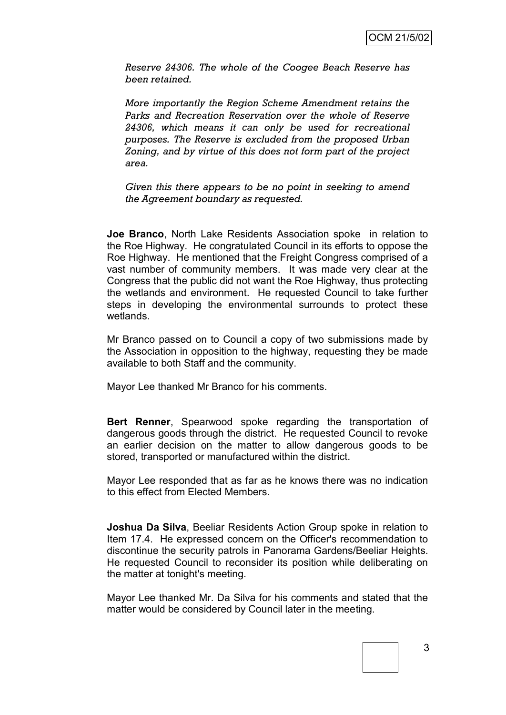*Reserve 24306. The whole of the Coogee Beach Reserve has been retained.*

*More importantly the Region Scheme Amendment retains the Parks and Recreation Reservation over the whole of Reserve 24306, which means it can only be used for recreational purposes. The Reserve is excluded from the proposed Urban Zoning, and by virtue of this does not form part of the project area.*

*Given this there appears to be no point in seeking to amend the Agreement boundary as requested.*

**Joe Branco**, North Lake Residents Association spoke in relation to the Roe Highway. He congratulated Council in its efforts to oppose the Roe Highway. He mentioned that the Freight Congress comprised of a vast number of community members. It was made very clear at the Congress that the public did not want the Roe Highway, thus protecting the wetlands and environment. He requested Council to take further steps in developing the environmental surrounds to protect these wetlands.

Mr Branco passed on to Council a copy of two submissions made by the Association in opposition to the highway, requesting they be made available to both Staff and the community.

Mayor Lee thanked Mr Branco for his comments.

**Bert Renner**, Spearwood spoke regarding the transportation of dangerous goods through the district. He requested Council to revoke an earlier decision on the matter to allow dangerous goods to be stored, transported or manufactured within the district.

Mayor Lee responded that as far as he knows there was no indication to this effect from Elected Members.

**Joshua Da Silva**, Beeliar Residents Action Group spoke in relation to Item 17.4. He expressed concern on the Officer's recommendation to discontinue the security patrols in Panorama Gardens/Beeliar Heights. He requested Council to reconsider its position while deliberating on the matter at tonight's meeting.

Mayor Lee thanked Mr. Da Silva for his comments and stated that the matter would be considered by Council later in the meeting.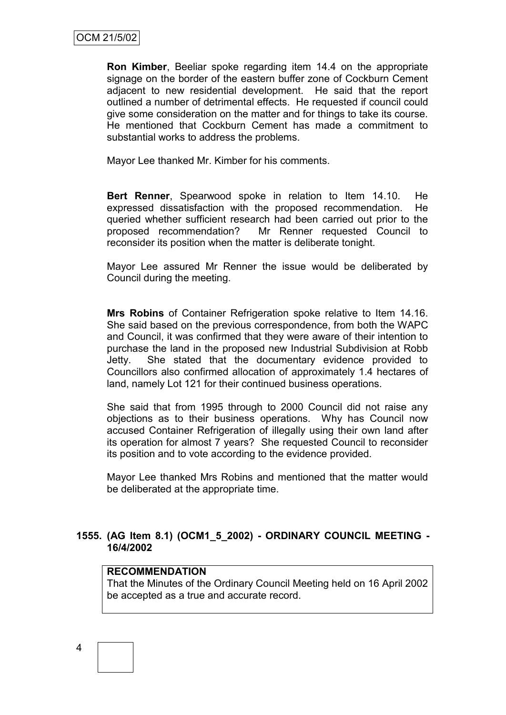**Ron Kimber**, Beeliar spoke regarding item 14.4 on the appropriate signage on the border of the eastern buffer zone of Cockburn Cement adjacent to new residential development. He said that the report outlined a number of detrimental effects. He requested if council could give some consideration on the matter and for things to take its course. He mentioned that Cockburn Cement has made a commitment to substantial works to address the problems.

Mayor Lee thanked Mr. Kimber for his comments.

**Bert Renner**, Spearwood spoke in relation to Item 14.10. He expressed dissatisfaction with the proposed recommendation. He queried whether sufficient research had been carried out prior to the proposed recommendation? Mr Renner requested Council to reconsider its position when the matter is deliberate tonight.

Mayor Lee assured Mr Renner the issue would be deliberated by Council during the meeting.

**Mrs Robins** of Container Refrigeration spoke relative to Item 14.16. She said based on the previous correspondence, from both the WAPC and Council, it was confirmed that they were aware of their intention to purchase the land in the proposed new Industrial Subdivision at Robb Jetty. She stated that the documentary evidence provided to Councillors also confirmed allocation of approximately 1.4 hectares of land, namely Lot 121 for their continued business operations.

She said that from 1995 through to 2000 Council did not raise any objections as to their business operations. Why has Council now accused Container Refrigeration of illegally using their own land after its operation for almost 7 years? She requested Council to reconsider its position and to vote according to the evidence provided.

Mayor Lee thanked Mrs Robins and mentioned that the matter would be deliberated at the appropriate time.

## **1555. (AG Item 8.1) (OCM1\_5\_2002) - ORDINARY COUNCIL MEETING - 16/4/2002**

### **RECOMMENDATION**

That the Minutes of the Ordinary Council Meeting held on 16 April 2002 be accepted as a true and accurate record.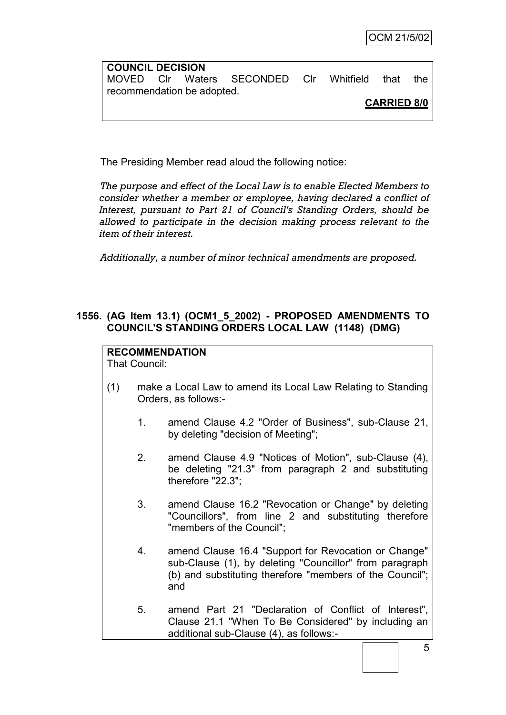| <b>COUNCIL DECISION</b>    |  |                                              |  |                    |     |
|----------------------------|--|----------------------------------------------|--|--------------------|-----|
|                            |  | MOVED CIr Waters SECONDED CIr Whitfield that |  |                    | the |
| recommendation be adopted. |  |                                              |  |                    |     |
|                            |  |                                              |  | <b>CARRIED 8/0</b> |     |

The Presiding Member read aloud the following notice:

*The purpose and effect of the Local Law is to enable Elected Members to consider whether a member or employee, having declared a conflict of Interest, pursuant to Part 21 of Council's Standing Orders, should be allowed to participate in the decision making process relevant to the item of their interest.*

*Additionally, a number of minor technical amendments are proposed.*

## **1556. (AG Item 13.1) (OCM1\_5\_2002) - PROPOSED AMENDMENTS TO COUNCIL'S STANDING ORDERS LOCAL LAW (1148) (DMG)**

# **RECOMMENDATION**

That Council:

- (1) make a Local Law to amend its Local Law Relating to Standing Orders, as follows:-
	- 1. amend Clause 4.2 "Order of Business", sub-Clause 21, by deleting "decision of Meeting";
	- 2. amend Clause 4.9 "Notices of Motion", sub-Clause (4), be deleting "21.3" from paragraph 2 and substituting therefore "22.3";
	- 3. amend Clause 16.2 "Revocation or Change" by deleting "Councillors", from line 2 and substituting therefore "members of the Council";
	- 4. amend Clause 16.4 "Support for Revocation or Change" sub-Clause (1), by deleting "Councillor" from paragraph (b) and substituting therefore "members of the Council"; and
	- 5. amend Part 21 "Declaration of Conflict of Interest", Clause 21.1 "When To Be Considered" by including an additional sub-Clause (4), as follows:-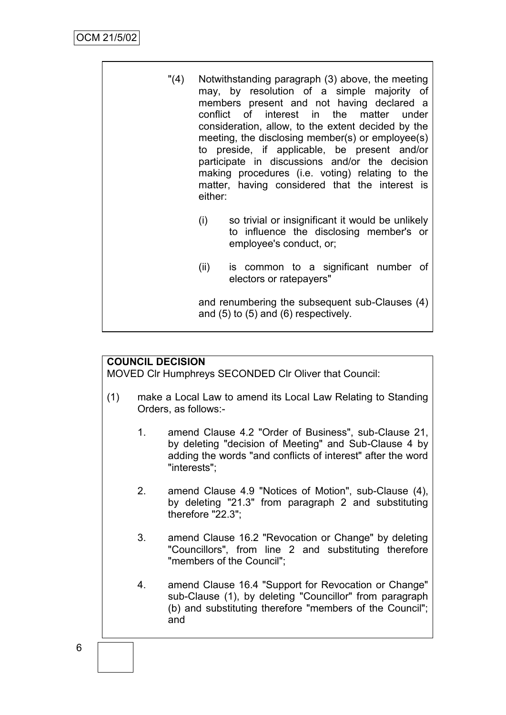| "(4) | either: | Notwithstanding paragraph (3) above, the meeting<br>may, by resolution of a simple majority of<br>members present and not having declared a<br>conflict of interest in the matter under<br>consideration, allow, to the extent decided by the<br>meeting, the disclosing member(s) or employee(s)<br>to preside, if applicable, be present and/or<br>participate in discussions and/or the decision<br>making procedures (i.e. voting) relating to the<br>matter, having considered that the interest is |
|------|---------|----------------------------------------------------------------------------------------------------------------------------------------------------------------------------------------------------------------------------------------------------------------------------------------------------------------------------------------------------------------------------------------------------------------------------------------------------------------------------------------------------------|
|      | (i)     | so trivial or insignificant it would be unlikely<br>to influence the disclosing member's or<br>employee's conduct, or;                                                                                                                                                                                                                                                                                                                                                                                   |
|      | (ii)    | is common to a significant number of<br>electors or ratepayers"                                                                                                                                                                                                                                                                                                                                                                                                                                          |

and renumbering the subsequent sub-Clauses (4) and (5) to (5) and (6) respectively.

# **COUNCIL DECISION**

MOVED Clr Humphreys SECONDED Clr Oliver that Council:

- (1) make a Local Law to amend its Local Law Relating to Standing Orders, as follows:-
	- 1. amend Clause 4.2 "Order of Business", sub-Clause 21, by deleting "decision of Meeting" and Sub-Clause 4 by adding the words "and conflicts of interest" after the word "interests";
	- 2. amend Clause 4.9 "Notices of Motion", sub-Clause (4), by deleting "21.3" from paragraph 2 and substituting therefore "22.3";
	- 3. amend Clause 16.2 "Revocation or Change" by deleting "Councillors", from line 2 and substituting therefore "members of the Council";
	- 4. amend Clause 16.4 "Support for Revocation or Change" sub-Clause (1), by deleting "Councillor" from paragraph (b) and substituting therefore "members of the Council"; and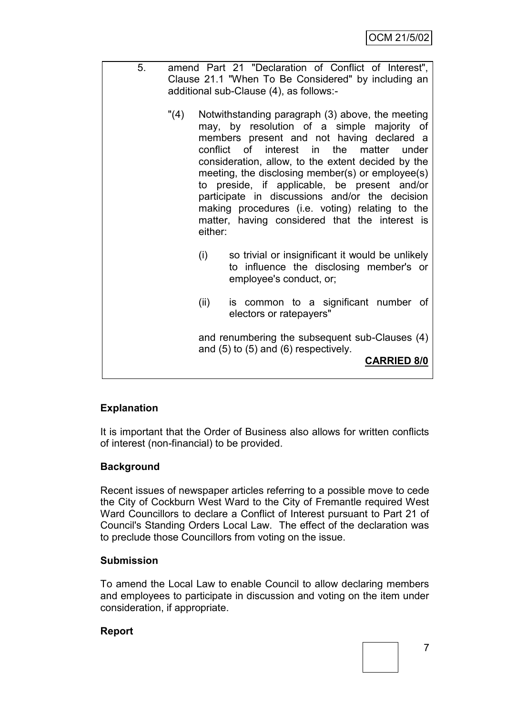| 5. | amend Part 21 "Declaration of Conflict of Interest",<br>Clause 21.1 "When To Be Considered" by including an<br>additional sub-Clause (4), as follows:-                                                                                                                                                                                                                                                                                                                                                                      |
|----|-----------------------------------------------------------------------------------------------------------------------------------------------------------------------------------------------------------------------------------------------------------------------------------------------------------------------------------------------------------------------------------------------------------------------------------------------------------------------------------------------------------------------------|
|    | Notwithstanding paragraph (3) above, the meeting<br>"(4)<br>may, by resolution of a simple majority of<br>members present and not having declared a<br>conflict of interest in the matter under<br>consideration, allow, to the extent decided by the<br>meeting, the disclosing member(s) or employee(s)<br>to preside, if applicable, be present and/or<br>participate in discussions and/or the decision<br>making procedures (i.e. voting) relating to the<br>matter, having considered that the interest is<br>either: |
|    | so trivial or insignificant it would be unlikely<br>$\left( \left  \right  \right)$                                                                                                                                                                                                                                                                                                                                                                                                                                         |

- (i) so trivial or insignificant it would be unlikely to influence the disclosing member's or employee's conduct, or;
- (ii) is common to a significant number of electors or ratepayers"

and renumbering the subsequent sub-Clauses (4) and (5) to (5) and (6) respectively.

**CARRIED 8/0**

# **Explanation**

It is important that the Order of Business also allows for written conflicts of interest (non-financial) to be provided.

# **Background**

Recent issues of newspaper articles referring to a possible move to cede the City of Cockburn West Ward to the City of Fremantle required West Ward Councillors to declare a Conflict of Interest pursuant to Part 21 of Council's Standing Orders Local Law. The effect of the declaration was to preclude those Councillors from voting on the issue.

# **Submission**

To amend the Local Law to enable Council to allow declaring members and employees to participate in discussion and voting on the item under consideration, if appropriate.

## **Report**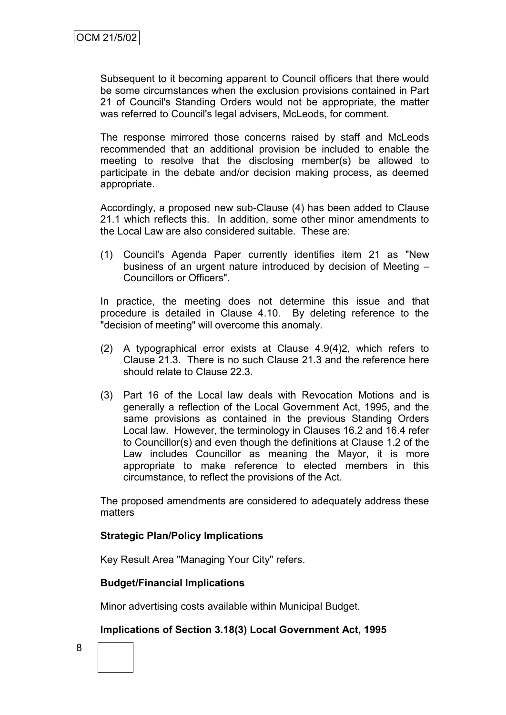Subsequent to it becoming apparent to Council officers that there would be some circumstances when the exclusion provisions contained in Part 21 of Council's Standing Orders would not be appropriate, the matter was referred to Council's legal advisers, McLeods, for comment.

The response mirrored those concerns raised by staff and McLeods recommended that an additional provision be included to enable the meeting to resolve that the disclosing member(s) be allowed to participate in the debate and/or decision making process, as deemed appropriate.

Accordingly, a proposed new sub-Clause (4) has been added to Clause 21.1 which reflects this. In addition, some other minor amendments to the Local Law are also considered suitable. These are:

(1) Council's Agenda Paper currently identifies item 21 as "New business of an urgent nature introduced by decision of Meeting – Councillors or Officers".

In practice, the meeting does not determine this issue and that procedure is detailed in Clause 4.10. By deleting reference to the "decision of meeting" will overcome this anomaly.

- (2) A typographical error exists at Clause 4.9(4)2, which refers to Clause 21.3. There is no such Clause 21.3 and the reference here should relate to Clause 22.3.
- (3) Part 16 of the Local law deals with Revocation Motions and is generally a reflection of the Local Government Act, 1995, and the same provisions as contained in the previous Standing Orders Local law. However, the terminology in Clauses 16.2 and 16.4 refer to Councillor(s) and even though the definitions at Clause 1.2 of the Law includes Councillor as meaning the Mayor, it is more appropriate to make reference to elected members in this circumstance, to reflect the provisions of the Act.

The proposed amendments are considered to adequately address these matters

## **Strategic Plan/Policy Implications**

Key Result Area "Managing Your City" refers.

## **Budget/Financial Implications**

Minor advertising costs available within Municipal Budget.

## **Implications of Section 3.18(3) Local Government Act, 1995**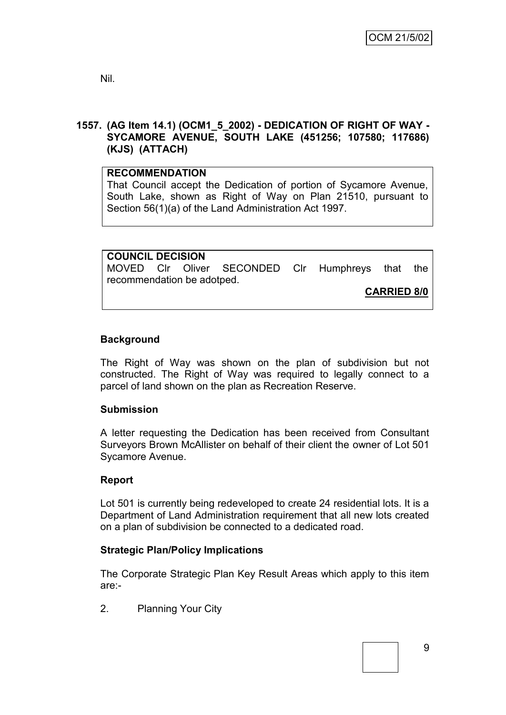Nil.

# **1557. (AG Item 14.1) (OCM1\_5\_2002) - DEDICATION OF RIGHT OF WAY - SYCAMORE AVENUE, SOUTH LAKE (451256; 107580; 117686) (KJS) (ATTACH)**

# **RECOMMENDATION**

That Council accept the Dedication of portion of Sycamore Avenue, South Lake, shown as Right of Way on Plan 21510, pursuant to Section 56(1)(a) of the Land Administration Act 1997.

**COUNCIL DECISION** MOVED Clr Oliver SECONDED Clr Humphreys that the recommendation be adotped.

**CARRIED 8/0**

# **Background**

The Right of Way was shown on the plan of subdivision but not constructed. The Right of Way was required to legally connect to a parcel of land shown on the plan as Recreation Reserve.

# **Submission**

A letter requesting the Dedication has been received from Consultant Surveyors Brown McAllister on behalf of their client the owner of Lot 501 Sycamore Avenue.

## **Report**

Lot 501 is currently being redeveloped to create 24 residential lots. It is a Department of Land Administration requirement that all new lots created on a plan of subdivision be connected to a dedicated road.

# **Strategic Plan/Policy Implications**

The Corporate Strategic Plan Key Result Areas which apply to this item are:-

2. Planning Your City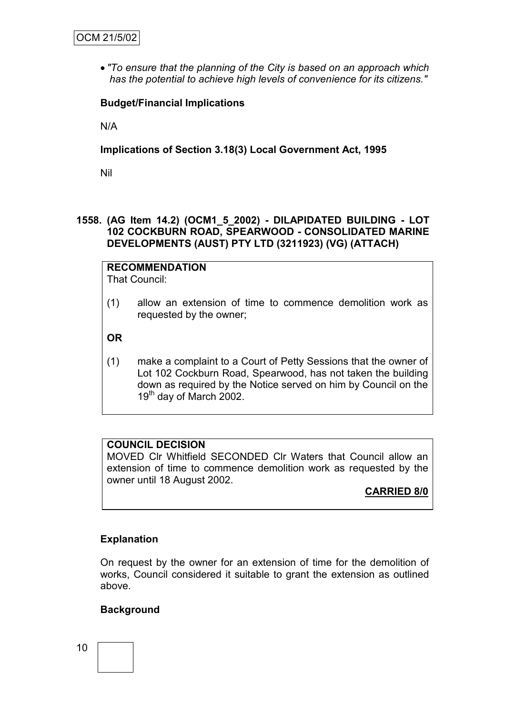*"To ensure that the planning of the City is based on an approach which has the potential to achieve high levels of convenience for its citizens."*

## **Budget/Financial Implications**

N/A

**Implications of Section 3.18(3) Local Government Act, 1995**

Nil

## **1558. (AG Item 14.2) (OCM1\_5\_2002) - DILAPIDATED BUILDING - LOT 102 COCKBURN ROAD, SPEARWOOD - CONSOLIDATED MARINE DEVELOPMENTS (AUST) PTY LTD (3211923) (VG) (ATTACH)**

**RECOMMENDATION** That Council:

(1) allow an extension of time to commence demolition work as requested by the owner;

**OR**

(1) make a complaint to a Court of Petty Sessions that the owner of Lot 102 Cockburn Road, Spearwood, has not taken the building down as required by the Notice served on him by Council on the  $19<sup>th</sup>$  day of March 2002.

# **COUNCIL DECISION**

MOVED Clr Whitfield SECONDED Clr Waters that Council allow an extension of time to commence demolition work as requested by the owner until 18 August 2002.

# **CARRIED 8/0**

## **Explanation**

On request by the owner for an extension of time for the demolition of works, Council considered it suitable to grant the extension as outlined above.

## **Background**

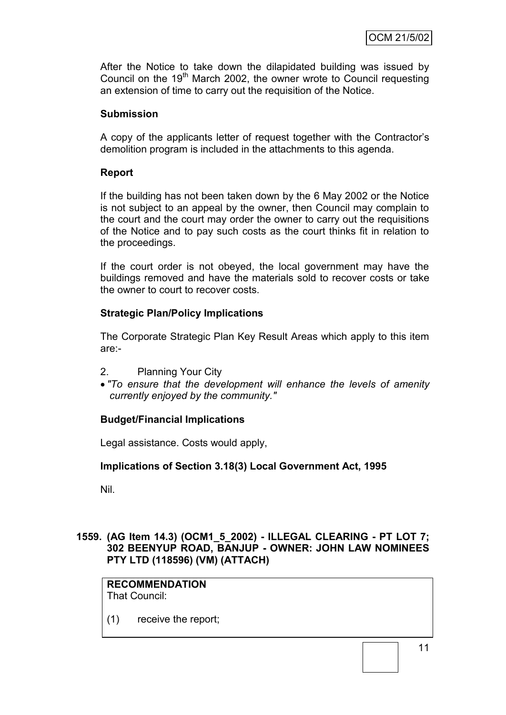After the Notice to take down the dilapidated building was issued by Council on the 19<sup>th</sup> March 2002, the owner wrote to Council requesting an extension of time to carry out the requisition of the Notice.

## **Submission**

A copy of the applicants letter of request together with the Contractor"s demolition program is included in the attachments to this agenda.

## **Report**

If the building has not been taken down by the 6 May 2002 or the Notice is not subject to an appeal by the owner, then Council may complain to the court and the court may order the owner to carry out the requisitions of the Notice and to pay such costs as the court thinks fit in relation to the proceedings.

If the court order is not obeyed, the local government may have the buildings removed and have the materials sold to recover costs or take the owner to court to recover costs.

## **Strategic Plan/Policy Implications**

The Corporate Strategic Plan Key Result Areas which apply to this item are:-

- 2. Planning Your City
- *"To ensure that the development will enhance the levels of amenity currently enjoyed by the community."*

# **Budget/Financial Implications**

Legal assistance. Costs would apply,

## **Implications of Section 3.18(3) Local Government Act, 1995**

Nil.

## **1559. (AG Item 14.3) (OCM1\_5\_2002) - ILLEGAL CLEARING - PT LOT 7; 302 BEENYUP ROAD, BANJUP - OWNER: JOHN LAW NOMINEES PTY LTD (118596) (VM) (ATTACH)**

#### **RECOMMENDATION** That Council:

(1) receive the report;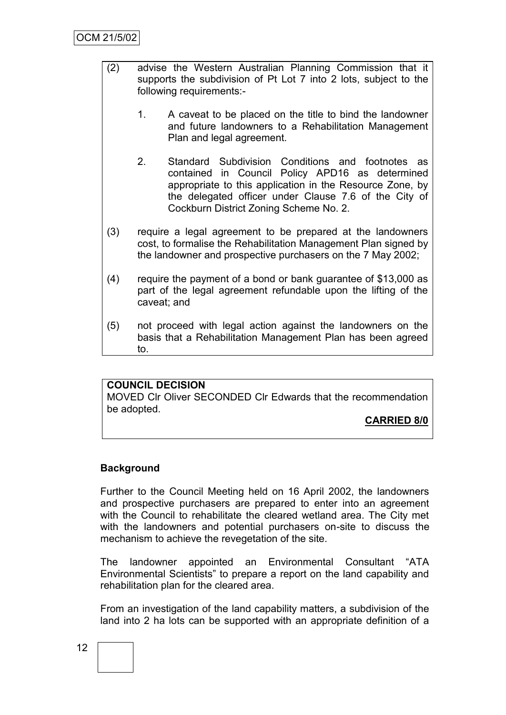- (2) advise the Western Australian Planning Commission that it supports the subdivision of Pt Lot 7 into 2 lots, subject to the following requirements:-
	- 1. A caveat to be placed on the title to bind the landowner and future landowners to a Rehabilitation Management Plan and legal agreement.
	- 2. Standard Subdivision Conditions and footnotes as contained in Council Policy APD16 as determined appropriate to this application in the Resource Zone, by the delegated officer under Clause 7.6 of the City of Cockburn District Zoning Scheme No. 2.
- (3) require a legal agreement to be prepared at the landowners cost, to formalise the Rehabilitation Management Plan signed by the landowner and prospective purchasers on the 7 May 2002;
- (4) require the payment of a bond or bank guarantee of \$13,000 as part of the legal agreement refundable upon the lifting of the caveat; and
- (5) not proceed with legal action against the landowners on the basis that a Rehabilitation Management Plan has been agreed to.

## **COUNCIL DECISION**

MOVED Clr Oliver SECONDED Clr Edwards that the recommendation be adopted.

**CARRIED 8/0**

## **Background**

Further to the Council Meeting held on 16 April 2002, the landowners and prospective purchasers are prepared to enter into an agreement with the Council to rehabilitate the cleared wetland area. The City met with the landowners and potential purchasers on-site to discuss the mechanism to achieve the revegetation of the site.

The landowner appointed an Environmental Consultant "ATA Environmental Scientists" to prepare a report on the land capability and rehabilitation plan for the cleared area.

From an investigation of the land capability matters, a subdivision of the land into 2 ha lots can be supported with an appropriate definition of a

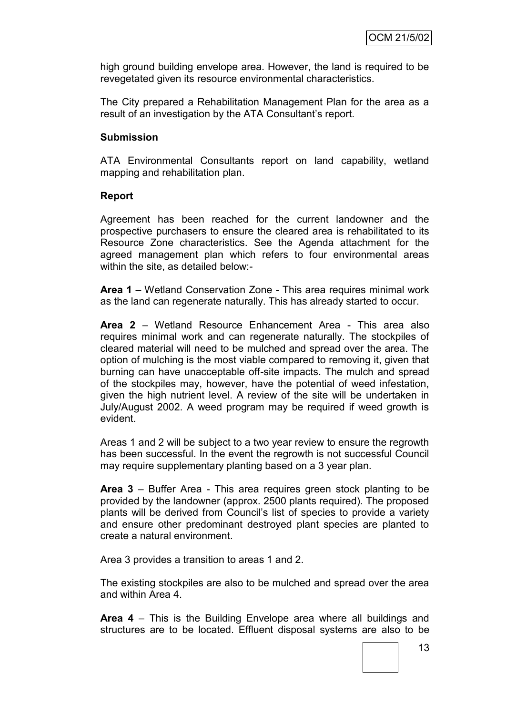high ground building envelope area. However, the land is required to be revegetated given its resource environmental characteristics.

The City prepared a Rehabilitation Management Plan for the area as a result of an investigation by the ATA Consultant's report.

#### **Submission**

ATA Environmental Consultants report on land capability, wetland mapping and rehabilitation plan.

#### **Report**

Agreement has been reached for the current landowner and the prospective purchasers to ensure the cleared area is rehabilitated to its Resource Zone characteristics. See the Agenda attachment for the agreed management plan which refers to four environmental areas within the site, as detailed below:-

**Area 1** – Wetland Conservation Zone - This area requires minimal work as the land can regenerate naturally. This has already started to occur.

**Area 2** – Wetland Resource Enhancement Area - This area also requires minimal work and can regenerate naturally. The stockpiles of cleared material will need to be mulched and spread over the area. The option of mulching is the most viable compared to removing it, given that burning can have unacceptable off-site impacts. The mulch and spread of the stockpiles may, however, have the potential of weed infestation, given the high nutrient level. A review of the site will be undertaken in July/August 2002. A weed program may be required if weed growth is evident.

Areas 1 and 2 will be subject to a two year review to ensure the regrowth has been successful. In the event the regrowth is not successful Council may require supplementary planting based on a 3 year plan.

**Area 3** – Buffer Area - This area requires green stock planting to be provided by the landowner (approx. 2500 plants required). The proposed plants will be derived from Council"s list of species to provide a variety and ensure other predominant destroyed plant species are planted to create a natural environment.

Area 3 provides a transition to areas 1 and 2.

The existing stockpiles are also to be mulched and spread over the area and within Area 4.

**Area 4** – This is the Building Envelope area where all buildings and structures are to be located. Effluent disposal systems are also to be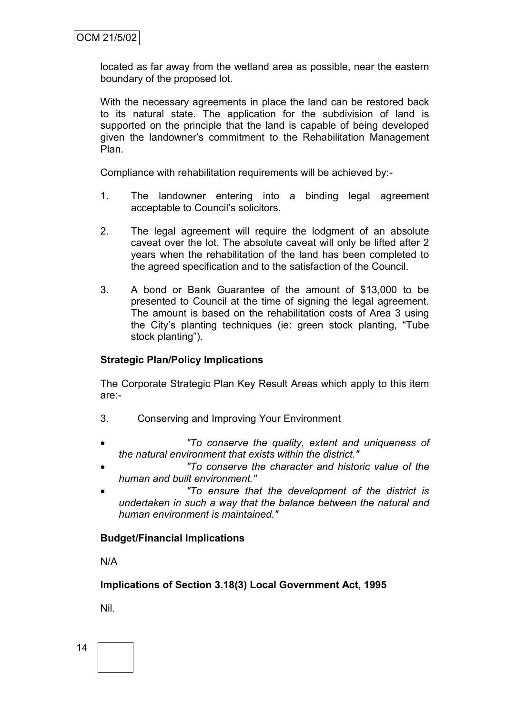located as far away from the wetland area as possible, near the eastern boundary of the proposed lot.

With the necessary agreements in place the land can be restored back to its natural state. The application for the subdivision of land is supported on the principle that the land is capable of being developed given the landowner"s commitment to the Rehabilitation Management Plan.

Compliance with rehabilitation requirements will be achieved by:-

- 1. The landowner entering into a binding legal agreement acceptable to Council"s solicitors.
- 2. The legal agreement will require the lodgment of an absolute caveat over the lot. The absolute caveat will only be lifted after 2 years when the rehabilitation of the land has been completed to the agreed specification and to the satisfaction of the Council.
- 3. A bond or Bank Guarantee of the amount of \$13,000 to be presented to Council at the time of signing the legal agreement. The amount is based on the rehabilitation costs of Area 3 using the City's planting techniques (ie: green stock planting, "Tube stock planting").

## **Strategic Plan/Policy Implications**

The Corporate Strategic Plan Key Result Areas which apply to this item are:-

- 3. Conserving and Improving Your Environment
- *"To conserve the quality, extent and uniqueness of the natural environment that exists within the district."*
- *"To conserve the character and historic value of the human and built environment."*
- *"To ensure that the development of the district is undertaken in such a way that the balance between the natural and human environment is maintained."*

## **Budget/Financial Implications**

N/A

**Implications of Section 3.18(3) Local Government Act, 1995**

Nil.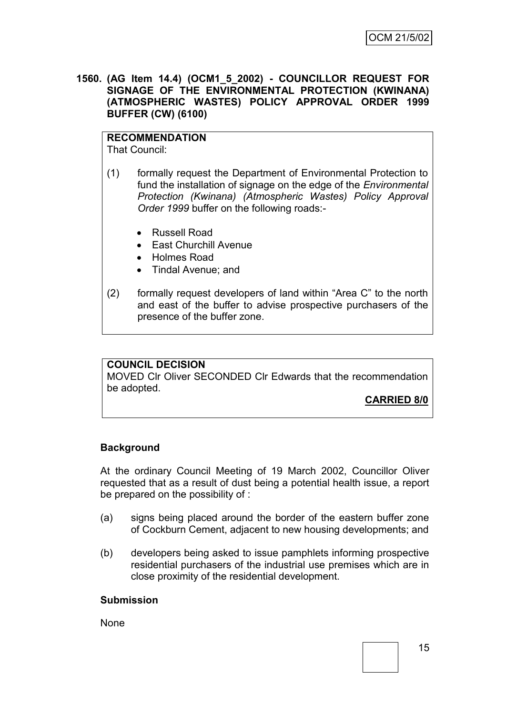**1560. (AG Item 14.4) (OCM1\_5\_2002) - COUNCILLOR REQUEST FOR SIGNAGE OF THE ENVIRONMENTAL PROTECTION (KWINANA) (ATMOSPHERIC WASTES) POLICY APPROVAL ORDER 1999 BUFFER (CW) (6100)**

# **RECOMMENDATION**

That Council:

- (1) formally request the Department of Environmental Protection to fund the installation of signage on the edge of the *Environmental Protection (Kwinana) (Atmospheric Wastes) Policy Approval Order 1999* buffer on the following roads:-
	- Russell Road
	- East Churchill Avenue
	- Holmes Road
	- Tindal Avenue; and
- (2) formally request developers of land within "Area C" to the north and east of the buffer to advise prospective purchasers of the presence of the buffer zone.

## **COUNCIL DECISION**

MOVED Clr Oliver SECONDED Clr Edwards that the recommendation be adopted.

# **CARRIED 8/0**

## **Background**

At the ordinary Council Meeting of 19 March 2002, Councillor Oliver requested that as a result of dust being a potential health issue, a report be prepared on the possibility of :

- (a) signs being placed around the border of the eastern buffer zone of Cockburn Cement, adjacent to new housing developments; and
- (b) developers being asked to issue pamphlets informing prospective residential purchasers of the industrial use premises which are in close proximity of the residential development.

#### **Submission**

None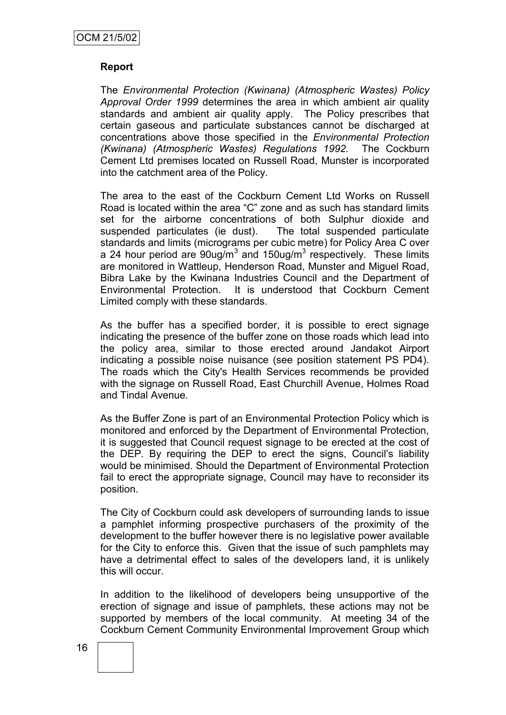## **Report**

The *Environmental Protection (Kwinana) (Atmospheric Wastes) Policy Approval Order 1999* determines the area in which ambient air quality standards and ambient air quality apply. The Policy prescribes that certain gaseous and particulate substances cannot be discharged at concentrations above those specified in the *Environmental Protection (Kwinana) (Atmospheric Wastes) Regulations 1992.* The Cockburn Cement Ltd premises located on Russell Road, Munster is incorporated into the catchment area of the Policy.

The area to the east of the Cockburn Cement Ltd Works on Russell Road is located within the area "C" zone and as such has standard limits set for the airborne concentrations of both Sulphur dioxide and suspended particulates (ie dust). The total suspended particulate standards and limits (micrograms per cubic metre) for Policy Area C over a 24 hour period are  $90$ ug/m<sup>3</sup> and 150ug/m<sup>3</sup> respectively. These limits are monitored in Wattleup, Henderson Road, Munster and Miguel Road, Bibra Lake by the Kwinana Industries Council and the Department of Environmental Protection. It is understood that Cockburn Cement Limited comply with these standards.

As the buffer has a specified border, it is possible to erect signage indicating the presence of the buffer zone on those roads which lead into the policy area, similar to those erected around Jandakot Airport indicating a possible noise nuisance (see position statement PS PD4). The roads which the City's Health Services recommends be provided with the signage on Russell Road, East Churchill Avenue, Holmes Road and Tindal Avenue.

As the Buffer Zone is part of an Environmental Protection Policy which is monitored and enforced by the Department of Environmental Protection, it is suggested that Council request signage to be erected at the cost of the DEP. By requiring the DEP to erect the signs, Council"s liability would be minimised. Should the Department of Environmental Protection fail to erect the appropriate signage, Council may have to reconsider its position.

The City of Cockburn could ask developers of surrounding lands to issue a pamphlet informing prospective purchasers of the proximity of the development to the buffer however there is no legislative power available for the City to enforce this. Given that the issue of such pamphlets may have a detrimental effect to sales of the developers land, it is unlikely this will occur.

In addition to the likelihood of developers being unsupportive of the erection of signage and issue of pamphlets, these actions may not be supported by members of the local community. At meeting 34 of the Cockburn Cement Community Environmental Improvement Group which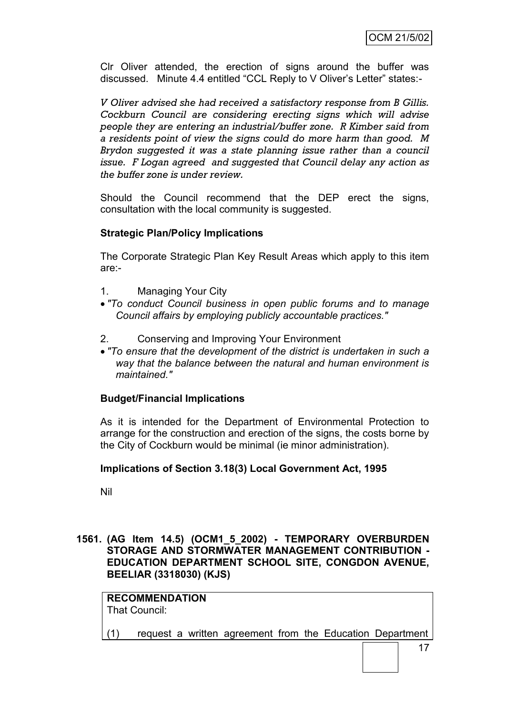Clr Oliver attended, the erection of signs around the buffer was discussed. Minute 4.4 entitled "CCL Reply to V Oliver"s Letter" states:-

*V Oliver advised she had received a satisfactory response from B Gillis. Cockburn Council are considering erecting signs which will advise people they are entering an industrial/buffer zone. R Kimber said from a residents point of view the signs could do more harm than good. M Brydon suggested it was a state planning issue rather than a council issue. F Logan agreed and suggested that Council delay any action as the buffer zone is under review.*

Should the Council recommend that the DEP erect the signs, consultation with the local community is suggested.

## **Strategic Plan/Policy Implications**

The Corporate Strategic Plan Key Result Areas which apply to this item are:-

- 1. Managing Your City
- *"To conduct Council business in open public forums and to manage Council affairs by employing publicly accountable practices."*
- 2. Conserving and Improving Your Environment
- *"To ensure that the development of the district is undertaken in such a way that the balance between the natural and human environment is maintained."*

## **Budget/Financial Implications**

As it is intended for the Department of Environmental Protection to arrange for the construction and erection of the signs, the costs borne by the City of Cockburn would be minimal (ie minor administration).

## **Implications of Section 3.18(3) Local Government Act, 1995**

Nil

**1561. (AG Item 14.5) (OCM1\_5\_2002) - TEMPORARY OVERBURDEN STORAGE AND STORMWATER MANAGEMENT CONTRIBUTION - EDUCATION DEPARTMENT SCHOOL SITE, CONGDON AVENUE, BEELIAR (3318030) (KJS)**

# **RECOMMENDATION**

That Council:

(1) request a written agreement from the Education Department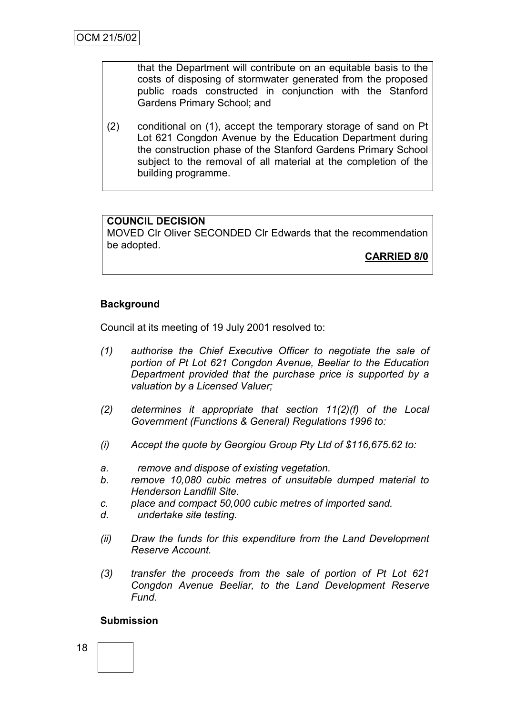that the Department will contribute on an equitable basis to the costs of disposing of stormwater generated from the proposed public roads constructed in conjunction with the Stanford Gardens Primary School; and

(2) conditional on (1), accept the temporary storage of sand on Pt Lot 621 Congdon Avenue by the Education Department during the construction phase of the Stanford Gardens Primary School subject to the removal of all material at the completion of the building programme.

# **COUNCIL DECISION**

MOVED Clr Oliver SECONDED Clr Edwards that the recommendation be adopted.

**CARRIED 8/0**

# **Background**

Council at its meeting of 19 July 2001 resolved to:

- *(1) authorise the Chief Executive Officer to negotiate the sale of portion of Pt Lot 621 Congdon Avenue, Beeliar to the Education Department provided that the purchase price is supported by a valuation by a Licensed Valuer;*
- *(2) determines it appropriate that section 11(2)(f) of the Local Government (Functions & General) Regulations 1996 to:*
- *(i) Accept the quote by Georgiou Group Pty Ltd of \$116,675.62 to:*
- *a. remove and dispose of existing vegetation.*
- *b. remove 10,080 cubic metres of unsuitable dumped material to Henderson Landfill Site.*
- *c. place and compact 50,000 cubic metres of imported sand.*
- *d. undertake site testing.*
- *(ii) Draw the funds for this expenditure from the Land Development Reserve Account.*
- *(3) transfer the proceeds from the sale of portion of Pt Lot 621 Congdon Avenue Beeliar, to the Land Development Reserve Fund.*

## **Submission**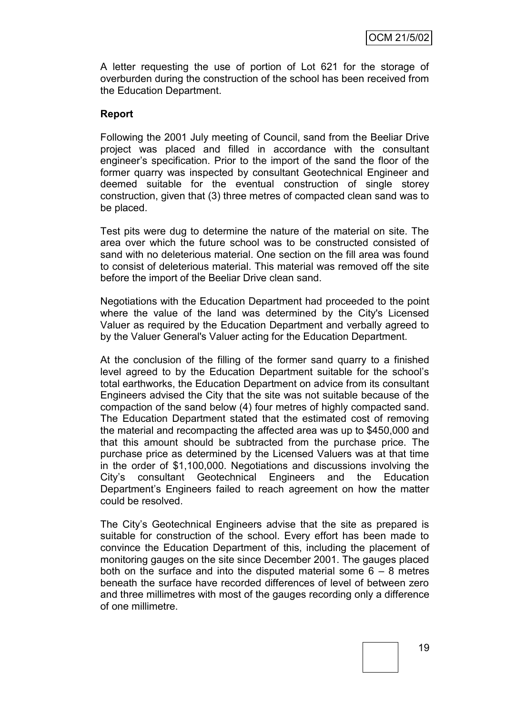A letter requesting the use of portion of Lot 621 for the storage of overburden during the construction of the school has been received from the Education Department.

#### **Report**

Following the 2001 July meeting of Council, sand from the Beeliar Drive project was placed and filled in accordance with the consultant engineer"s specification. Prior to the import of the sand the floor of the former quarry was inspected by consultant Geotechnical Engineer and deemed suitable for the eventual construction of single storey construction, given that (3) three metres of compacted clean sand was to be placed.

Test pits were dug to determine the nature of the material on site. The area over which the future school was to be constructed consisted of sand with no deleterious material. One section on the fill area was found to consist of deleterious material. This material was removed off the site before the import of the Beeliar Drive clean sand.

Negotiations with the Education Department had proceeded to the point where the value of the land was determined by the City's Licensed Valuer as required by the Education Department and verbally agreed to by the Valuer General's Valuer acting for the Education Department.

At the conclusion of the filling of the former sand quarry to a finished level agreed to by the Education Department suitable for the school"s total earthworks, the Education Department on advice from its consultant Engineers advised the City that the site was not suitable because of the compaction of the sand below (4) four metres of highly compacted sand. The Education Department stated that the estimated cost of removing the material and recompacting the affected area was up to \$450,000 and that this amount should be subtracted from the purchase price. The purchase price as determined by the Licensed Valuers was at that time in the order of \$1,100,000. Negotiations and discussions involving the City"s consultant Geotechnical Engineers and the Education Department"s Engineers failed to reach agreement on how the matter could be resolved.

The City"s Geotechnical Engineers advise that the site as prepared is suitable for construction of the school. Every effort has been made to convince the Education Department of this, including the placement of monitoring gauges on the site since December 2001. The gauges placed both on the surface and into the disputed material some  $6 - 8$  metres beneath the surface have recorded differences of level of between zero and three millimetres with most of the gauges recording only a difference of one millimetre.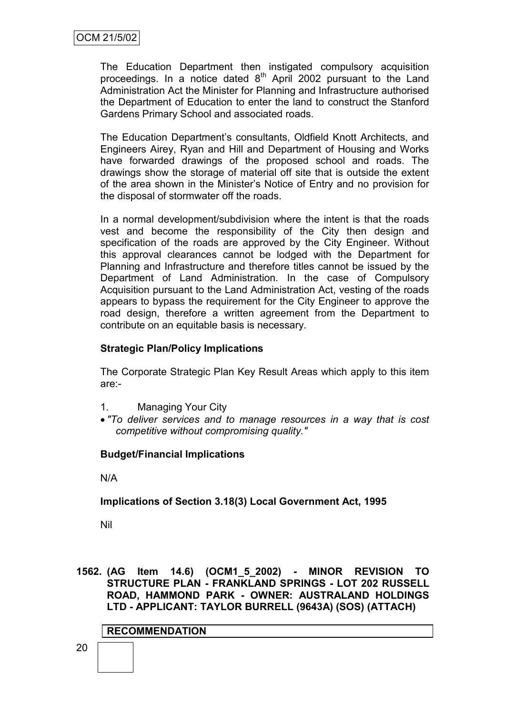The Education Department then instigated compulsory acquisition proceedings. In a notice dated  $8<sup>th</sup>$  April 2002 pursuant to the Land Administration Act the Minister for Planning and Infrastructure authorised the Department of Education to enter the land to construct the Stanford Gardens Primary School and associated roads.

The Education Department"s consultants, Oldfield Knott Architects, and Engineers Airey, Ryan and Hill and Department of Housing and Works have forwarded drawings of the proposed school and roads. The drawings show the storage of material off site that is outside the extent of the area shown in the Minister"s Notice of Entry and no provision for the disposal of stormwater off the roads.

In a normal development/subdivision where the intent is that the roads vest and become the responsibility of the City then design and specification of the roads are approved by the City Engineer. Without this approval clearances cannot be lodged with the Department for Planning and Infrastructure and therefore titles cannot be issued by the Department of Land Administration. In the case of Compulsory Acquisition pursuant to the Land Administration Act, vesting of the roads appears to bypass the requirement for the City Engineer to approve the road design, therefore a written agreement from the Department to contribute on an equitable basis is necessary.

## **Strategic Plan/Policy Implications**

The Corporate Strategic Plan Key Result Areas which apply to this item are:-

- 1. Managing Your City
- *"To deliver services and to manage resources in a way that is cost competitive without compromising quality."*

# **Budget/Financial Implications**

N/A

# **Implications of Section 3.18(3) Local Government Act, 1995**

Nil

#### **1562. (AG Item 14.6) (OCM1\_5\_2002) - MINOR REVISION TO STRUCTURE PLAN - FRANKLAND SPRINGS - LOT 202 RUSSELL ROAD, HAMMOND PARK - OWNER: AUSTRALAND HOLDINGS LTD - APPLICANT: TAYLOR BURRELL (9643A) (SOS) (ATTACH)**

## **RECOMMENDATION**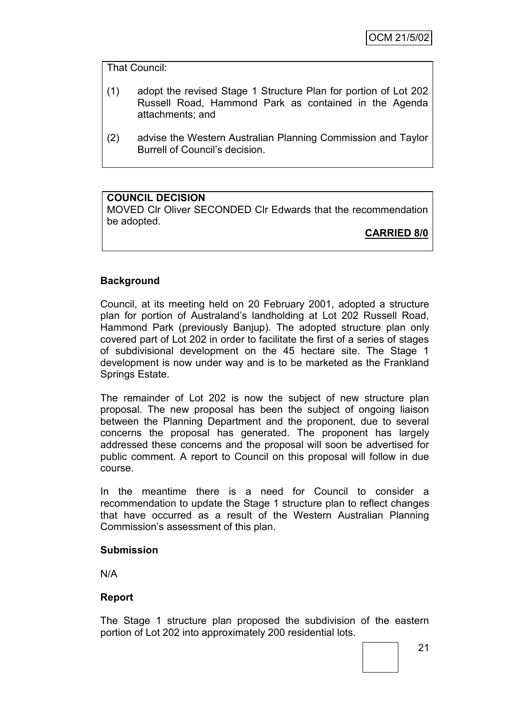That Council:

- (1) adopt the revised Stage 1 Structure Plan for portion of Lot 202 Russell Road, Hammond Park as contained in the Agenda attachments; and
- (2) advise the Western Australian Planning Commission and Taylor Burrell of Council"s decision.

## **COUNCIL DECISION**

MOVED Clr Oliver SECONDED Clr Edwards that the recommendation be adopted.

**CARRIED 8/0**

## **Background**

Council, at its meeting held on 20 February 2001, adopted a structure plan for portion of Australand"s landholding at Lot 202 Russell Road, Hammond Park (previously Banjup). The adopted structure plan only covered part of Lot 202 in order to facilitate the first of a series of stages of subdivisional development on the 45 hectare site. The Stage 1 development is now under way and is to be marketed as the Frankland Springs Estate.

The remainder of Lot 202 is now the subject of new structure plan proposal. The new proposal has been the subject of ongoing liaison between the Planning Department and the proponent, due to several concerns the proposal has generated. The proponent has largely addressed these concerns and the proposal will soon be advertised for public comment. A report to Council on this proposal will follow in due course.

In the meantime there is a need for Council to consider a recommendation to update the Stage 1 structure plan to reflect changes that have occurred as a result of the Western Australian Planning Commission"s assessment of this plan.

#### **Submission**

N/A

## **Report**

The Stage 1 structure plan proposed the subdivision of the eastern portion of Lot 202 into approximately 200 residential lots.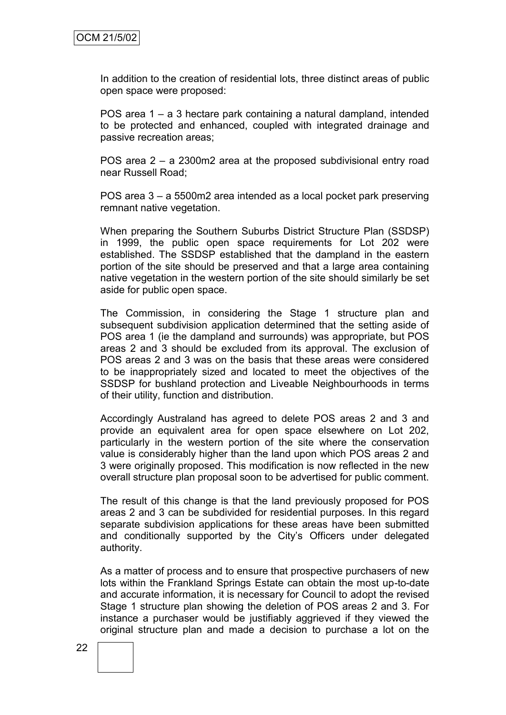In addition to the creation of residential lots, three distinct areas of public open space were proposed:

POS area 1 – a 3 hectare park containing a natural dampland, intended to be protected and enhanced, coupled with integrated drainage and passive recreation areas;

POS area 2 – a 2300m2 area at the proposed subdivisional entry road near Russell Road;

POS area 3 – a 5500m2 area intended as a local pocket park preserving remnant native vegetation.

When preparing the Southern Suburbs District Structure Plan (SSDSP) in 1999, the public open space requirements for Lot 202 were established. The SSDSP established that the dampland in the eastern portion of the site should be preserved and that a large area containing native vegetation in the western portion of the site should similarly be set aside for public open space.

The Commission, in considering the Stage 1 structure plan and subsequent subdivision application determined that the setting aside of POS area 1 (ie the dampland and surrounds) was appropriate, but POS areas 2 and 3 should be excluded from its approval. The exclusion of POS areas 2 and 3 was on the basis that these areas were considered to be inappropriately sized and located to meet the objectives of the SSDSP for bushland protection and Liveable Neighbourhoods in terms of their utility, function and distribution.

Accordingly Australand has agreed to delete POS areas 2 and 3 and provide an equivalent area for open space elsewhere on Lot 202, particularly in the western portion of the site where the conservation value is considerably higher than the land upon which POS areas 2 and 3 were originally proposed. This modification is now reflected in the new overall structure plan proposal soon to be advertised for public comment.

The result of this change is that the land previously proposed for POS areas 2 and 3 can be subdivided for residential purposes. In this regard separate subdivision applications for these areas have been submitted and conditionally supported by the City"s Officers under delegated authority.

As a matter of process and to ensure that prospective purchasers of new lots within the Frankland Springs Estate can obtain the most up-to-date and accurate information, it is necessary for Council to adopt the revised Stage 1 structure plan showing the deletion of POS areas 2 and 3. For instance a purchaser would be justifiably aggrieved if they viewed the original structure plan and made a decision to purchase a lot on the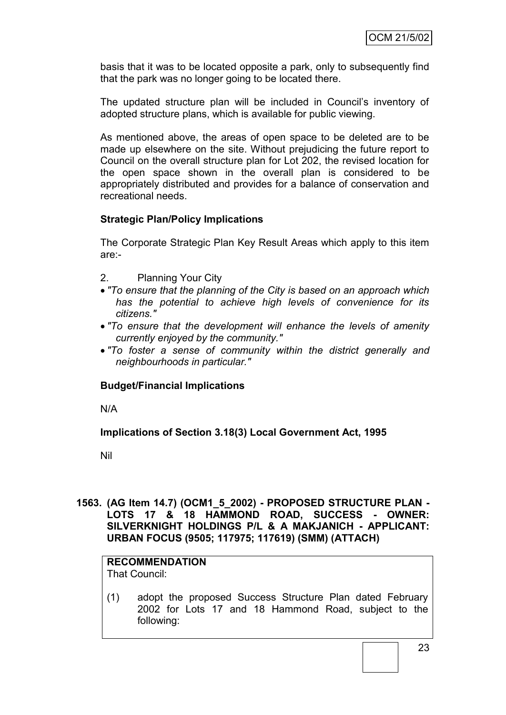basis that it was to be located opposite a park, only to subsequently find that the park was no longer going to be located there.

The updated structure plan will be included in Council"s inventory of adopted structure plans, which is available for public viewing.

As mentioned above, the areas of open space to be deleted are to be made up elsewhere on the site. Without prejudicing the future report to Council on the overall structure plan for Lot 202, the revised location for the open space shown in the overall plan is considered to be appropriately distributed and provides for a balance of conservation and recreational needs.

## **Strategic Plan/Policy Implications**

The Corporate Strategic Plan Key Result Areas which apply to this item are:-

- 2. Planning Your City
- *"To ensure that the planning of the City is based on an approach which has the potential to achieve high levels of convenience for its citizens."*
- *"To ensure that the development will enhance the levels of amenity currently enjoyed by the community."*
- *"To foster a sense of community within the district generally and neighbourhoods in particular."*

## **Budget/Financial Implications**

N/A

**Implications of Section 3.18(3) Local Government Act, 1995**

Nil

## **1563. (AG Item 14.7) (OCM1\_5\_2002) - PROPOSED STRUCTURE PLAN - LOTS 17 & 18 HAMMOND ROAD, SUCCESS - OWNER: SILVERKNIGHT HOLDINGS P/L & A MAKJANICH - APPLICANT: URBAN FOCUS (9505; 117975; 117619) (SMM) (ATTACH)**

## **RECOMMENDATION**

That Council:

(1) adopt the proposed Success Structure Plan dated February 2002 for Lots 17 and 18 Hammond Road, subject to the following: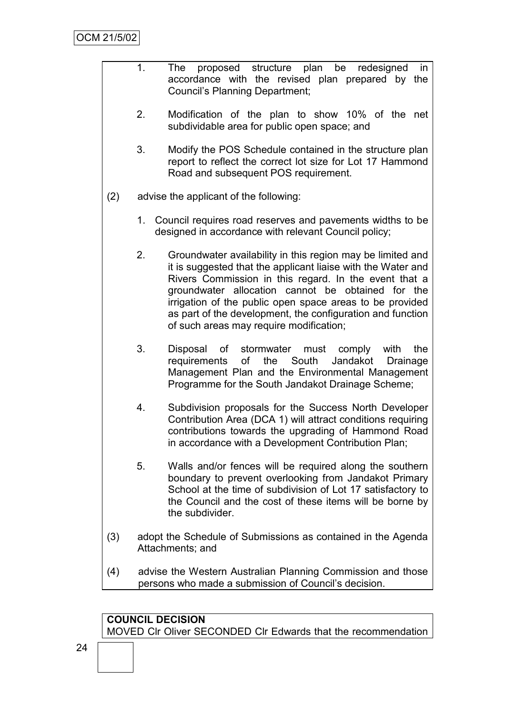- 1. The proposed structure plan be redesigned in accordance with the revised plan prepared by the Council"s Planning Department;
	- 2. Modification of the plan to show 10% of the net subdividable area for public open space; and
	- 3. Modify the POS Schedule contained in the structure plan report to reflect the correct lot size for Lot 17 Hammond Road and subsequent POS requirement.
- (2) advise the applicant of the following:
	- 1. Council requires road reserves and pavements widths to be designed in accordance with relevant Council policy;
	- 2. Groundwater availability in this region may be limited and it is suggested that the applicant liaise with the Water and Rivers Commission in this regard. In the event that a groundwater allocation cannot be obtained for the irrigation of the public open space areas to be provided as part of the development, the configuration and function of such areas may require modification;
	- 3. Disposal of stormwater must comply with the requirements of the South Jandakot Drainage Management Plan and the Environmental Management Programme for the South Jandakot Drainage Scheme;
	- 4. Subdivision proposals for the Success North Developer Contribution Area (DCA 1) will attract conditions requiring contributions towards the upgrading of Hammond Road in accordance with a Development Contribution Plan;
	- 5. Walls and/or fences will be required along the southern boundary to prevent overlooking from Jandakot Primary School at the time of subdivision of Lot 17 satisfactory to the Council and the cost of these items will be borne by the subdivider.
- (3) adopt the Schedule of Submissions as contained in the Agenda Attachments; and
- (4) advise the Western Australian Planning Commission and those persons who made a submission of Council"s decision.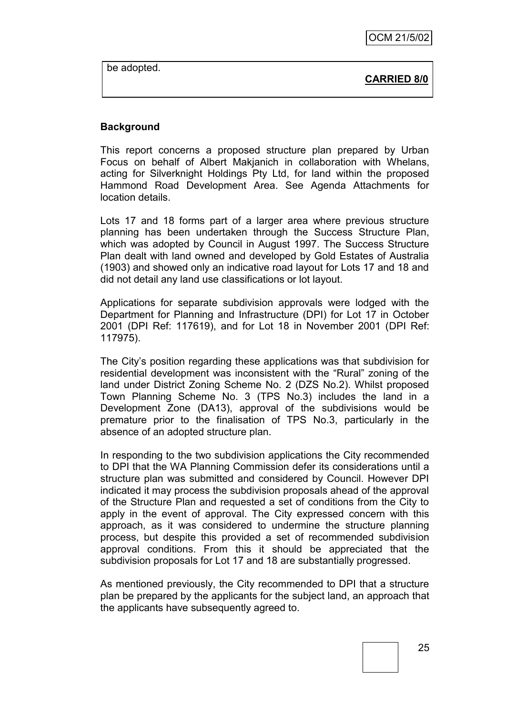be adopted.

**CARRIED 8/0**

#### **Background**

This report concerns a proposed structure plan prepared by Urban Focus on behalf of Albert Makjanich in collaboration with Whelans, acting for Silverknight Holdings Pty Ltd, for land within the proposed Hammond Road Development Area. See Agenda Attachments for location details.

Lots 17 and 18 forms part of a larger area where previous structure planning has been undertaken through the Success Structure Plan, which was adopted by Council in August 1997. The Success Structure Plan dealt with land owned and developed by Gold Estates of Australia (1903) and showed only an indicative road layout for Lots 17 and 18 and did not detail any land use classifications or lot layout.

Applications for separate subdivision approvals were lodged with the Department for Planning and Infrastructure (DPI) for Lot 17 in October 2001 (DPI Ref: 117619), and for Lot 18 in November 2001 (DPI Ref: 117975).

The City"s position regarding these applications was that subdivision for residential development was inconsistent with the "Rural" zoning of the land under District Zoning Scheme No. 2 (DZS No.2). Whilst proposed Town Planning Scheme No. 3 (TPS No.3) includes the land in a Development Zone (DA13), approval of the subdivisions would be premature prior to the finalisation of TPS No.3, particularly in the absence of an adopted structure plan.

In responding to the two subdivision applications the City recommended to DPI that the WA Planning Commission defer its considerations until a structure plan was submitted and considered by Council. However DPI indicated it may process the subdivision proposals ahead of the approval of the Structure Plan and requested a set of conditions from the City to apply in the event of approval. The City expressed concern with this approach, as it was considered to undermine the structure planning process, but despite this provided a set of recommended subdivision approval conditions. From this it should be appreciated that the subdivision proposals for Lot 17 and 18 are substantially progressed.

As mentioned previously, the City recommended to DPI that a structure plan be prepared by the applicants for the subject land, an approach that the applicants have subsequently agreed to.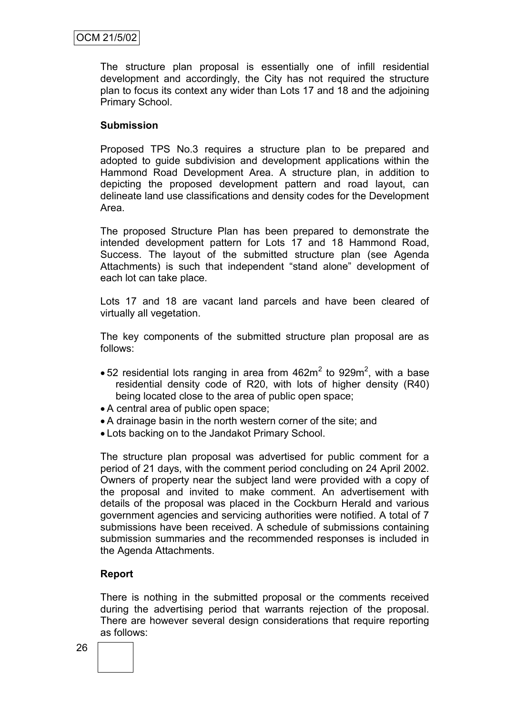The structure plan proposal is essentially one of infill residential development and accordingly, the City has not required the structure plan to focus its context any wider than Lots 17 and 18 and the adjoining Primary School.

## **Submission**

Proposed TPS No.3 requires a structure plan to be prepared and adopted to guide subdivision and development applications within the Hammond Road Development Area. A structure plan, in addition to depicting the proposed development pattern and road layout, can delineate land use classifications and density codes for the Development Area.

The proposed Structure Plan has been prepared to demonstrate the intended development pattern for Lots 17 and 18 Hammond Road, Success. The layout of the submitted structure plan (see Agenda Attachments) is such that independent "stand alone" development of each lot can take place.

Lots 17 and 18 are vacant land parcels and have been cleared of virtually all vegetation.

The key components of the submitted structure plan proposal are as follows:

- 52 residential lots ranging in area from  $462m^2$  to  $929m^2$ , with a base residential density code of R20, with lots of higher density (R40) being located close to the area of public open space;
- A central area of public open space;
- A drainage basin in the north western corner of the site; and
- Lots backing on to the Jandakot Primary School.

The structure plan proposal was advertised for public comment for a period of 21 days, with the comment period concluding on 24 April 2002. Owners of property near the subject land were provided with a copy of the proposal and invited to make comment. An advertisement with details of the proposal was placed in the Cockburn Herald and various government agencies and servicing authorities were notified. A total of 7 submissions have been received. A schedule of submissions containing submission summaries and the recommended responses is included in the Agenda Attachments.

## **Report**

There is nothing in the submitted proposal or the comments received during the advertising period that warrants rejection of the proposal. There are however several design considerations that require reporting as follows: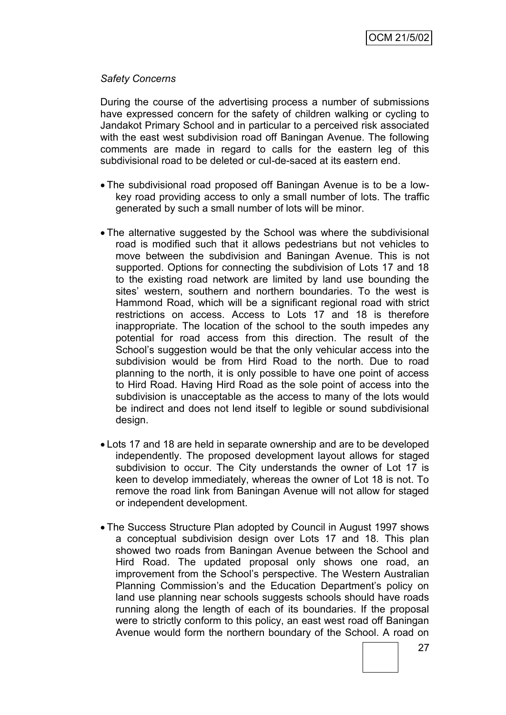#### *Safety Concerns*

During the course of the advertising process a number of submissions have expressed concern for the safety of children walking or cycling to Jandakot Primary School and in particular to a perceived risk associated with the east west subdivision road off Baningan Avenue. The following comments are made in regard to calls for the eastern leg of this subdivisional road to be deleted or cul-de-saced at its eastern end.

- The subdivisional road proposed off Baningan Avenue is to be a lowkey road providing access to only a small number of lots. The traffic generated by such a small number of lots will be minor.
- The alternative suggested by the School was where the subdivisional road is modified such that it allows pedestrians but not vehicles to move between the subdivision and Baningan Avenue. This is not supported. Options for connecting the subdivision of Lots 17 and 18 to the existing road network are limited by land use bounding the sites' western, southern and northern boundaries. To the west is Hammond Road, which will be a significant regional road with strict restrictions on access. Access to Lots 17 and 18 is therefore inappropriate. The location of the school to the south impedes any potential for road access from this direction. The result of the School's suggestion would be that the only vehicular access into the subdivision would be from Hird Road to the north. Due to road planning to the north, it is only possible to have one point of access to Hird Road. Having Hird Road as the sole point of access into the subdivision is unacceptable as the access to many of the lots would be indirect and does not lend itself to legible or sound subdivisional design.
- Lots 17 and 18 are held in separate ownership and are to be developed independently. The proposed development layout allows for staged subdivision to occur. The City understands the owner of Lot 17 is keen to develop immediately, whereas the owner of Lot 18 is not. To remove the road link from Baningan Avenue will not allow for staged or independent development.
- The Success Structure Plan adopted by Council in August 1997 shows a conceptual subdivision design over Lots 17 and 18. This plan showed two roads from Baningan Avenue between the School and Hird Road. The updated proposal only shows one road, an improvement from the School"s perspective. The Western Australian Planning Commission's and the Education Department's policy on land use planning near schools suggests schools should have roads running along the length of each of its boundaries. If the proposal were to strictly conform to this policy, an east west road off Baningan Avenue would form the northern boundary of the School. A road on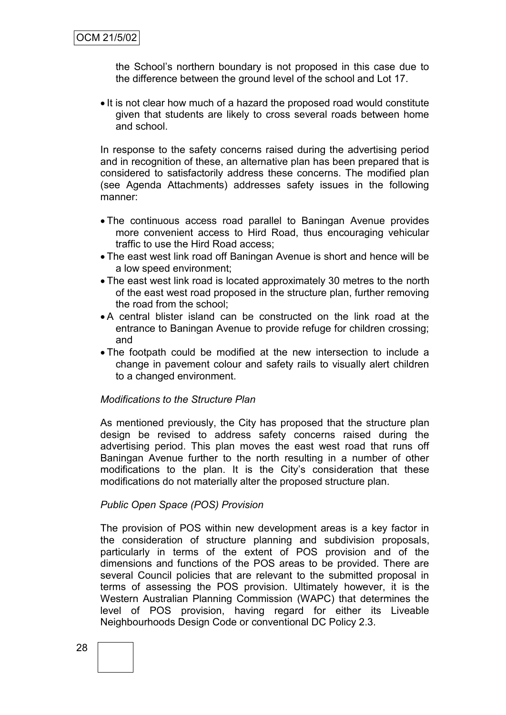the School"s northern boundary is not proposed in this case due to the difference between the ground level of the school and Lot 17.

• It is not clear how much of a hazard the proposed road would constitute given that students are likely to cross several roads between home and school.

In response to the safety concerns raised during the advertising period and in recognition of these, an alternative plan has been prepared that is considered to satisfactorily address these concerns. The modified plan (see Agenda Attachments) addresses safety issues in the following manner:

- The continuous access road parallel to Baningan Avenue provides more convenient access to Hird Road, thus encouraging vehicular traffic to use the Hird Road access;
- The east west link road off Baningan Avenue is short and hence will be a low speed environment;
- The east west link road is located approximately 30 metres to the north of the east west road proposed in the structure plan, further removing the road from the school;
- A central blister island can be constructed on the link road at the entrance to Baningan Avenue to provide refuge for children crossing; and
- The footpath could be modified at the new intersection to include a change in pavement colour and safety rails to visually alert children to a changed environment.

## *Modifications to the Structure Plan*

As mentioned previously, the City has proposed that the structure plan design be revised to address safety concerns raised during the advertising period. This plan moves the east west road that runs off Baningan Avenue further to the north resulting in a number of other modifications to the plan. It is the City"s consideration that these modifications do not materially alter the proposed structure plan.

## *Public Open Space (POS) Provision*

The provision of POS within new development areas is a key factor in the consideration of structure planning and subdivision proposals, particularly in terms of the extent of POS provision and of the dimensions and functions of the POS areas to be provided. There are several Council policies that are relevant to the submitted proposal in terms of assessing the POS provision. Ultimately however, it is the Western Australian Planning Commission (WAPC) that determines the level of POS provision, having regard for either its Liveable Neighbourhoods Design Code or conventional DC Policy 2.3.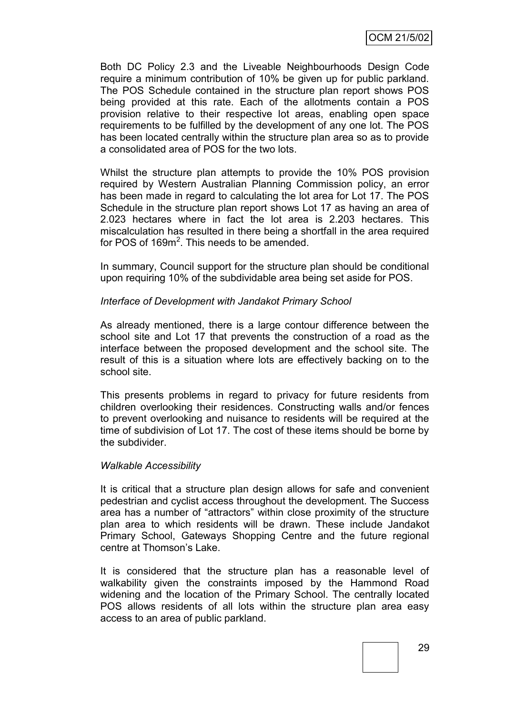Both DC Policy 2.3 and the Liveable Neighbourhoods Design Code require a minimum contribution of 10% be given up for public parkland. The POS Schedule contained in the structure plan report shows POS being provided at this rate. Each of the allotments contain a POS provision relative to their respective lot areas, enabling open space requirements to be fulfilled by the development of any one lot. The POS has been located centrally within the structure plan area so as to provide a consolidated area of POS for the two lots.

Whilst the structure plan attempts to provide the 10% POS provision required by Western Australian Planning Commission policy, an error has been made in regard to calculating the lot area for Lot 17. The POS Schedule in the structure plan report shows Lot 17 as having an area of 2.023 hectares where in fact the lot area is 2.203 hectares. This miscalculation has resulted in there being a shortfall in the area required for POS of 169m<sup>2</sup>. This needs to be amended.

In summary, Council support for the structure plan should be conditional upon requiring 10% of the subdividable area being set aside for POS.

#### *Interface of Development with Jandakot Primary School*

As already mentioned, there is a large contour difference between the school site and Lot 17 that prevents the construction of a road as the interface between the proposed development and the school site. The result of this is a situation where lots are effectively backing on to the school site.

This presents problems in regard to privacy for future residents from children overlooking their residences. Constructing walls and/or fences to prevent overlooking and nuisance to residents will be required at the time of subdivision of Lot 17. The cost of these items should be borne by the subdivider.

#### *Walkable Accessibility*

It is critical that a structure plan design allows for safe and convenient pedestrian and cyclist access throughout the development. The Success area has a number of "attractors" within close proximity of the structure plan area to which residents will be drawn. These include Jandakot Primary School, Gateways Shopping Centre and the future regional centre at Thomson"s Lake.

It is considered that the structure plan has a reasonable level of walkability given the constraints imposed by the Hammond Road widening and the location of the Primary School. The centrally located POS allows residents of all lots within the structure plan area easy access to an area of public parkland.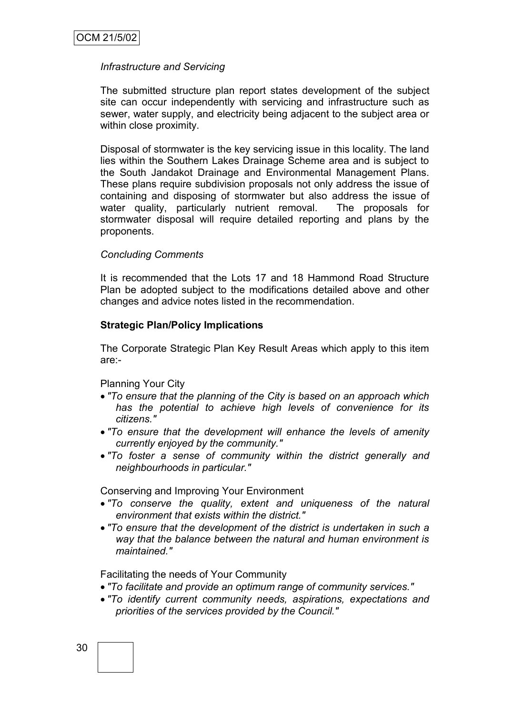#### *Infrastructure and Servicing*

The submitted structure plan report states development of the subject site can occur independently with servicing and infrastructure such as sewer, water supply, and electricity being adjacent to the subject area or within close proximity.

Disposal of stormwater is the key servicing issue in this locality. The land lies within the Southern Lakes Drainage Scheme area and is subject to the South Jandakot Drainage and Environmental Management Plans. These plans require subdivision proposals not only address the issue of containing and disposing of stormwater but also address the issue of water quality, particularly nutrient removal. The proposals for stormwater disposal will require detailed reporting and plans by the proponents.

#### *Concluding Comments*

It is recommended that the Lots 17 and 18 Hammond Road Structure Plan be adopted subject to the modifications detailed above and other changes and advice notes listed in the recommendation.

#### **Strategic Plan/Policy Implications**

The Corporate Strategic Plan Key Result Areas which apply to this item are:-

Planning Your City

- *"To ensure that the planning of the City is based on an approach which has the potential to achieve high levels of convenience for its citizens."*
- *"To ensure that the development will enhance the levels of amenity currently enjoyed by the community."*
- *"To foster a sense of community within the district generally and neighbourhoods in particular."*

Conserving and Improving Your Environment

- *"To conserve the quality, extent and uniqueness of the natural environment that exists within the district."*
- *"To ensure that the development of the district is undertaken in such a way that the balance between the natural and human environment is maintained."*

Facilitating the needs of Your Community

- *"To facilitate and provide an optimum range of community services."*
- *"To identify current community needs, aspirations, expectations and priorities of the services provided by the Council."*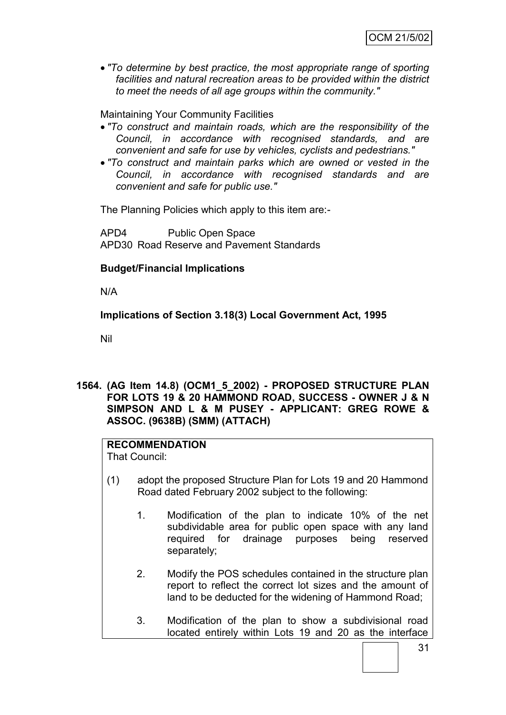*"To determine by best practice, the most appropriate range of sporting facilities and natural recreation areas to be provided within the district to meet the needs of all age groups within the community."*

Maintaining Your Community Facilities

- *"To construct and maintain roads, which are the responsibility of the Council, in accordance with recognised standards, and are convenient and safe for use by vehicles, cyclists and pedestrians."*
- *"To construct and maintain parks which are owned or vested in the Council, in accordance with recognised standards and are convenient and safe for public use."*

The Planning Policies which apply to this item are:-

APD4 Public Open Space APD30 Road Reserve and Pavement Standards

## **Budget/Financial Implications**

N/A

**Implications of Section 3.18(3) Local Government Act, 1995**

Nil

**1564. (AG Item 14.8) (OCM1\_5\_2002) - PROPOSED STRUCTURE PLAN FOR LOTS 19 & 20 HAMMOND ROAD, SUCCESS - OWNER J & N SIMPSON AND L & M PUSEY - APPLICANT: GREG ROWE & ASSOC. (9638B) (SMM) (ATTACH)**

## **RECOMMENDATION**

That Council:

- (1) adopt the proposed Structure Plan for Lots 19 and 20 Hammond Road dated February 2002 subject to the following:
	- 1. Modification of the plan to indicate 10% of the net subdividable area for public open space with any land required for drainage purposes being reserved separately;
	- 2. Modify the POS schedules contained in the structure plan report to reflect the correct lot sizes and the amount of land to be deducted for the widening of Hammond Road;
	- 3. Modification of the plan to show a subdivisional road located entirely within Lots 19 and 20 as the interface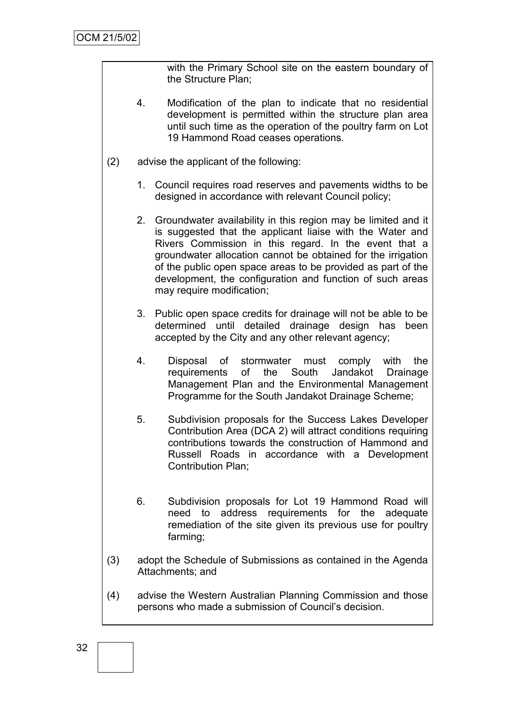with the Primary School site on the eastern boundary of the Structure Plan;

- 4. Modification of the plan to indicate that no residential development is permitted within the structure plan area until such time as the operation of the poultry farm on Lot 19 Hammond Road ceases operations.
- (2) advise the applicant of the following:
	- 1. Council requires road reserves and pavements widths to be designed in accordance with relevant Council policy;
	- 2. Groundwater availability in this region may be limited and it is suggested that the applicant liaise with the Water and Rivers Commission in this regard. In the event that a groundwater allocation cannot be obtained for the irrigation of the public open space areas to be provided as part of the development, the configuration and function of such areas may require modification;
	- 3. Public open space credits for drainage will not be able to be determined until detailed drainage design has been accepted by the City and any other relevant agency;
	- 4. Disposal of stormwater must comply with the requirements of the South Jandakot Drainage Management Plan and the Environmental Management Programme for the South Jandakot Drainage Scheme;
	- 5. Subdivision proposals for the Success Lakes Developer Contribution Area (DCA 2) will attract conditions requiring contributions towards the construction of Hammond and Russell Roads in accordance with a Development Contribution Plan;
	- 6. Subdivision proposals for Lot 19 Hammond Road will need to address requirements for the adequate remediation of the site given its previous use for poultry farming;
- (3) adopt the Schedule of Submissions as contained in the Agenda Attachments; and
- (4) advise the Western Australian Planning Commission and those persons who made a submission of Council"s decision.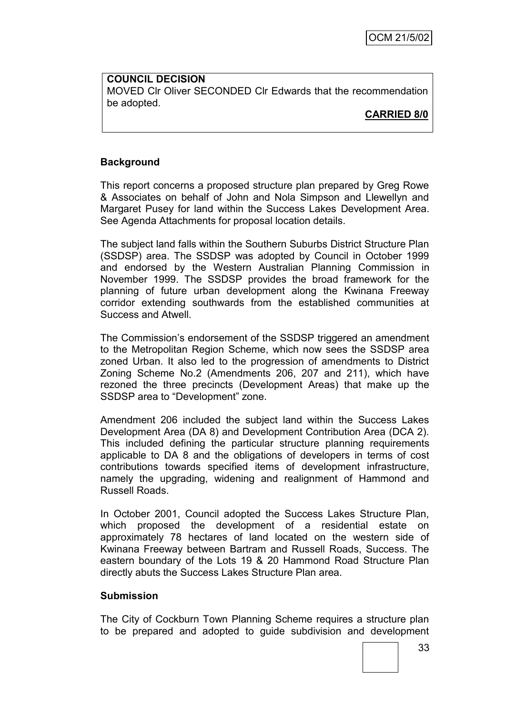**COUNCIL DECISION** MOVED Clr Oliver SECONDED Clr Edwards that the recommendation be adopted.

**CARRIED 8/0**

## **Background**

This report concerns a proposed structure plan prepared by Greg Rowe & Associates on behalf of John and Nola Simpson and Llewellyn and Margaret Pusey for land within the Success Lakes Development Area. See Agenda Attachments for proposal location details.

The subject land falls within the Southern Suburbs District Structure Plan (SSDSP) area. The SSDSP was adopted by Council in October 1999 and endorsed by the Western Australian Planning Commission in November 1999. The SSDSP provides the broad framework for the planning of future urban development along the Kwinana Freeway corridor extending southwards from the established communities at Success and Atwell.

The Commission's endorsement of the SSDSP triggered an amendment to the Metropolitan Region Scheme, which now sees the SSDSP area zoned Urban. It also led to the progression of amendments to District Zoning Scheme No.2 (Amendments 206, 207 and 211), which have rezoned the three precincts (Development Areas) that make up the SSDSP area to "Development" zone.

Amendment 206 included the subject land within the Success Lakes Development Area (DA 8) and Development Contribution Area (DCA 2). This included defining the particular structure planning requirements applicable to DA 8 and the obligations of developers in terms of cost contributions towards specified items of development infrastructure, namely the upgrading, widening and realignment of Hammond and Russell Roads.

In October 2001, Council adopted the Success Lakes Structure Plan, which proposed the development of a residential estate on approximately 78 hectares of land located on the western side of Kwinana Freeway between Bartram and Russell Roads, Success. The eastern boundary of the Lots 19 & 20 Hammond Road Structure Plan directly abuts the Success Lakes Structure Plan area.

## **Submission**

The City of Cockburn Town Planning Scheme requires a structure plan to be prepared and adopted to guide subdivision and development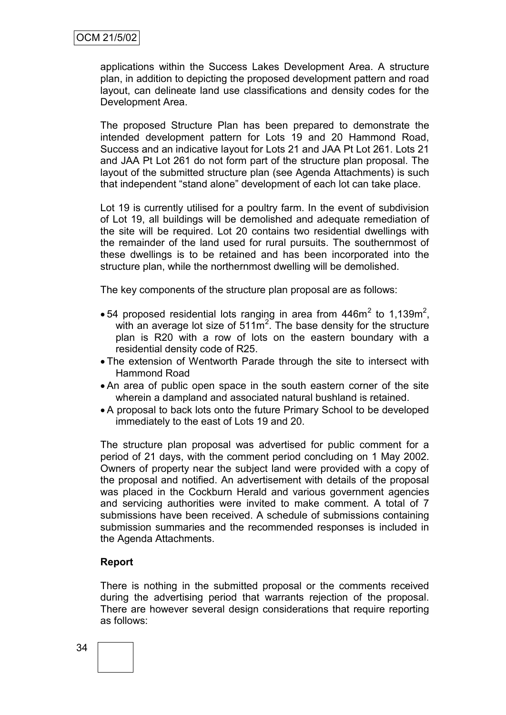applications within the Success Lakes Development Area. A structure plan, in addition to depicting the proposed development pattern and road layout, can delineate land use classifications and density codes for the Development Area.

The proposed Structure Plan has been prepared to demonstrate the intended development pattern for Lots 19 and 20 Hammond Road, Success and an indicative layout for Lots 21 and JAA Pt Lot 261. Lots 21 and JAA Pt Lot 261 do not form part of the structure plan proposal. The layout of the submitted structure plan (see Agenda Attachments) is such that independent "stand alone" development of each lot can take place.

Lot 19 is currently utilised for a poultry farm. In the event of subdivision of Lot 19, all buildings will be demolished and adequate remediation of the site will be required. Lot 20 contains two residential dwellings with the remainder of the land used for rural pursuits. The southernmost of these dwellings is to be retained and has been incorporated into the structure plan, while the northernmost dwelling will be demolished.

The key components of the structure plan proposal are as follows:

- 54 proposed residential lots ranging in area from  $446m^2$  to 1,139m<sup>2</sup>, with an average lot size of  $511m^2$ . The base density for the structure plan is R20 with a row of lots on the eastern boundary with a residential density code of R25.
- The extension of Wentworth Parade through the site to intersect with Hammond Road
- An area of public open space in the south eastern corner of the site wherein a dampland and associated natural bushland is retained.
- A proposal to back lots onto the future Primary School to be developed immediately to the east of Lots 19 and 20.

The structure plan proposal was advertised for public comment for a period of 21 days, with the comment period concluding on 1 May 2002. Owners of property near the subject land were provided with a copy of the proposal and notified. An advertisement with details of the proposal was placed in the Cockburn Herald and various government agencies and servicing authorities were invited to make comment. A total of 7 submissions have been received. A schedule of submissions containing submission summaries and the recommended responses is included in the Agenda Attachments.

## **Report**

There is nothing in the submitted proposal or the comments received during the advertising period that warrants rejection of the proposal. There are however several design considerations that require reporting as follows: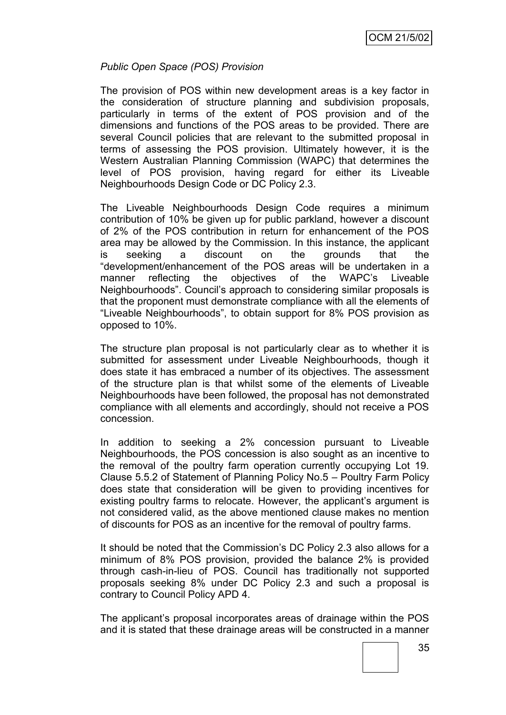## *Public Open Space (POS) Provision*

The provision of POS within new development areas is a key factor in the consideration of structure planning and subdivision proposals, particularly in terms of the extent of POS provision and of the dimensions and functions of the POS areas to be provided. There are several Council policies that are relevant to the submitted proposal in terms of assessing the POS provision. Ultimately however, it is the Western Australian Planning Commission (WAPC) that determines the level of POS provision, having regard for either its Liveable Neighbourhoods Design Code or DC Policy 2.3.

The Liveable Neighbourhoods Design Code requires a minimum contribution of 10% be given up for public parkland, however a discount of 2% of the POS contribution in return for enhancement of the POS area may be allowed by the Commission. In this instance, the applicant is seeking a discount on the grounds that the "development/enhancement of the POS areas will be undertaken in a manner reflecting the objectives of the WAPC"s Liveable Neighbourhoods". Council"s approach to considering similar proposals is that the proponent must demonstrate compliance with all the elements of "Liveable Neighbourhoods", to obtain support for 8% POS provision as opposed to 10%.

The structure plan proposal is not particularly clear as to whether it is submitted for assessment under Liveable Neighbourhoods, though it does state it has embraced a number of its objectives. The assessment of the structure plan is that whilst some of the elements of Liveable Neighbourhoods have been followed, the proposal has not demonstrated compliance with all elements and accordingly, should not receive a POS concession.

In addition to seeking a 2% concession pursuant to Liveable Neighbourhoods, the POS concession is also sought as an incentive to the removal of the poultry farm operation currently occupying Lot 19. Clause 5.5.2 of Statement of Planning Policy No.5 – Poultry Farm Policy does state that consideration will be given to providing incentives for existing poultry farms to relocate. However, the applicant's argument is not considered valid, as the above mentioned clause makes no mention of discounts for POS as an incentive for the removal of poultry farms.

It should be noted that the Commission"s DC Policy 2.3 also allows for a minimum of 8% POS provision, provided the balance 2% is provided through cash-in-lieu of POS. Council has traditionally not supported proposals seeking 8% under DC Policy 2.3 and such a proposal is contrary to Council Policy APD 4.

The applicant"s proposal incorporates areas of drainage within the POS and it is stated that these drainage areas will be constructed in a manner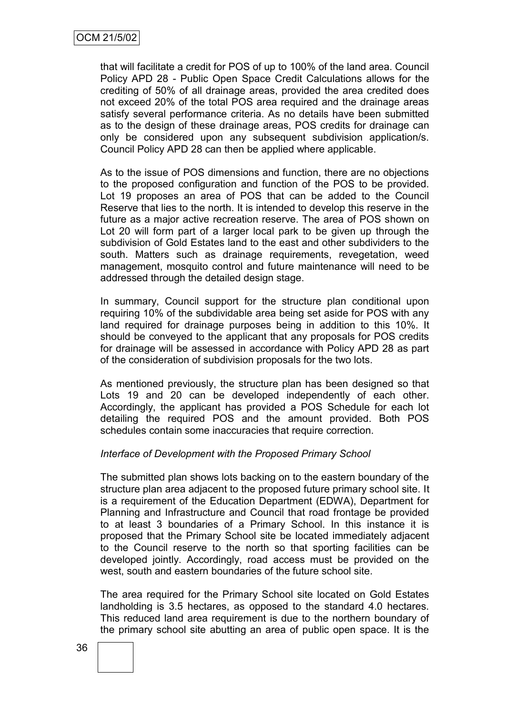that will facilitate a credit for POS of up to 100% of the land area. Council Policy APD 28 - Public Open Space Credit Calculations allows for the crediting of 50% of all drainage areas, provided the area credited does not exceed 20% of the total POS area required and the drainage areas satisfy several performance criteria. As no details have been submitted as to the design of these drainage areas, POS credits for drainage can only be considered upon any subsequent subdivision application/s. Council Policy APD 28 can then be applied where applicable.

As to the issue of POS dimensions and function, there are no objections to the proposed configuration and function of the POS to be provided. Lot 19 proposes an area of POS that can be added to the Council Reserve that lies to the north. It is intended to develop this reserve in the future as a major active recreation reserve. The area of POS shown on Lot 20 will form part of a larger local park to be given up through the subdivision of Gold Estates land to the east and other subdividers to the south. Matters such as drainage requirements, revegetation, weed management, mosquito control and future maintenance will need to be addressed through the detailed design stage.

In summary, Council support for the structure plan conditional upon requiring 10% of the subdividable area being set aside for POS with any land required for drainage purposes being in addition to this 10%. It should be conveyed to the applicant that any proposals for POS credits for drainage will be assessed in accordance with Policy APD 28 as part of the consideration of subdivision proposals for the two lots.

As mentioned previously, the structure plan has been designed so that Lots 19 and 20 can be developed independently of each other. Accordingly, the applicant has provided a POS Schedule for each lot detailing the required POS and the amount provided. Both POS schedules contain some inaccuracies that require correction.

#### *Interface of Development with the Proposed Primary School*

The submitted plan shows lots backing on to the eastern boundary of the structure plan area adjacent to the proposed future primary school site. It is a requirement of the Education Department (EDWA), Department for Planning and Infrastructure and Council that road frontage be provided to at least 3 boundaries of a Primary School. In this instance it is proposed that the Primary School site be located immediately adjacent to the Council reserve to the north so that sporting facilities can be developed jointly. Accordingly, road access must be provided on the west, south and eastern boundaries of the future school site.

The area required for the Primary School site located on Gold Estates landholding is 3.5 hectares, as opposed to the standard 4.0 hectares. This reduced land area requirement is due to the northern boundary of the primary school site abutting an area of public open space. It is the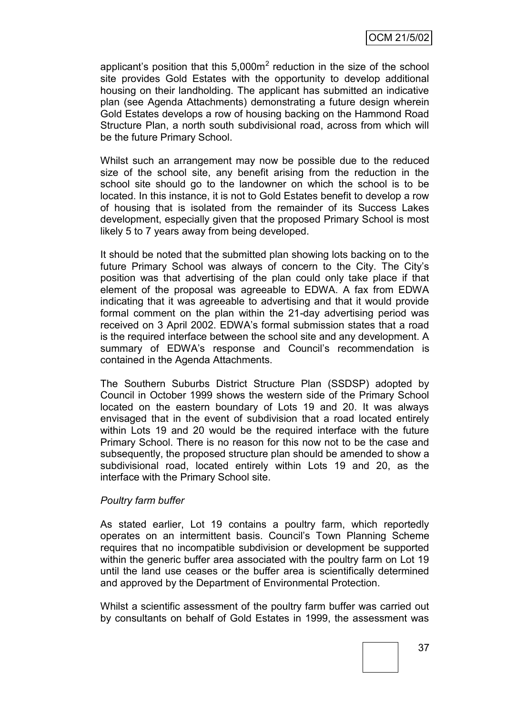applicant's position that this  $5,000m^2$  reduction in the size of the school site provides Gold Estates with the opportunity to develop additional housing on their landholding. The applicant has submitted an indicative plan (see Agenda Attachments) demonstrating a future design wherein Gold Estates develops a row of housing backing on the Hammond Road Structure Plan, a north south subdivisional road, across from which will be the future Primary School.

Whilst such an arrangement may now be possible due to the reduced size of the school site, any benefit arising from the reduction in the school site should go to the landowner on which the school is to be located. In this instance, it is not to Gold Estates benefit to develop a row of housing that is isolated from the remainder of its Success Lakes development, especially given that the proposed Primary School is most likely 5 to 7 years away from being developed.

It should be noted that the submitted plan showing lots backing on to the future Primary School was always of concern to the City. The City"s position was that advertising of the plan could only take place if that element of the proposal was agreeable to EDWA. A fax from EDWA indicating that it was agreeable to advertising and that it would provide formal comment on the plan within the 21-day advertising period was received on 3 April 2002. EDWA"s formal submission states that a road is the required interface between the school site and any development. A summary of EDWA's response and Council's recommendation is contained in the Agenda Attachments.

The Southern Suburbs District Structure Plan (SSDSP) adopted by Council in October 1999 shows the western side of the Primary School located on the eastern boundary of Lots 19 and 20. It was always envisaged that in the event of subdivision that a road located entirely within Lots 19 and 20 would be the required interface with the future Primary School. There is no reason for this now not to be the case and subsequently, the proposed structure plan should be amended to show a subdivisional road, located entirely within Lots 19 and 20, as the interface with the Primary School site.

## *Poultry farm buffer*

As stated earlier, Lot 19 contains a poultry farm, which reportedly operates on an intermittent basis. Council"s Town Planning Scheme requires that no incompatible subdivision or development be supported within the generic buffer area associated with the poultry farm on Lot 19 until the land use ceases or the buffer area is scientifically determined and approved by the Department of Environmental Protection.

Whilst a scientific assessment of the poultry farm buffer was carried out by consultants on behalf of Gold Estates in 1999, the assessment was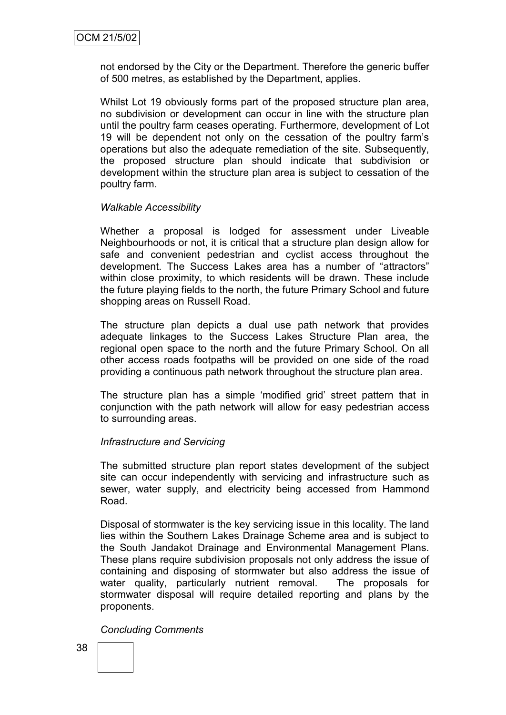not endorsed by the City or the Department. Therefore the generic buffer of 500 metres, as established by the Department, applies.

Whilst Lot 19 obviously forms part of the proposed structure plan area, no subdivision or development can occur in line with the structure plan until the poultry farm ceases operating. Furthermore, development of Lot 19 will be dependent not only on the cessation of the poultry farm"s operations but also the adequate remediation of the site. Subsequently, the proposed structure plan should indicate that subdivision or development within the structure plan area is subject to cessation of the poultry farm.

## *Walkable Accessibility*

Whether a proposal is lodged for assessment under Liveable Neighbourhoods or not, it is critical that a structure plan design allow for safe and convenient pedestrian and cyclist access throughout the development. The Success Lakes area has a number of "attractors" within close proximity, to which residents will be drawn. These include the future playing fields to the north, the future Primary School and future shopping areas on Russell Road.

The structure plan depicts a dual use path network that provides adequate linkages to the Success Lakes Structure Plan area, the regional open space to the north and the future Primary School. On all other access roads footpaths will be provided on one side of the road providing a continuous path network throughout the structure plan area.

The structure plan has a simple "modified grid" street pattern that in conjunction with the path network will allow for easy pedestrian access to surrounding areas.

## *Infrastructure and Servicing*

The submitted structure plan report states development of the subject site can occur independently with servicing and infrastructure such as sewer, water supply, and electricity being accessed from Hammond Road.

Disposal of stormwater is the key servicing issue in this locality. The land lies within the Southern Lakes Drainage Scheme area and is subject to the South Jandakot Drainage and Environmental Management Plans. These plans require subdivision proposals not only address the issue of containing and disposing of stormwater but also address the issue of water quality, particularly nutrient removal. The proposals for stormwater disposal will require detailed reporting and plans by the proponents.

## *Concluding Comments*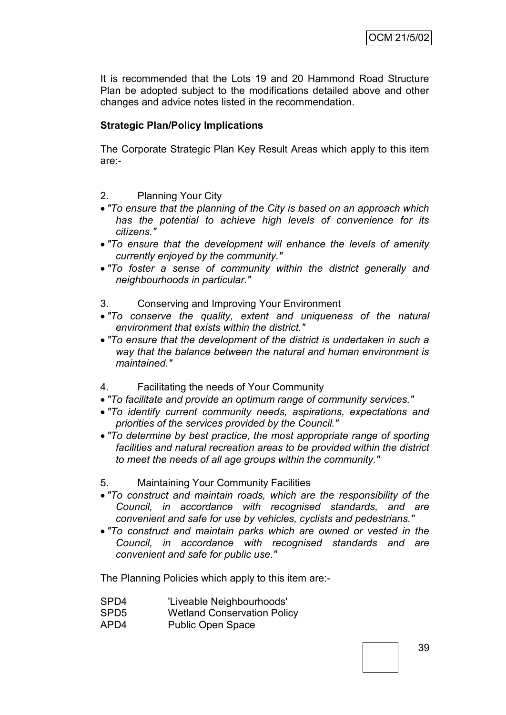It is recommended that the Lots 19 and 20 Hammond Road Structure Plan be adopted subject to the modifications detailed above and other changes and advice notes listed in the recommendation.

## **Strategic Plan/Policy Implications**

The Corporate Strategic Plan Key Result Areas which apply to this item are:-

2. Planning Your City

- *"To ensure that the planning of the City is based on an approach which has the potential to achieve high levels of convenience for its citizens."*
- *"To ensure that the development will enhance the levels of amenity currently enjoyed by the community."*
- *"To foster a sense of community within the district generally and neighbourhoods in particular."*
- 3. Conserving and Improving Your Environment
- *"To conserve the quality, extent and uniqueness of the natural environment that exists within the district."*
- *"To ensure that the development of the district is undertaken in such a way that the balance between the natural and human environment is maintained."*
- 4. Facilitating the needs of Your Community
- *"To facilitate and provide an optimum range of community services."*
- *"To identify current community needs, aspirations, expectations and priorities of the services provided by the Council."*
- *"To determine by best practice, the most appropriate range of sporting facilities and natural recreation areas to be provided within the district to meet the needs of all age groups within the community."*
- 5. Maintaining Your Community Facilities
- *"To construct and maintain roads, which are the responsibility of the Council, in accordance with recognised standards, and are convenient and safe for use by vehicles, cyclists and pedestrians."*
- *"To construct and maintain parks which are owned or vested in the Council, in accordance with recognised standards and are convenient and safe for public use."*

The Planning Policies which apply to this item are:-

- SPD4 'Liveable Neighbourhoods'
- SPD5 Wetland Conservation Policy
- APD4 Public Open Space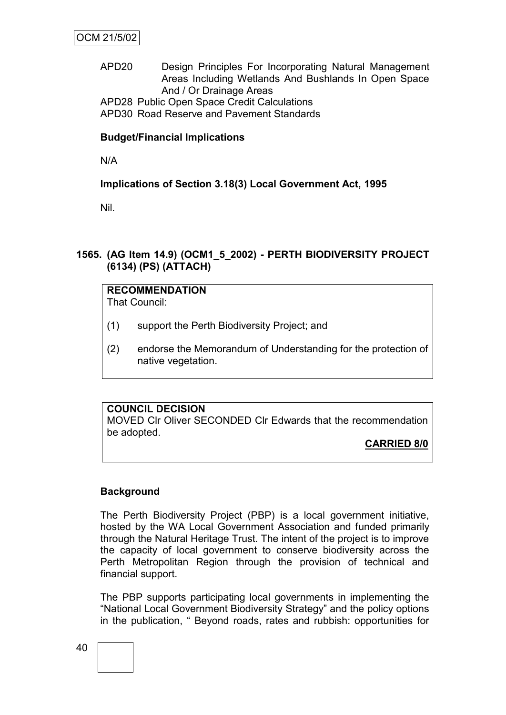# APD20 Design Principles For Incorporating Natural Management Areas Including Wetlands And Bushlands In Open Space And / Or Drainage Areas

APD28 Public Open Space Credit Calculations

APD30 Road Reserve and Pavement Standards

## **Budget/Financial Implications**

N/A

# **Implications of Section 3.18(3) Local Government Act, 1995**

Nil.

## **1565. (AG Item 14.9) (OCM1\_5\_2002) - PERTH BIODIVERSITY PROJECT (6134) (PS) (ATTACH)**

# **RECOMMENDATION**

That Council:

- (1) support the Perth Biodiversity Project; and
- (2) endorse the Memorandum of Understanding for the protection of native vegetation.

## **COUNCIL DECISION**

MOVED Clr Oliver SECONDED Clr Edwards that the recommendation be adopted.

# **CARRIED 8/0**

## **Background**

The Perth Biodiversity Project (PBP) is a local government initiative, hosted by the WA Local Government Association and funded primarily through the Natural Heritage Trust. The intent of the project is to improve the capacity of local government to conserve biodiversity across the Perth Metropolitan Region through the provision of technical and financial support.

The PBP supports participating local governments in implementing the "National Local Government Biodiversity Strategy" and the policy options in the publication, " Beyond roads, rates and rubbish: opportunities for

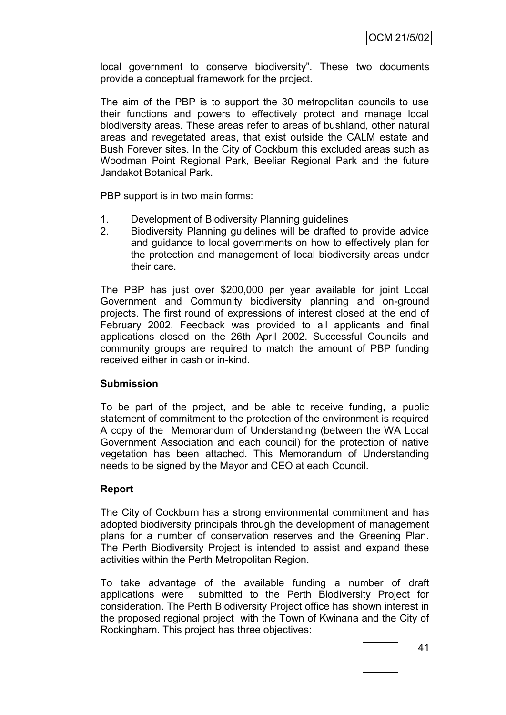local government to conserve biodiversity". These two documents provide a conceptual framework for the project.

The aim of the PBP is to support the 30 metropolitan councils to use their functions and powers to effectively protect and manage local biodiversity areas. These areas refer to areas of bushland, other natural areas and revegetated areas, that exist outside the CALM estate and Bush Forever sites. In the City of Cockburn this excluded areas such as Woodman Point Regional Park, Beeliar Regional Park and the future Jandakot Botanical Park.

PBP support is in two main forms:

- 1. Development of Biodiversity Planning guidelines
- 2. Biodiversity Planning guidelines will be drafted to provide advice and guidance to local governments on how to effectively plan for the protection and management of local biodiversity areas under their care.

The PBP has just over \$200,000 per year available for joint Local Government and Community biodiversity planning and on-ground projects. The first round of expressions of interest closed at the end of February 2002. Feedback was provided to all applicants and final applications closed on the 26th April 2002. Successful Councils and community groups are required to match the amount of PBP funding received either in cash or in-kind.

## **Submission**

To be part of the project, and be able to receive funding, a public statement of commitment to the protection of the environment is required A copy of the Memorandum of Understanding (between the WA Local Government Association and each council) for the protection of native vegetation has been attached. This Memorandum of Understanding needs to be signed by the Mayor and CEO at each Council.

## **Report**

The City of Cockburn has a strong environmental commitment and has adopted biodiversity principals through the development of management plans for a number of conservation reserves and the Greening Plan. The Perth Biodiversity Project is intended to assist and expand these activities within the Perth Metropolitan Region.

To take advantage of the available funding a number of draft applications were submitted to the Perth Biodiversity Project for consideration. The Perth Biodiversity Project office has shown interest in the proposed regional project with the Town of Kwinana and the City of Rockingham. This project has three objectives: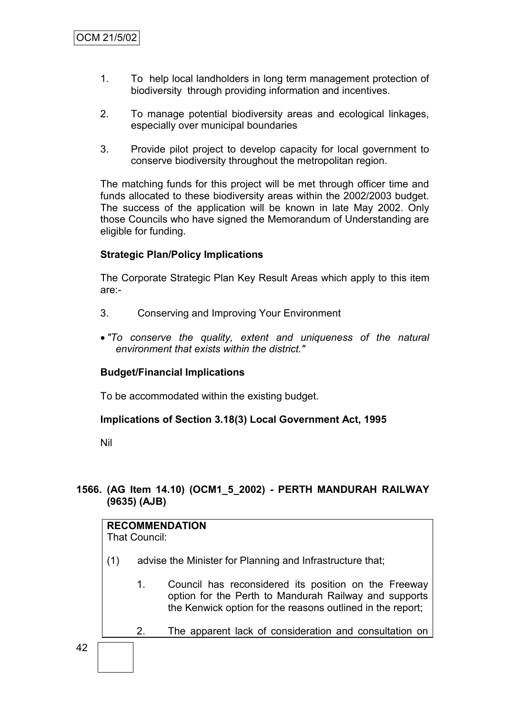- 1. To help local landholders in long term management protection of biodiversity through providing information and incentives.
- 2. To manage potential biodiversity areas and ecological linkages, especially over municipal boundaries
- 3. Provide pilot project to develop capacity for local government to conserve biodiversity throughout the metropolitan region.

The matching funds for this project will be met through officer time and funds allocated to these biodiversity areas within the 2002/2003 budget. The success of the application will be known in late May 2002. Only those Councils who have signed the Memorandum of Understanding are eligible for funding.

## **Strategic Plan/Policy Implications**

The Corporate Strategic Plan Key Result Areas which apply to this item are:-

- 3. Conserving and Improving Your Environment
- *"To conserve the quality, extent and uniqueness of the natural environment that exists within the district."*

## **Budget/Financial Implications**

To be accommodated within the existing budget.

## **Implications of Section 3.18(3) Local Government Act, 1995**

Nil

42

## **1566. (AG Item 14.10) (OCM1\_5\_2002) - PERTH MANDURAH RAILWAY (9635) (AJB)**

# **RECOMMENDATION** That Council: (1) advise the Minister for Planning and Infrastructure that; 1. Council has reconsidered its position on the Freeway option for the Perth to Mandurah Railway and supports the Kenwick option for the reasons outlined in the report; 2. The apparent lack of consideration and consultation on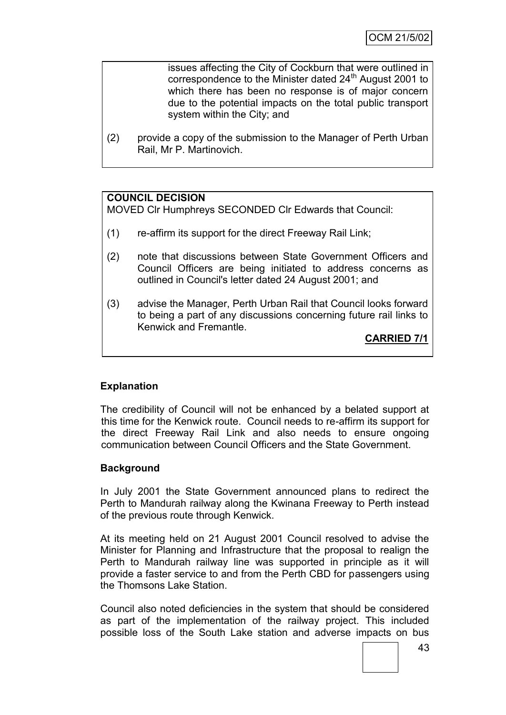issues affecting the City of Cockburn that were outlined in correspondence to the Minister dated 24<sup>th</sup> August 2001 to which there has been no response is of major concern due to the potential impacts on the total public transport system within the City; and

(2) provide a copy of the submission to the Manager of Perth Urban Rail, Mr P. Martinovich.

#### **COUNCIL DECISION**

MOVED Clr Humphreys SECONDED Clr Edwards that Council:

- (1) re-affirm its support for the direct Freeway Rail Link;
- (2) note that discussions between State Government Officers and Council Officers are being initiated to address concerns as outlined in Council's letter dated 24 August 2001; and
- (3) advise the Manager, Perth Urban Rail that Council looks forward to being a part of any discussions concerning future rail links to Kenwick and Fremantle.

**CARRIED 7/1**

## **Explanation**

The credibility of Council will not be enhanced by a belated support at this time for the Kenwick route. Council needs to re-affirm its support for the direct Freeway Rail Link and also needs to ensure ongoing communication between Council Officers and the State Government.

## **Background**

In July 2001 the State Government announced plans to redirect the Perth to Mandurah railway along the Kwinana Freeway to Perth instead of the previous route through Kenwick.

At its meeting held on 21 August 2001 Council resolved to advise the Minister for Planning and Infrastructure that the proposal to realign the Perth to Mandurah railway line was supported in principle as it will provide a faster service to and from the Perth CBD for passengers using the Thomsons Lake Station.

Council also noted deficiencies in the system that should be considered as part of the implementation of the railway project. This included possible loss of the South Lake station and adverse impacts on bus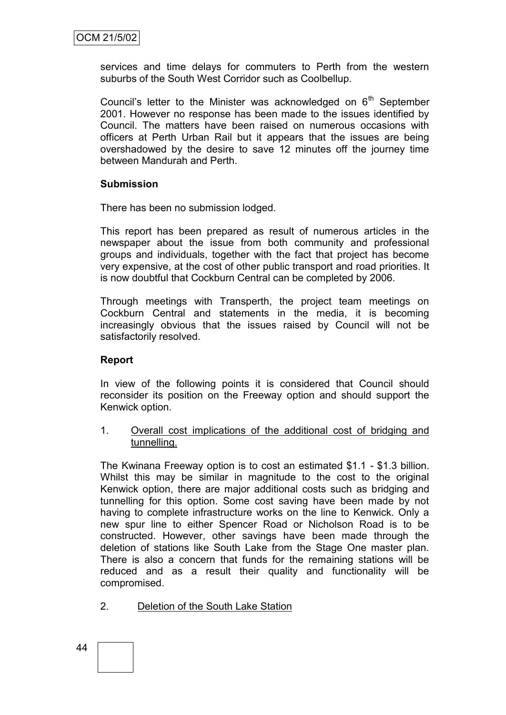services and time delays for commuters to Perth from the western suburbs of the South West Corridor such as Coolbellup.

Council's letter to the Minister was acknowledged on  $6<sup>th</sup>$  September 2001. However no response has been made to the issues identified by Council. The matters have been raised on numerous occasions with officers at Perth Urban Rail but it appears that the issues are being overshadowed by the desire to save 12 minutes off the journey time between Mandurah and Perth.

## **Submission**

There has been no submission lodged.

This report has been prepared as result of numerous articles in the newspaper about the issue from both community and professional groups and individuals, together with the fact that project has become very expensive, at the cost of other public transport and road priorities. It is now doubtful that Cockburn Central can be completed by 2006.

Through meetings with Transperth, the project team meetings on Cockburn Central and statements in the media, it is becoming increasingly obvious that the issues raised by Council will not be satisfactorily resolved.

## **Report**

In view of the following points it is considered that Council should reconsider its position on the Freeway option and should support the Kenwick option.

1. Overall cost implications of the additional cost of bridging and tunnelling.

The Kwinana Freeway option is to cost an estimated \$1.1 - \$1.3 billion. Whilst this may be similar in magnitude to the cost to the original Kenwick option, there are major additional costs such as bridging and tunnelling for this option. Some cost saving have been made by not having to complete infrastructure works on the line to Kenwick. Only a new spur line to either Spencer Road or Nicholson Road is to be constructed. However, other savings have been made through the deletion of stations like South Lake from the Stage One master plan. There is also a concern that funds for the remaining stations will be reduced and as a result their quality and functionality will be compromised.

- 2. Deletion of the South Lake Station
- 44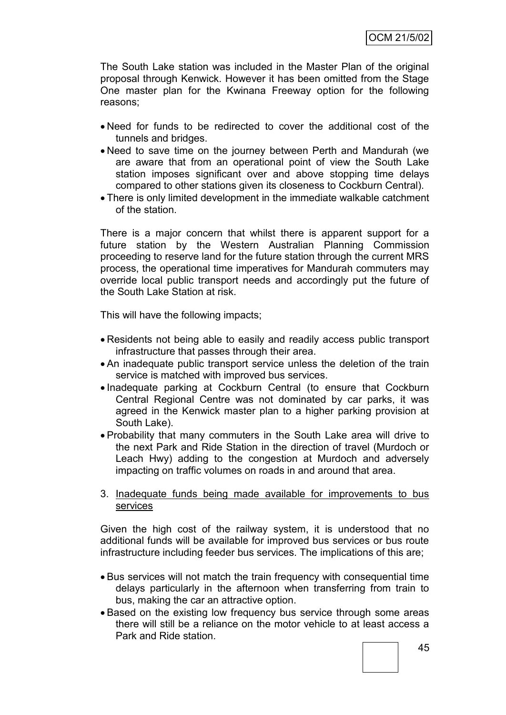The South Lake station was included in the Master Plan of the original proposal through Kenwick. However it has been omitted from the Stage One master plan for the Kwinana Freeway option for the following reasons;

- Need for funds to be redirected to cover the additional cost of the tunnels and bridges.
- Need to save time on the journey between Perth and Mandurah (we are aware that from an operational point of view the South Lake station imposes significant over and above stopping time delays compared to other stations given its closeness to Cockburn Central).
- There is only limited development in the immediate walkable catchment of the station.

There is a major concern that whilst there is apparent support for a future station by the Western Australian Planning Commission proceeding to reserve land for the future station through the current MRS process, the operational time imperatives for Mandurah commuters may override local public transport needs and accordingly put the future of the South Lake Station at risk.

This will have the following impacts;

- Residents not being able to easily and readily access public transport infrastructure that passes through their area.
- An inadequate public transport service unless the deletion of the train service is matched with improved bus services.
- Inadequate parking at Cockburn Central (to ensure that Cockburn Central Regional Centre was not dominated by car parks, it was agreed in the Kenwick master plan to a higher parking provision at South Lake).
- Probability that many commuters in the South Lake area will drive to the next Park and Ride Station in the direction of travel (Murdoch or Leach Hwy) adding to the congestion at Murdoch and adversely impacting on traffic volumes on roads in and around that area.

#### 3. Inadequate funds being made available for improvements to bus services

Given the high cost of the railway system, it is understood that no additional funds will be available for improved bus services or bus route infrastructure including feeder bus services. The implications of this are;

- Bus services will not match the train frequency with consequential time delays particularly in the afternoon when transferring from train to bus, making the car an attractive option.
- Based on the existing low frequency bus service through some areas there will still be a reliance on the motor vehicle to at least access a Park and Ride station.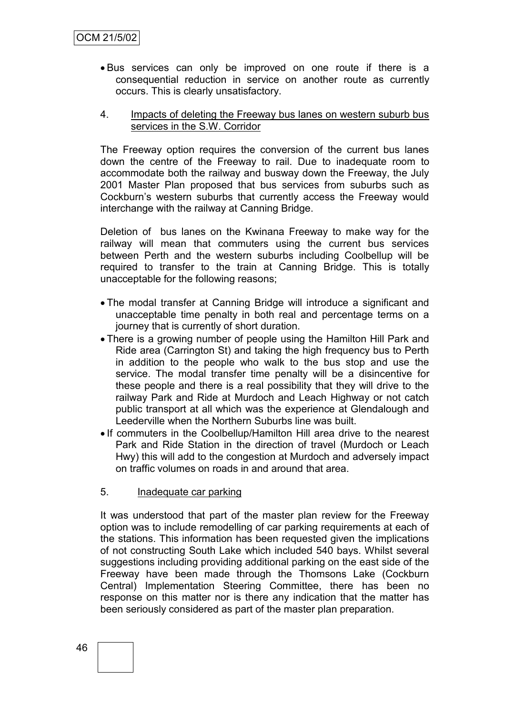- Bus services can only be improved on one route if there is a consequential reduction in service on another route as currently occurs. This is clearly unsatisfactory.
- 4. Impacts of deleting the Freeway bus lanes on western suburb bus services in the S.W. Corridor

The Freeway option requires the conversion of the current bus lanes down the centre of the Freeway to rail. Due to inadequate room to accommodate both the railway and busway down the Freeway, the July 2001 Master Plan proposed that bus services from suburbs such as Cockburn"s western suburbs that currently access the Freeway would interchange with the railway at Canning Bridge.

Deletion of bus lanes on the Kwinana Freeway to make way for the railway will mean that commuters using the current bus services between Perth and the western suburbs including Coolbellup will be required to transfer to the train at Canning Bridge. This is totally unacceptable for the following reasons;

- The modal transfer at Canning Bridge will introduce a significant and unacceptable time penalty in both real and percentage terms on a journey that is currently of short duration.
- There is a growing number of people using the Hamilton Hill Park and Ride area (Carrington St) and taking the high frequency bus to Perth in addition to the people who walk to the bus stop and use the service. The modal transfer time penalty will be a disincentive for these people and there is a real possibility that they will drive to the railway Park and Ride at Murdoch and Leach Highway or not catch public transport at all which was the experience at Glendalough and Leederville when the Northern Suburbs line was built.
- If commuters in the Coolbellup/Hamilton Hill area drive to the nearest Park and Ride Station in the direction of travel (Murdoch or Leach Hwy) this will add to the congestion at Murdoch and adversely impact on traffic volumes on roads in and around that area.
- 5. Inadequate car parking

It was understood that part of the master plan review for the Freeway option was to include remodelling of car parking requirements at each of the stations. This information has been requested given the implications of not constructing South Lake which included 540 bays. Whilst several suggestions including providing additional parking on the east side of the Freeway have been made through the Thomsons Lake (Cockburn Central) Implementation Steering Committee, there has been no response on this matter nor is there any indication that the matter has been seriously considered as part of the master plan preparation.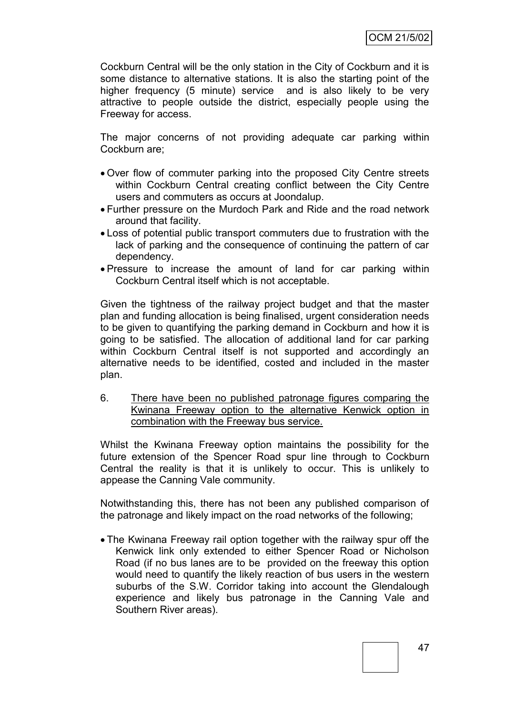Cockburn Central will be the only station in the City of Cockburn and it is some distance to alternative stations. It is also the starting point of the higher frequency (5 minute) service and is also likely to be very attractive to people outside the district, especially people using the Freeway for access.

The major concerns of not providing adequate car parking within Cockburn are;

- Over flow of commuter parking into the proposed City Centre streets within Cockburn Central creating conflict between the City Centre users and commuters as occurs at Joondalup.
- Further pressure on the Murdoch Park and Ride and the road network around that facility.
- Loss of potential public transport commuters due to frustration with the lack of parking and the consequence of continuing the pattern of car dependency.
- Pressure to increase the amount of land for car parking within Cockburn Central itself which is not acceptable.

Given the tightness of the railway project budget and that the master plan and funding allocation is being finalised, urgent consideration needs to be given to quantifying the parking demand in Cockburn and how it is going to be satisfied. The allocation of additional land for car parking within Cockburn Central itself is not supported and accordingly an alternative needs to be identified, costed and included in the master plan.

6. There have been no published patronage figures comparing the Kwinana Freeway option to the alternative Kenwick option in combination with the Freeway bus service.

Whilst the Kwinana Freeway option maintains the possibility for the future extension of the Spencer Road spur line through to Cockburn Central the reality is that it is unlikely to occur. This is unlikely to appease the Canning Vale community.

Notwithstanding this, there has not been any published comparison of the patronage and likely impact on the road networks of the following;

 The Kwinana Freeway rail option together with the railway spur off the Kenwick link only extended to either Spencer Road or Nicholson Road (if no bus lanes are to be provided on the freeway this option would need to quantify the likely reaction of bus users in the western suburbs of the S.W. Corridor taking into account the Glendalough experience and likely bus patronage in the Canning Vale and Southern River areas).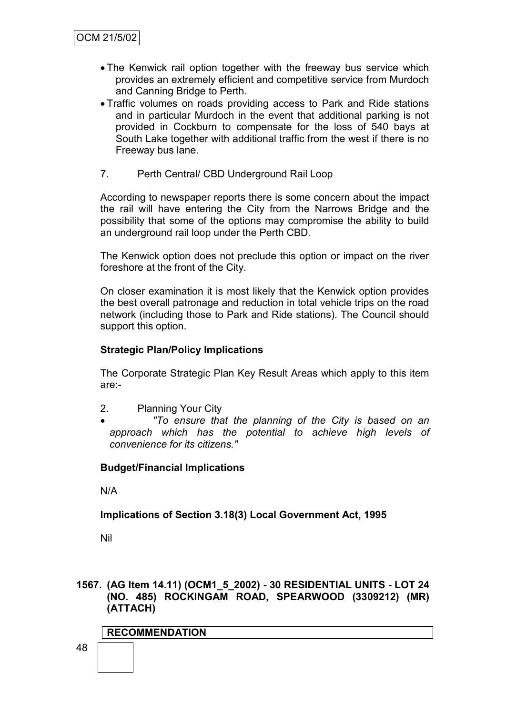- The Kenwick rail option together with the freeway bus service which provides an extremely efficient and competitive service from Murdoch and Canning Bridge to Perth.
- Traffic volumes on roads providing access to Park and Ride stations and in particular Murdoch in the event that additional parking is not provided in Cockburn to compensate for the loss of 540 bays at South Lake together with additional traffic from the west if there is no Freeway bus lane.

## 7. Perth Central/ CBD Underground Rail Loop

According to newspaper reports there is some concern about the impact the rail will have entering the City from the Narrows Bridge and the possibility that some of the options may compromise the ability to build an underground rail loop under the Perth CBD.

The Kenwick option does not preclude this option or impact on the river foreshore at the front of the City.

On closer examination it is most likely that the Kenwick option provides the best overall patronage and reduction in total vehicle trips on the road network (including those to Park and Ride stations). The Council should support this option.

## **Strategic Plan/Policy Implications**

The Corporate Strategic Plan Key Result Areas which apply to this item are:-

- 2. Planning Your City
- *"To ensure that the planning of the City is based on an approach which has the potential to achieve high levels of convenience for its citizens."*

## **Budget/Financial Implications**

N/A

## **Implications of Section 3.18(3) Local Government Act, 1995**

Nil

**1567. (AG Item 14.11) (OCM1\_5\_2002) - 30 RESIDENTIAL UNITS - LOT 24 (NO. 485) ROCKINGAM ROAD, SPEARWOOD (3309212) (MR) (ATTACH)**

## **RECOMMENDATION**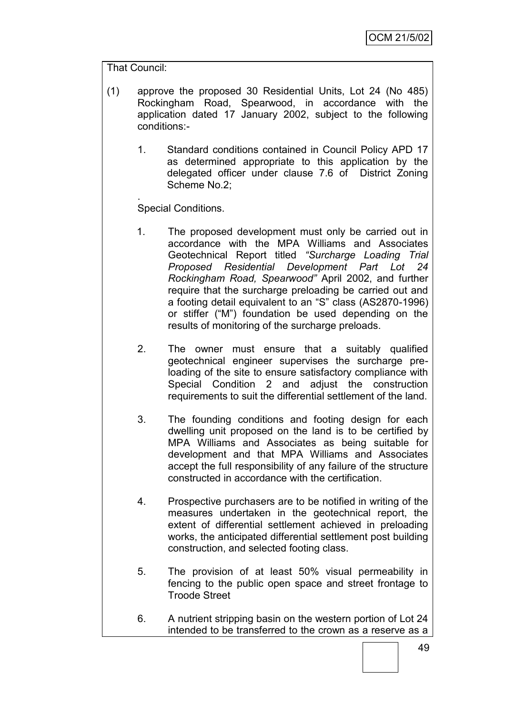## That Council:

- (1) approve the proposed 30 Residential Units, Lot 24 (No 485) Rockingham Road, Spearwood, in accordance with the application dated 17 January 2002, subject to the following conditions:-
	- 1. Standard conditions contained in Council Policy APD 17 as determined appropriate to this application by the delegated officer under clause 7.6 of District Zoning Scheme No.2;

. Special Conditions.

- 1. The proposed development must only be carried out in accordance with the MPA Williams and Associates Geotechnical Report titled *"Surcharge Loading Trial Proposed Residential Development Part Lot 24 Rockingham Road, Spearwood"* April 2002, and further require that the surcharge preloading be carried out and a footing detail equivalent to an "S" class (AS2870-1996) or stiffer ("M") foundation be used depending on the results of monitoring of the surcharge preloads.
- 2. The owner must ensure that a suitably qualified geotechnical engineer supervises the surcharge preloading of the site to ensure satisfactory compliance with Special Condition 2 and adjust the construction requirements to suit the differential settlement of the land.
- 3. The founding conditions and footing design for each dwelling unit proposed on the land is to be certified by MPA Williams and Associates as being suitable for development and that MPA Williams and Associates accept the full responsibility of any failure of the structure constructed in accordance with the certification.
- 4. Prospective purchasers are to be notified in writing of the measures undertaken in the geotechnical report, the extent of differential settlement achieved in preloading works, the anticipated differential settlement post building construction, and selected footing class.
- 5. The provision of at least 50% visual permeability in fencing to the public open space and street frontage to Troode Street
- 6. A nutrient stripping basin on the western portion of Lot 24 intended to be transferred to the crown as a reserve as a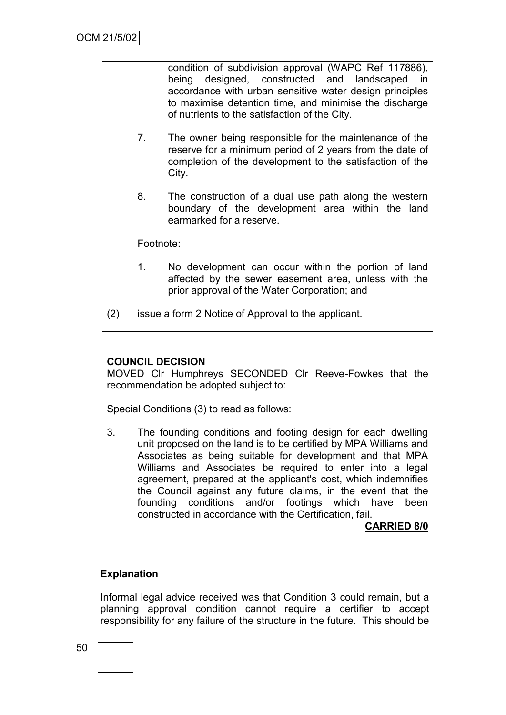condition of subdivision approval (WAPC Ref 117886), being designed, constructed and landscaped in accordance with urban sensitive water design principles to maximise detention time, and minimise the discharge of nutrients to the satisfaction of the City.

- 7. The owner being responsible for the maintenance of the reserve for a minimum period of 2 years from the date of completion of the development to the satisfaction of the City.
- 8. The construction of a dual use path along the western boundary of the development area within the land earmarked for a reserve.

Footnote:

- 1. No development can occur within the portion of land affected by the sewer easement area, unless with the prior approval of the Water Corporation; and
- (2) issue a form 2 Notice of Approval to the applicant.

## **COUNCIL DECISION**

MOVED Clr Humphreys SECONDED Clr Reeve-Fowkes that the recommendation be adopted subject to:

Special Conditions (3) to read as follows:

3. The founding conditions and footing design for each dwelling unit proposed on the land is to be certified by MPA Williams and Associates as being suitable for development and that MPA Williams and Associates be required to enter into a legal agreement, prepared at the applicant's cost, which indemnifies the Council against any future claims, in the event that the founding conditions and/or footings which have been constructed in accordance with the Certification, fail.

**CARRIED 8/0**

#### **Explanation**

Informal legal advice received was that Condition 3 could remain, but a planning approval condition cannot require a certifier to accept responsibility for any failure of the structure in the future. This should be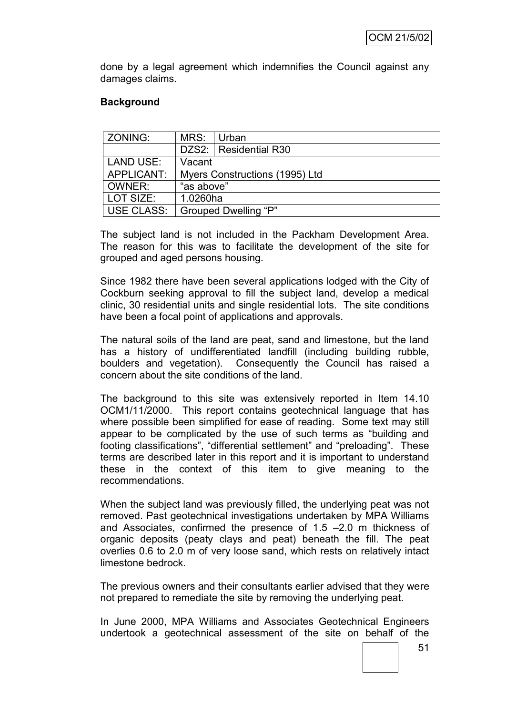done by a legal agreement which indemnifies the Council against any damages claims.

## **Background**

| ZONING:          | MRS:                           | Urban                   |  |  |
|------------------|--------------------------------|-------------------------|--|--|
|                  |                                | DZS2:   Residential R30 |  |  |
| <b>LAND USE:</b> | Vacant                         |                         |  |  |
| APPLICANT:       | Myers Constructions (1995) Ltd |                         |  |  |
| OWNER:           | "as above"                     |                         |  |  |
| LOT SIZE:        | 1.0260ha                       |                         |  |  |
| USE CLASS:       | Grouped Dwelling "P"           |                         |  |  |

The subject land is not included in the Packham Development Area. The reason for this was to facilitate the development of the site for grouped and aged persons housing.

Since 1982 there have been several applications lodged with the City of Cockburn seeking approval to fill the subject land, develop a medical clinic, 30 residential units and single residential lots. The site conditions have been a focal point of applications and approvals.

The natural soils of the land are peat, sand and limestone, but the land has a history of undifferentiated landfill (including building rubble, boulders and vegetation). Consequently the Council has raised a concern about the site conditions of the land.

The background to this site was extensively reported in Item 14.10 OCM1/11/2000. This report contains geotechnical language that has where possible been simplified for ease of reading. Some text may still appear to be complicated by the use of such terms as "building and footing classifications", "differential settlement" and "preloading". These terms are described later in this report and it is important to understand these in the context of this item to give meaning to the recommendations.

When the subject land was previously filled, the underlying peat was not removed. Past geotechnical investigations undertaken by MPA Williams and Associates, confirmed the presence of 1.5 –2.0 m thickness of organic deposits (peaty clays and peat) beneath the fill. The peat overlies 0.6 to 2.0 m of very loose sand, which rests on relatively intact limestone bedrock.

The previous owners and their consultants earlier advised that they were not prepared to remediate the site by removing the underlying peat.

In June 2000, MPA Williams and Associates Geotechnical Engineers undertook a geotechnical assessment of the site on behalf of the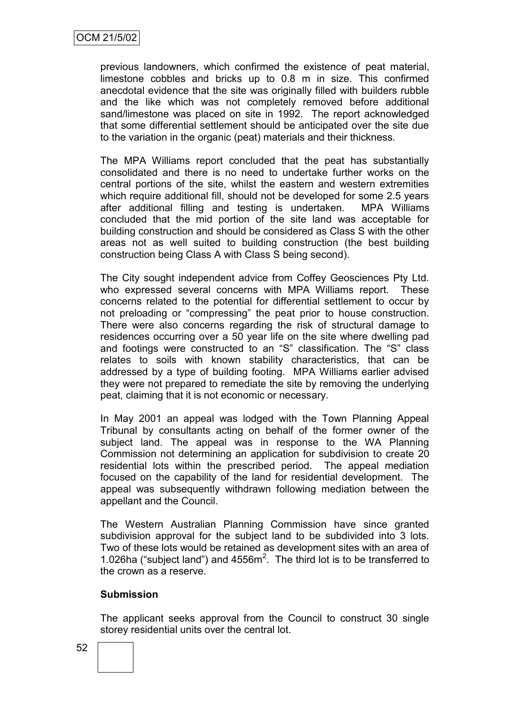previous landowners, which confirmed the existence of peat material, limestone cobbles and bricks up to 0.8 m in size. This confirmed anecdotal evidence that the site was originally filled with builders rubble and the like which was not completely removed before additional sand/limestone was placed on site in 1992. The report acknowledged that some differential settlement should be anticipated over the site due to the variation in the organic (peat) materials and their thickness.

The MPA Williams report concluded that the peat has substantially consolidated and there is no need to undertake further works on the central portions of the site, whilst the eastern and western extremities which require additional fill, should not be developed for some 2.5 years after additional filling and testing is undertaken. MPA Williams concluded that the mid portion of the site land was acceptable for building construction and should be considered as Class S with the other areas not as well suited to building construction (the best building construction being Class A with Class S being second).

The City sought independent advice from Coffey Geosciences Pty Ltd. who expressed several concerns with MPA Williams report. These concerns related to the potential for differential settlement to occur by not preloading or "compressing" the peat prior to house construction. There were also concerns regarding the risk of structural damage to residences occurring over a 50 year life on the site where dwelling pad and footings were constructed to an "S" classification. The "S" class relates to soils with known stability characteristics, that can be addressed by a type of building footing. MPA Williams earlier advised they were not prepared to remediate the site by removing the underlying peat, claiming that it is not economic or necessary.

In May 2001 an appeal was lodged with the Town Planning Appeal Tribunal by consultants acting on behalf of the former owner of the subject land. The appeal was in response to the WA Planning Commission not determining an application for subdivision to create 20 residential lots within the prescribed period. The appeal mediation focused on the capability of the land for residential development. The appeal was subsequently withdrawn following mediation between the appellant and the Council.

The Western Australian Planning Commission have since granted subdivision approval for the subject land to be subdivided into 3 lots. Two of these lots would be retained as development sites with an area of 1.026ha ("subject land") and  $4556m^2$ . The third lot is to be transferred to the crown as a reserve.

## **Submission**

The applicant seeks approval from the Council to construct 30 single storey residential units over the central lot.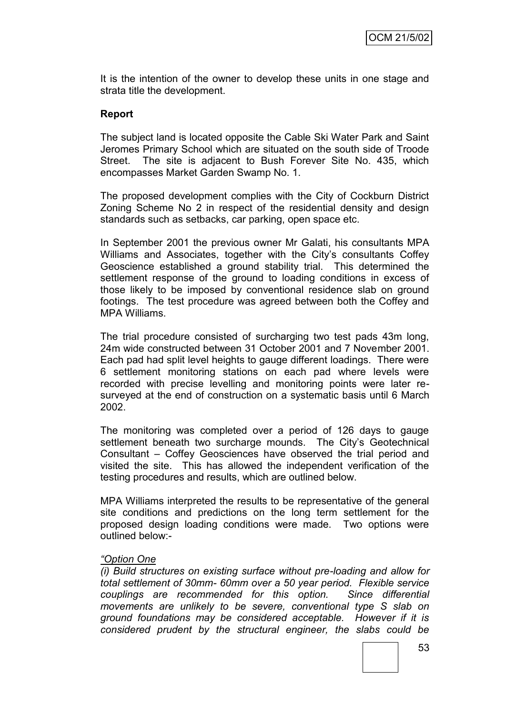It is the intention of the owner to develop these units in one stage and strata title the development.

## **Report**

The subject land is located opposite the Cable Ski Water Park and Saint Jeromes Primary School which are situated on the south side of Troode Street. The site is adjacent to Bush Forever Site No. 435, which encompasses Market Garden Swamp No. 1.

The proposed development complies with the City of Cockburn District Zoning Scheme No 2 in respect of the residential density and design standards such as setbacks, car parking, open space etc.

In September 2001 the previous owner Mr Galati, his consultants MPA Williams and Associates, together with the City's consultants Coffey Geoscience established a ground stability trial. This determined the settlement response of the ground to loading conditions in excess of those likely to be imposed by conventional residence slab on ground footings. The test procedure was agreed between both the Coffey and MPA Williams.

The trial procedure consisted of surcharging two test pads 43m long, 24m wide constructed between 31 October 2001 and 7 November 2001. Each pad had split level heights to gauge different loadings. There were 6 settlement monitoring stations on each pad where levels were recorded with precise levelling and monitoring points were later resurveyed at the end of construction on a systematic basis until 6 March 2002.

The monitoring was completed over a period of 126 days to gauge settlement beneath two surcharge mounds. The City's Geotechnical Consultant – Coffey Geosciences have observed the trial period and visited the site. This has allowed the independent verification of the testing procedures and results, which are outlined below.

MPA Williams interpreted the results to be representative of the general site conditions and predictions on the long term settlement for the proposed design loading conditions were made. Two options were outlined below:-

#### *"Option One*

*(i) Build structures on existing surface without pre-loading and allow for total settlement of 30mm- 60mm over a 50 year period. Flexible service couplings are recommended for this option. Since differential movements are unlikely to be severe, conventional type S slab on ground foundations may be considered acceptable. However if it is considered prudent by the structural engineer, the slabs could be*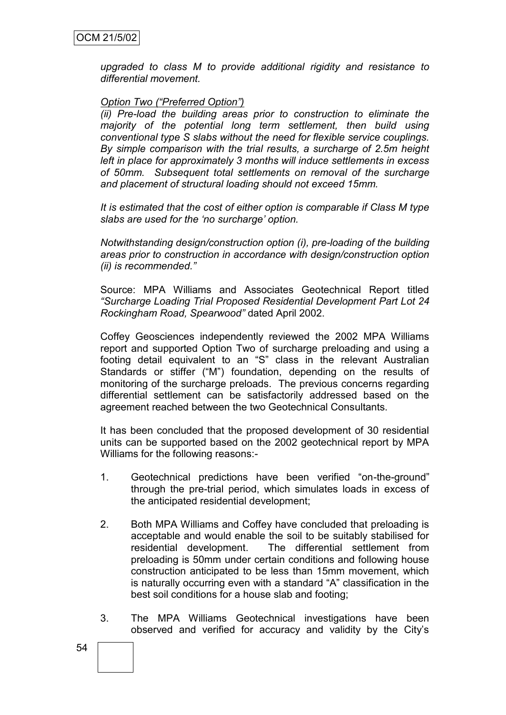*upgraded to class M to provide additional rigidity and resistance to differential movement.*

## *Option Two ("Preferred Option")*

*(ii) Pre-load the building areas prior to construction to eliminate the majority of the potential long term settlement, then build using conventional type S slabs without the need for flexible service couplings. By simple comparison with the trial results, a surcharge of 2.5m height left in place for approximately 3 months will induce settlements in excess of 50mm. Subsequent total settlements on removal of the surcharge and placement of structural loading should not exceed 15mm.*

*It is estimated that the cost of either option is comparable if Class M type slabs are used for the "no surcharge" option.*

*Notwithstanding design/construction option (i), pre-loading of the building areas prior to construction in accordance with design/construction option (ii) is recommended."*

Source: MPA Williams and Associates Geotechnical Report titled *"Surcharge Loading Trial Proposed Residential Development Part Lot 24 Rockingham Road, Spearwood"* dated April 2002.

Coffey Geosciences independently reviewed the 2002 MPA Williams report and supported Option Two of surcharge preloading and using a footing detail equivalent to an "S" class in the relevant Australian Standards or stiffer ("M") foundation, depending on the results of monitoring of the surcharge preloads. The previous concerns regarding differential settlement can be satisfactorily addressed based on the agreement reached between the two Geotechnical Consultants.

It has been concluded that the proposed development of 30 residential units can be supported based on the 2002 geotechnical report by MPA Williams for the following reasons:-

- 1. Geotechnical predictions have been verified "on-the-ground" through the pre-trial period, which simulates loads in excess of the anticipated residential development;
- 2. Both MPA Williams and Coffey have concluded that preloading is acceptable and would enable the soil to be suitably stabilised for residential development. The differential settlement from preloading is 50mm under certain conditions and following house construction anticipated to be less than 15mm movement, which is naturally occurring even with a standard "A" classification in the best soil conditions for a house slab and footing;
- 3. The MPA Williams Geotechnical investigations have been observed and verified for accuracy and validity by the City"s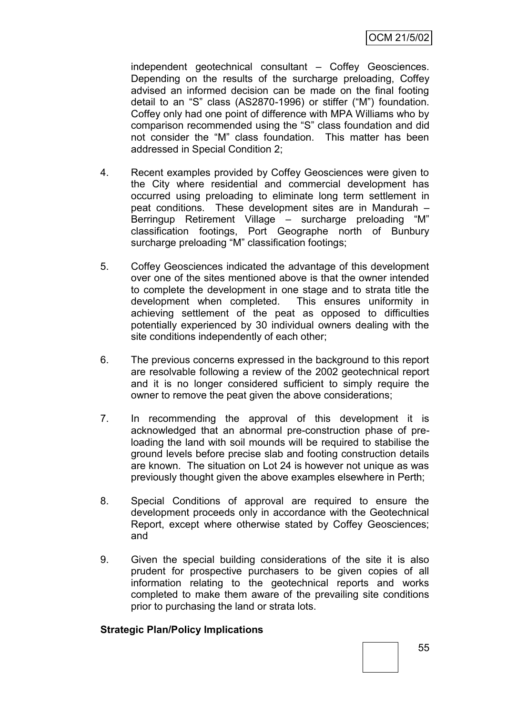independent geotechnical consultant – Coffey Geosciences. Depending on the results of the surcharge preloading, Coffey advised an informed decision can be made on the final footing detail to an "S" class (AS2870-1996) or stiffer ("M") foundation. Coffey only had one point of difference with MPA Williams who by comparison recommended using the "S" class foundation and did not consider the "M" class foundation. This matter has been addressed in Special Condition 2;

- 4. Recent examples provided by Coffey Geosciences were given to the City where residential and commercial development has occurred using preloading to eliminate long term settlement in peat conditions. These development sites are in Mandurah – Berringup Retirement Village – surcharge preloading "M" classification footings, Port Geographe north of Bunbury surcharge preloading "M" classification footings;
- 5. Coffey Geosciences indicated the advantage of this development over one of the sites mentioned above is that the owner intended to complete the development in one stage and to strata title the development when completed. This ensures uniformity in achieving settlement of the peat as opposed to difficulties potentially experienced by 30 individual owners dealing with the site conditions independently of each other;
- 6. The previous concerns expressed in the background to this report are resolvable following a review of the 2002 geotechnical report and it is no longer considered sufficient to simply require the owner to remove the peat given the above considerations;
- 7. In recommending the approval of this development it is acknowledged that an abnormal pre-construction phase of preloading the land with soil mounds will be required to stabilise the ground levels before precise slab and footing construction details are known. The situation on Lot 24 is however not unique as was previously thought given the above examples elsewhere in Perth;
- 8. Special Conditions of approval are required to ensure the development proceeds only in accordance with the Geotechnical Report, except where otherwise stated by Coffey Geosciences; and
- 9. Given the special building considerations of the site it is also prudent for prospective purchasers to be given copies of all information relating to the geotechnical reports and works completed to make them aware of the prevailing site conditions prior to purchasing the land or strata lots.

## **Strategic Plan/Policy Implications**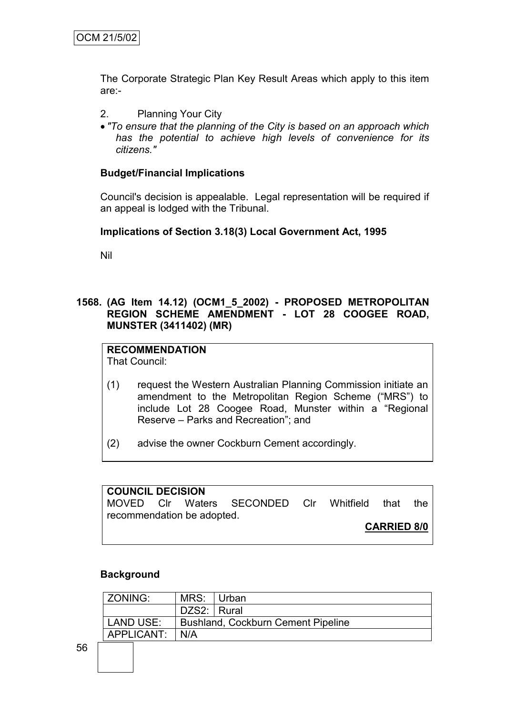The Corporate Strategic Plan Key Result Areas which apply to this item are:-

- 2. Planning Your City
- *"To ensure that the planning of the City is based on an approach which has the potential to achieve high levels of convenience for its citizens."*

## **Budget/Financial Implications**

Council's decision is appealable. Legal representation will be required if an appeal is lodged with the Tribunal.

#### **Implications of Section 3.18(3) Local Government Act, 1995**

Nil

**1568. (AG Item 14.12) (OCM1\_5\_2002) - PROPOSED METROPOLITAN REGION SCHEME AMENDMENT - LOT 28 COOGEE ROAD, MUNSTER (3411402) (MR)**

# **RECOMMENDATION**

That Council:

- (1) request the Western Australian Planning Commission initiate an amendment to the Metropolitan Region Scheme ("MRS") to include Lot 28 Coogee Road, Munster within a "Regional Reserve – Parks and Recreation"; and
- (2) advise the owner Cockburn Cement accordingly.

| <b>COUNCIL DECISION</b>    |  |  |                                              |                    |  |  |     |
|----------------------------|--|--|----------------------------------------------|--------------------|--|--|-----|
|                            |  |  | MOVED CIr Waters SECONDED CIr Whitfield that |                    |  |  | the |
| recommendation be adopted. |  |  |                                              |                    |  |  |     |
|                            |  |  |                                              | <b>CARRIED 8/0</b> |  |  |     |

#### **Background**

| ZONING:    | MRS: Urban                                |  |  |
|------------|-------------------------------------------|--|--|
|            | DZS2: Rural                               |  |  |
| LAND USE:  | <b>Bushland, Cockburn Cement Pipeline</b> |  |  |
| APPLICANT: | N/A                                       |  |  |
|            |                                           |  |  |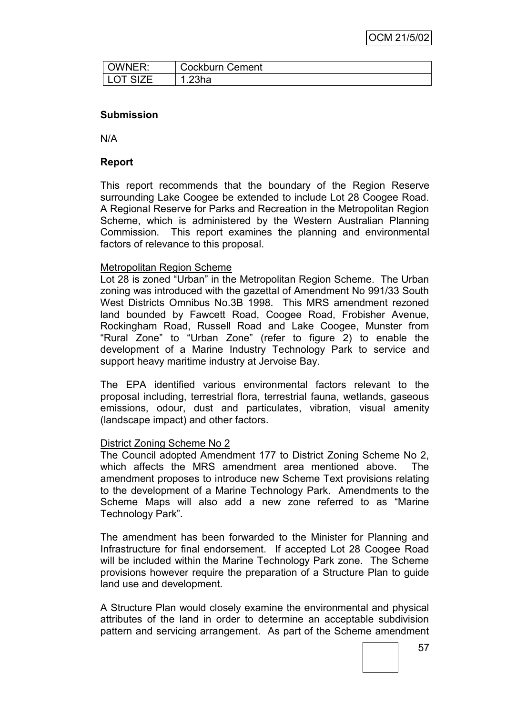| OWNER:          | <b>Cockburn Cement</b> |  |
|-----------------|------------------------|--|
| <b>LOT SIZE</b> | .23ha                  |  |

#### **Submission**

N/A

## **Report**

This report recommends that the boundary of the Region Reserve surrounding Lake Coogee be extended to include Lot 28 Coogee Road. A Regional Reserve for Parks and Recreation in the Metropolitan Region Scheme, which is administered by the Western Australian Planning Commission. This report examines the planning and environmental factors of relevance to this proposal.

#### Metropolitan Region Scheme

Lot 28 is zoned "Urban" in the Metropolitan Region Scheme. The Urban zoning was introduced with the gazettal of Amendment No 991/33 South West Districts Omnibus No.3B 1998. This MRS amendment rezoned land bounded by Fawcett Road, Coogee Road, Frobisher Avenue, Rockingham Road, Russell Road and Lake Coogee, Munster from "Rural Zone" to "Urban Zone" (refer to figure 2) to enable the development of a Marine Industry Technology Park to service and support heavy maritime industry at Jervoise Bay.

The EPA identified various environmental factors relevant to the proposal including, terrestrial flora, terrestrial fauna, wetlands, gaseous emissions, odour, dust and particulates, vibration, visual amenity (landscape impact) and other factors.

#### District Zoning Scheme No 2

The Council adopted Amendment 177 to District Zoning Scheme No 2, which affects the MRS amendment area mentioned above. The amendment proposes to introduce new Scheme Text provisions relating to the development of a Marine Technology Park. Amendments to the Scheme Maps will also add a new zone referred to as "Marine Technology Park".

The amendment has been forwarded to the Minister for Planning and Infrastructure for final endorsement. If accepted Lot 28 Coogee Road will be included within the Marine Technology Park zone. The Scheme provisions however require the preparation of a Structure Plan to guide land use and development.

A Structure Plan would closely examine the environmental and physical attributes of the land in order to determine an acceptable subdivision pattern and servicing arrangement. As part of the Scheme amendment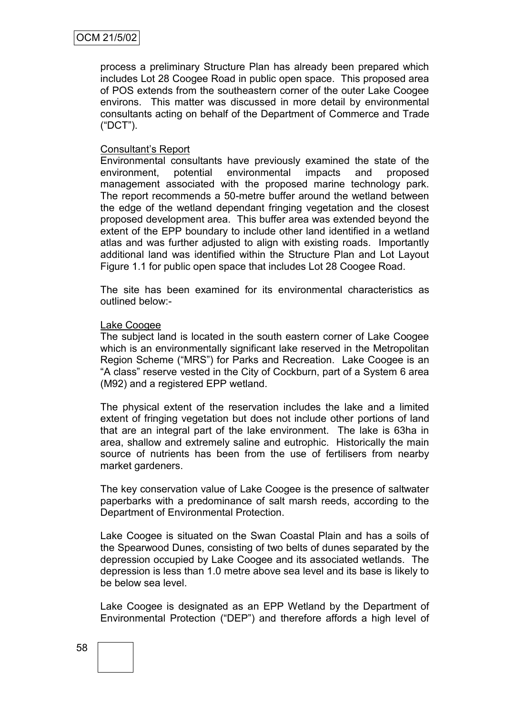process a preliminary Structure Plan has already been prepared which includes Lot 28 Coogee Road in public open space. This proposed area of POS extends from the southeastern corner of the outer Lake Coogee environs. This matter was discussed in more detail by environmental consultants acting on behalf of the Department of Commerce and Trade ("DCT").

#### Consultant"s Report

Environmental consultants have previously examined the state of the environment, potential environmental impacts and proposed management associated with the proposed marine technology park. The report recommends a 50-metre buffer around the wetland between the edge of the wetland dependant fringing vegetation and the closest proposed development area. This buffer area was extended beyond the extent of the EPP boundary to include other land identified in a wetland atlas and was further adjusted to align with existing roads. Importantly additional land was identified within the Structure Plan and Lot Layout Figure 1.1 for public open space that includes Lot 28 Coogee Road.

The site has been examined for its environmental characteristics as outlined below:-

#### Lake Coogee

The subject land is located in the south eastern corner of Lake Coogee which is an environmentally significant lake reserved in the Metropolitan Region Scheme ("MRS") for Parks and Recreation. Lake Coogee is an "A class" reserve vested in the City of Cockburn, part of a System 6 area (M92) and a registered EPP wetland.

The physical extent of the reservation includes the lake and a limited extent of fringing vegetation but does not include other portions of land that are an integral part of the lake environment. The lake is 63ha in area, shallow and extremely saline and eutrophic. Historically the main source of nutrients has been from the use of fertilisers from nearby market gardeners.

The key conservation value of Lake Coogee is the presence of saltwater paperbarks with a predominance of salt marsh reeds, according to the Department of Environmental Protection.

Lake Coogee is situated on the Swan Coastal Plain and has a soils of the Spearwood Dunes, consisting of two belts of dunes separated by the depression occupied by Lake Coogee and its associated wetlands. The depression is less than 1.0 metre above sea level and its base is likely to be below sea level.

Lake Coogee is designated as an EPP Wetland by the Department of Environmental Protection ("DEP") and therefore affords a high level of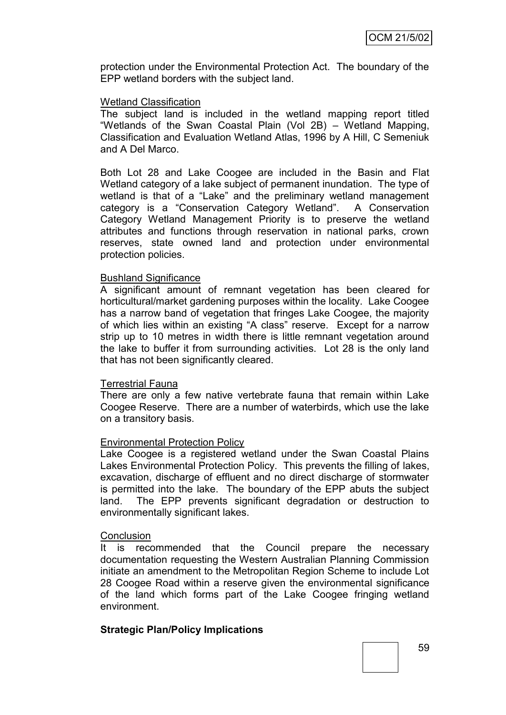protection under the Environmental Protection Act. The boundary of the EPP wetland borders with the subject land.

#### Wetland Classification

The subject land is included in the wetland mapping report titled "Wetlands of the Swan Coastal Plain (Vol 2B) – Wetland Mapping, Classification and Evaluation Wetland Atlas, 1996 by A Hill, C Semeniuk and A Del Marco.

Both Lot 28 and Lake Coogee are included in the Basin and Flat Wetland category of a lake subject of permanent inundation. The type of wetland is that of a "Lake" and the preliminary wetland management category is a "Conservation Category Wetland". A Conservation Category Wetland Management Priority is to preserve the wetland attributes and functions through reservation in national parks, crown reserves, state owned land and protection under environmental protection policies.

#### Bushland Significance

A significant amount of remnant vegetation has been cleared for horticultural/market gardening purposes within the locality. Lake Coogee has a narrow band of vegetation that fringes Lake Coogee, the majority of which lies within an existing "A class" reserve. Except for a narrow strip up to 10 metres in width there is little remnant vegetation around the lake to buffer it from surrounding activities. Lot 28 is the only land that has not been significantly cleared.

#### Terrestrial Fauna

There are only a few native vertebrate fauna that remain within Lake Coogee Reserve. There are a number of waterbirds, which use the lake on a transitory basis.

#### Environmental Protection Policy

Lake Coogee is a registered wetland under the Swan Coastal Plains Lakes Environmental Protection Policy. This prevents the filling of lakes, excavation, discharge of effluent and no direct discharge of stormwater is permitted into the lake. The boundary of the EPP abuts the subject land. The EPP prevents significant degradation or destruction to environmentally significant lakes.

#### **Conclusion**

It is recommended that the Council prepare the necessary documentation requesting the Western Australian Planning Commission initiate an amendment to the Metropolitan Region Scheme to include Lot 28 Coogee Road within a reserve given the environmental significance of the land which forms part of the Lake Coogee fringing wetland environment.

#### **Strategic Plan/Policy Implications**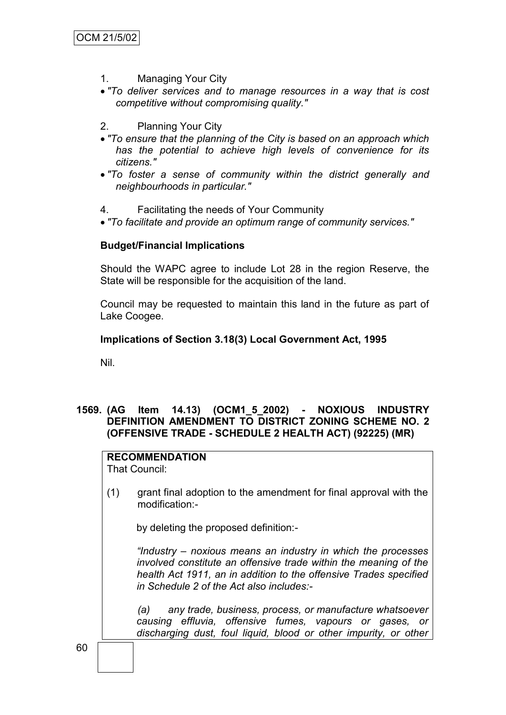- 1. Managing Your City
- *"To deliver services and to manage resources in a way that is cost competitive without compromising quality."*
- 2. Planning Your City
- *"To ensure that the planning of the City is based on an approach which has the potential to achieve high levels of convenience for its citizens."*
- *"To foster a sense of community within the district generally and neighbourhoods in particular."*
- 4. Facilitating the needs of Your Community
- *"To facilitate and provide an optimum range of community services."*

#### **Budget/Financial Implications**

Should the WAPC agree to include Lot 28 in the region Reserve, the State will be responsible for the acquisition of the land.

Council may be requested to maintain this land in the future as part of Lake Coogee.

#### **Implications of Section 3.18(3) Local Government Act, 1995**

Nil.

## **1569. (AG Item 14.13) (OCM1\_5\_2002) - NOXIOUS INDUSTRY DEFINITION AMENDMENT TO DISTRICT ZONING SCHEME NO. 2 (OFFENSIVE TRADE - SCHEDULE 2 HEALTH ACT) (92225) (MR)**

## **RECOMMENDATION**

That Council:

(1) grant final adoption to the amendment for final approval with the modification:-

by deleting the proposed definition:-

*"Industry – noxious means an industry in which the processes involved constitute an offensive trade within the meaning of the health Act 1911, an in addition to the offensive Trades specified in Schedule 2 of the Act also includes:-*

*(a) any trade, business, process, or manufacture whatsoever causing effluvia, offensive fumes, vapours or gases, or discharging dust, foul liquid, blood or other impurity, or other*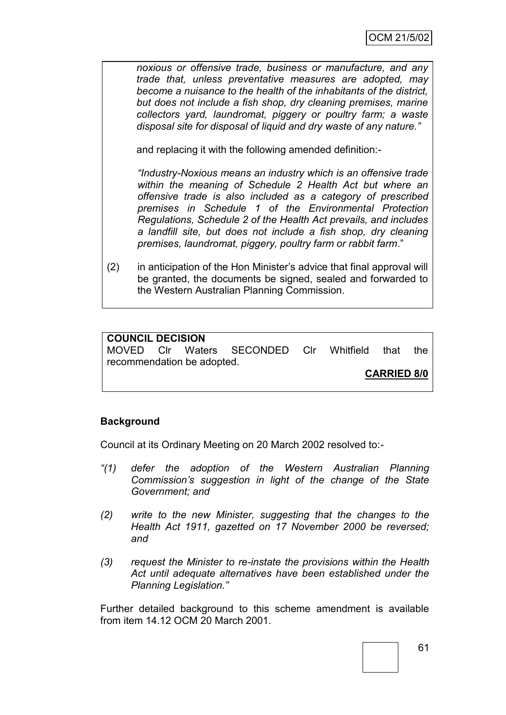*noxious or offensive trade, business or manufacture, and any trade that, unless preventative measures are adopted, may become a nuisance to the health of the inhabitants of the district, but does not include a fish shop, dry cleaning premises, marine collectors yard, laundromat, piggery or poultry farm; a waste disposal site for disposal of liquid and dry waste of any nature."*

and replacing it with the following amended definition:-

*"Industry-Noxious means an industry which is an offensive trade within the meaning of Schedule 2 Health Act but where an offensive trade is also included as a category of prescribed premises in Schedule 1 of the Environmental Protection Regulations, Schedule 2 of the Health Act prevails, and includes a landfill site, but does not include a fish shop, dry cleaning premises, laundromat, piggery, poultry farm or rabbit farm*."

(2) in anticipation of the Hon Minister"s advice that final approval will be granted, the documents be signed, sealed and forwarded to the Western Australian Planning Commission.

## **COUNCIL DECISION**

MOVED Clr Waters SECONDED Clr Whitfield that the recommendation be adopted.

**CARRIED 8/0**

#### **Background**

Council at its Ordinary Meeting on 20 March 2002 resolved to:-

- *"(1) defer the adoption of the Western Australian Planning Commission"s suggestion in light of the change of the State Government; and*
- *(2) write to the new Minister, suggesting that the changes to the Health Act 1911, gazetted on 17 November 2000 be reversed; and*
- *(3) request the Minister to re-instate the provisions within the Health Act until adequate alternatives have been established under the Planning Legislation."*

Further detailed background to this scheme amendment is available from item 14.12 OCM 20 March 2001.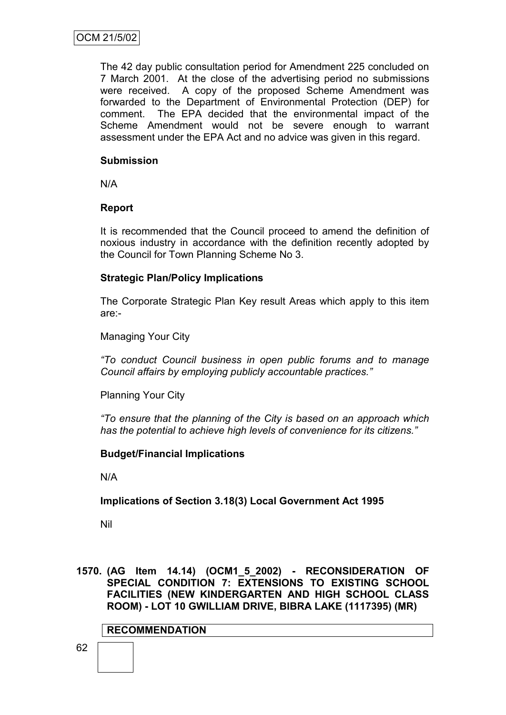The 42 day public consultation period for Amendment 225 concluded on 7 March 2001. At the close of the advertising period no submissions were received. A copy of the proposed Scheme Amendment was forwarded to the Department of Environmental Protection (DEP) for comment. The EPA decided that the environmental impact of the Scheme Amendment would not be severe enough to warrant assessment under the EPA Act and no advice was given in this regard.

## **Submission**

N/A

## **Report**

It is recommended that the Council proceed to amend the definition of noxious industry in accordance with the definition recently adopted by the Council for Town Planning Scheme No 3.

## **Strategic Plan/Policy Implications**

The Corporate Strategic Plan Key result Areas which apply to this item are:-

Managing Your City

*"To conduct Council business in open public forums and to manage Council affairs by employing publicly accountable practices."*

Planning Your City

*"To ensure that the planning of the City is based on an approach which has the potential to achieve high levels of convenience for its citizens."*

## **Budget/Financial Implications**

N/A

## **Implications of Section 3.18(3) Local Government Act 1995**

Nil

**1570. (AG Item 14.14) (OCM1\_5\_2002) - RECONSIDERATION OF SPECIAL CONDITION 7: EXTENSIONS TO EXISTING SCHOOL FACILITIES (NEW KINDERGARTEN AND HIGH SCHOOL CLASS ROOM) - LOT 10 GWILLIAM DRIVE, BIBRA LAKE (1117395) (MR)**

#### **RECOMMENDATION**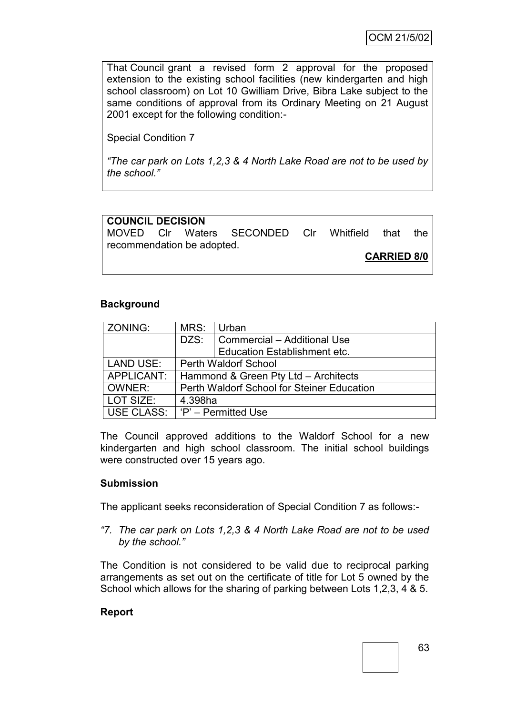That Council grant a revised form 2 approval for the proposed extension to the existing school facilities (new kindergarten and high school classroom) on Lot 10 Gwilliam Drive, Bibra Lake subject to the same conditions of approval from its Ordinary Meeting on 21 August 2001 except for the following condition:-

Special Condition 7

*"The car park on Lots 1,2,3 & 4 North Lake Road are not to be used by the school."*

# **COUNCIL DECISION**

MOVED Clr Waters SECONDED Clr Whitfield that the recommendation be adopted.

**CARRIED 8/0**

## **Background**

| ZONING:       | MRS:                                       | Urban                               |  |
|---------------|--------------------------------------------|-------------------------------------|--|
|               | DZS:                                       | Commercial - Additional Use         |  |
|               |                                            | <b>Education Establishment etc.</b> |  |
| LAND USE:     | <b>Perth Waldorf School</b>                |                                     |  |
| APPLICANT:    | Hammond & Green Pty Ltd - Architects       |                                     |  |
| <b>OWNER:</b> | Perth Waldorf School for Steiner Education |                                     |  |
| LOT SIZE:     | 4.398ha                                    |                                     |  |
|               | USE CLASS:   'P' - Permitted Use           |                                     |  |

The Council approved additions to the Waldorf School for a new kindergarten and high school classroom. The initial school buildings were constructed over 15 years ago.

## **Submission**

The applicant seeks reconsideration of Special Condition 7 as follows:-

*"7. The car park on Lots 1,2,3 & 4 North Lake Road are not to be used by the school."*

The Condition is not considered to be valid due to reciprocal parking arrangements as set out on the certificate of title for Lot 5 owned by the School which allows for the sharing of parking between Lots 1,2,3, 4 & 5.

## **Report**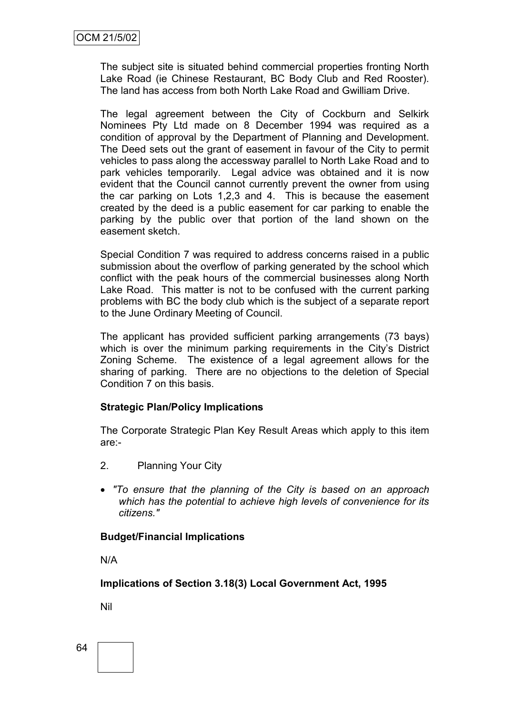The subject site is situated behind commercial properties fronting North Lake Road (ie Chinese Restaurant, BC Body Club and Red Rooster). The land has access from both North Lake Road and Gwilliam Drive.

The legal agreement between the City of Cockburn and Selkirk Nominees Pty Ltd made on 8 December 1994 was required as a condition of approval by the Department of Planning and Development. The Deed sets out the grant of easement in favour of the City to permit vehicles to pass along the accessway parallel to North Lake Road and to park vehicles temporarily. Legal advice was obtained and it is now evident that the Council cannot currently prevent the owner from using the car parking on Lots 1,2,3 and 4. This is because the easement created by the deed is a public easement for car parking to enable the parking by the public over that portion of the land shown on the easement sketch.

Special Condition 7 was required to address concerns raised in a public submission about the overflow of parking generated by the school which conflict with the peak hours of the commercial businesses along North Lake Road. This matter is not to be confused with the current parking problems with BC the body club which is the subject of a separate report to the June Ordinary Meeting of Council.

The applicant has provided sufficient parking arrangements (73 bays) which is over the minimum parking requirements in the City's District Zoning Scheme. The existence of a legal agreement allows for the sharing of parking. There are no objections to the deletion of Special Condition 7 on this basis.

## **Strategic Plan/Policy Implications**

The Corporate Strategic Plan Key Result Areas which apply to this item are:-

- 2. Planning Your City
- *"To ensure that the planning of the City is based on an approach which has the potential to achieve high levels of convenience for its citizens."*

## **Budget/Financial Implications**

N/A

**Implications of Section 3.18(3) Local Government Act, 1995**

Nil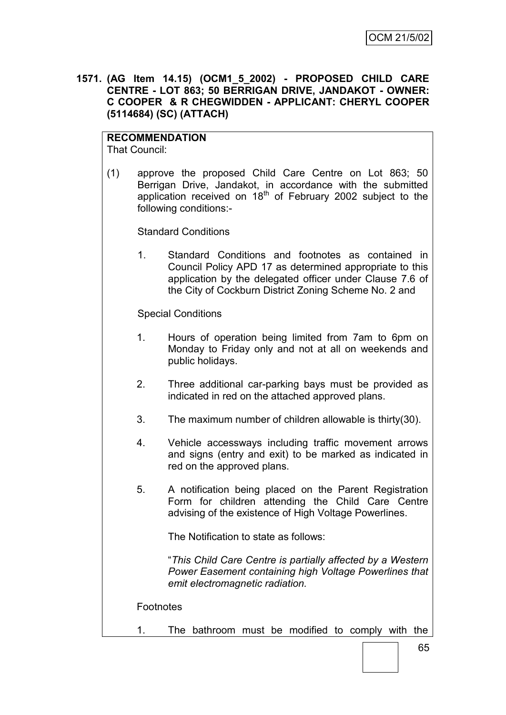**1571. (AG Item 14.15) (OCM1\_5\_2002) - PROPOSED CHILD CARE CENTRE - LOT 863; 50 BERRIGAN DRIVE, JANDAKOT - OWNER: C COOPER & R CHEGWIDDEN - APPLICANT: CHERYL COOPER (5114684) (SC) (ATTACH)**

# **RECOMMENDATION**

That Council:

(1) approve the proposed Child Care Centre on Lot 863; 50 Berrigan Drive, Jandakot, in accordance with the submitted application received on 18<sup>th</sup> of February 2002 subject to the following conditions:-

Standard Conditions

1. Standard Conditions and footnotes as contained in Council Policy APD 17 as determined appropriate to this application by the delegated officer under Clause 7.6 of the City of Cockburn District Zoning Scheme No. 2 and

Special Conditions

- 1. Hours of operation being limited from 7am to 6pm on Monday to Friday only and not at all on weekends and public holidays.
- 2. Three additional car-parking bays must be provided as indicated in red on the attached approved plans.
- 3. The maximum number of children allowable is thirty(30).
- 4. Vehicle accessways including traffic movement arrows and signs (entry and exit) to be marked as indicated in red on the approved plans.
- 5. A notification being placed on the Parent Registration Form for children attending the Child Care Centre advising of the existence of High Voltage Powerlines.

The Notification to state as follows:

"*This Child Care Centre is partially affected by a Western Power Easement containing high Voltage Powerlines that emit electromagnetic radiation.*

**Footnotes** 

1. The bathroom must be modified to comply with the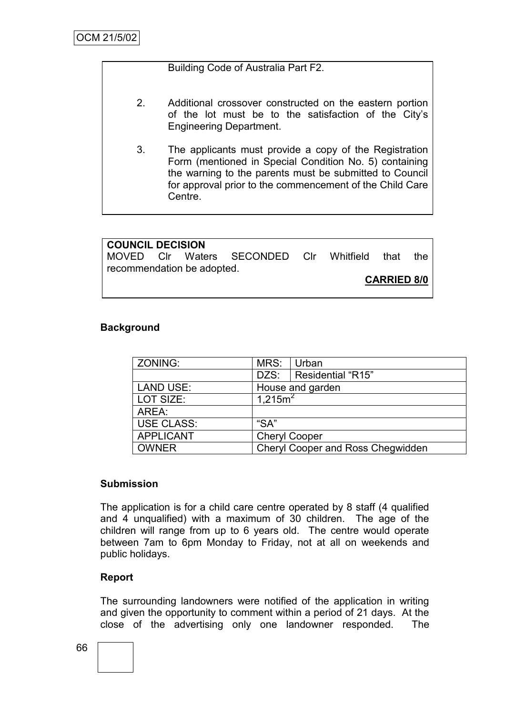## Building Code of Australia Part F2.

- 2. Additional crossover constructed on the eastern portion of the lot must be to the satisfaction of the City"s Engineering Department.
- 3. The applicants must provide a copy of the Registration Form (mentioned in Special Condition No. 5) containing the warning to the parents must be submitted to Council for approval prior to the commencement of the Child Care Centre.

| <b>COUNCIL DECISION</b>    |  |  |                                              |  |  |  |     |
|----------------------------|--|--|----------------------------------------------|--|--|--|-----|
|                            |  |  | MOVED CIr Waters SECONDED CIr Whitfield that |  |  |  | the |
| recommendation be adopted. |  |  |                                              |  |  |  |     |
| <b>CARRIED 8/0</b>         |  |  |                                              |  |  |  |     |

## **Background**

| ZONING:           | MRS:                                     | Urban             |  |
|-------------------|------------------------------------------|-------------------|--|
|                   | DZS:                                     | Residential "R15" |  |
| <b>LAND USE:</b>  | House and garden                         |                   |  |
| LOT SIZE:         | 1,215m <sup>2</sup>                      |                   |  |
| AREA:             |                                          |                   |  |
| <b>USE CLASS:</b> | "SA"                                     |                   |  |
| <b>APPLICANT</b>  | <b>Cheryl Cooper</b>                     |                   |  |
| <b>OWNER</b>      | <b>Cheryl Cooper and Ross Chegwidden</b> |                   |  |

#### **Submission**

The application is for a child care centre operated by 8 staff (4 qualified and 4 unqualified) with a maximum of 30 children. The age of the children will range from up to 6 years old. The centre would operate between 7am to 6pm Monday to Friday, not at all on weekends and public holidays.

## **Report**

The surrounding landowners were notified of the application in writing and given the opportunity to comment within a period of 21 days. At the close of the advertising only one landowner responded. The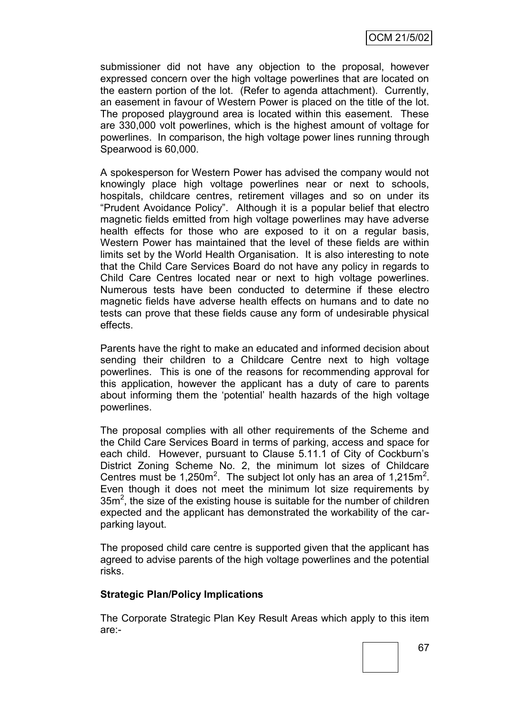submissioner did not have any objection to the proposal, however expressed concern over the high voltage powerlines that are located on the eastern portion of the lot. (Refer to agenda attachment). Currently, an easement in favour of Western Power is placed on the title of the lot. The proposed playground area is located within this easement. These are 330,000 volt powerlines, which is the highest amount of voltage for powerlines. In comparison, the high voltage power lines running through Spearwood is 60,000.

A spokesperson for Western Power has advised the company would not knowingly place high voltage powerlines near or next to schools, hospitals, childcare centres, retirement villages and so on under its "Prudent Avoidance Policy". Although it is a popular belief that electro magnetic fields emitted from high voltage powerlines may have adverse health effects for those who are exposed to it on a regular basis, Western Power has maintained that the level of these fields are within limits set by the World Health Organisation. It is also interesting to note that the Child Care Services Board do not have any policy in regards to Child Care Centres located near or next to high voltage powerlines. Numerous tests have been conducted to determine if these electro magnetic fields have adverse health effects on humans and to date no tests can prove that these fields cause any form of undesirable physical effects.

Parents have the right to make an educated and informed decision about sending their children to a Childcare Centre next to high voltage powerlines. This is one of the reasons for recommending approval for this application, however the applicant has a duty of care to parents about informing them the "potential" health hazards of the high voltage powerlines.

The proposal complies with all other requirements of the Scheme and the Child Care Services Board in terms of parking, access and space for each child. However, pursuant to Clause 5.11.1 of City of Cockburn"s District Zoning Scheme No. 2, the minimum lot sizes of Childcare Centres must be  $1,250m^2$ . The subject lot only has an area of  $1,215m^2$ . Even though it does not meet the minimum lot size requirements by  $35m<sup>2</sup>$ , the size of the existing house is suitable for the number of children expected and the applicant has demonstrated the workability of the carparking layout.

The proposed child care centre is supported given that the applicant has agreed to advise parents of the high voltage powerlines and the potential risks.

## **Strategic Plan/Policy Implications**

The Corporate Strategic Plan Key Result Areas which apply to this item are:-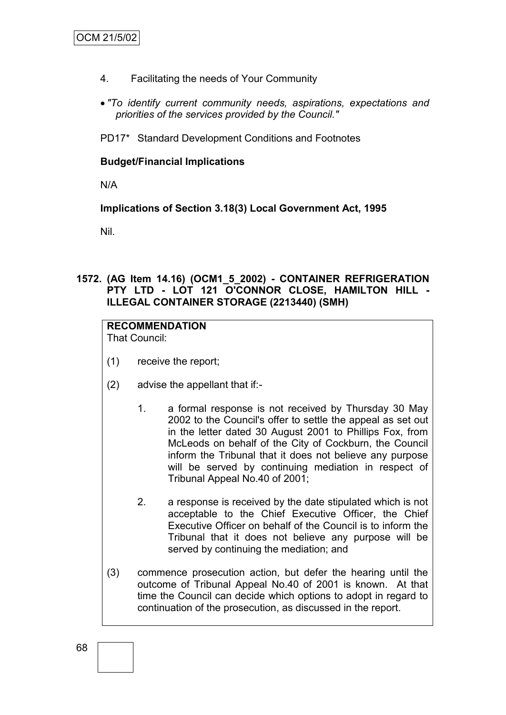- 4. Facilitating the needs of Your Community
- *"To identify current community needs, aspirations, expectations and priorities of the services provided by the Council."*

PD17\* Standard Development Conditions and Footnotes

## **Budget/Financial Implications**

N/A

**Implications of Section 3.18(3) Local Government Act, 1995**

Nil.

## **1572. (AG Item 14.16) (OCM1\_5\_2002) - CONTAINER REFRIGERATION PTY LTD - LOT 121 O'CONNOR CLOSE, HAMILTON HILL - ILLEGAL CONTAINER STORAGE (2213440) (SMH)**

# **RECOMMENDATION**

That Council:

- (1) receive the report;
- (2) advise the appellant that if:-
	- 1. a formal response is not received by Thursday 30 May 2002 to the Council's offer to settle the appeal as set out in the letter dated 30 August 2001 to Phillips Fox, from McLeods on behalf of the City of Cockburn, the Council inform the Tribunal that it does not believe any purpose will be served by continuing mediation in respect of Tribunal Appeal No.40 of 2001;
	- 2. a response is received by the date stipulated which is not acceptable to the Chief Executive Officer, the Chief Executive Officer on behalf of the Council is to inform the Tribunal that it does not believe any purpose will be served by continuing the mediation; and
- (3) commence prosecution action, but defer the hearing until the outcome of Tribunal Appeal No.40 of 2001 is known. At that time the Council can decide which options to adopt in regard to continuation of the prosecution, as discussed in the report.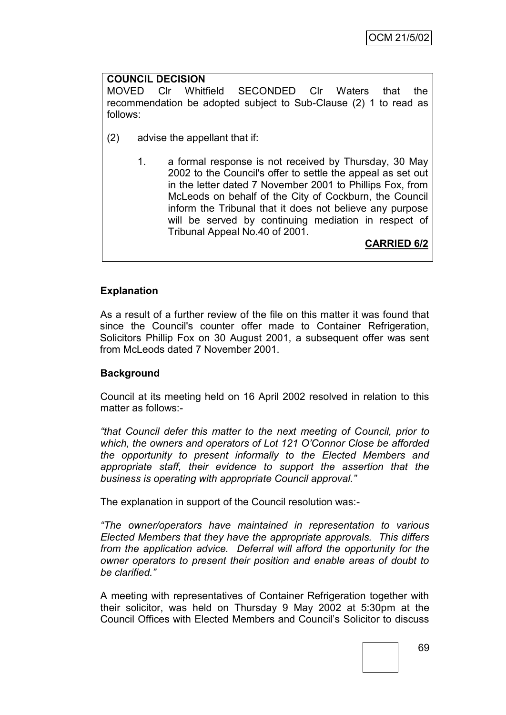# **COUNCIL DECISION**

MOVED Clr Whitfield SECONDED Clr Waters that the recommendation be adopted subject to Sub-Clause (2) 1 to read as follows:

- (2) advise the appellant that if:
	- 1. a formal response is not received by Thursday, 30 May 2002 to the Council's offer to settle the appeal as set out in the letter dated 7 November 2001 to Phillips Fox, from McLeods on behalf of the City of Cockburn, the Council inform the Tribunal that it does not believe any purpose will be served by continuing mediation in respect of Tribunal Appeal No.40 of 2001.

**CARRIED 6/2**

## **Explanation**

As a result of a further review of the file on this matter it was found that since the Council's counter offer made to Container Refrigeration, Solicitors Phillip Fox on 30 August 2001, a subsequent offer was sent from McLeods dated 7 November 2001.

#### **Background**

Council at its meeting held on 16 April 2002 resolved in relation to this matter as follows:-

*"that Council defer this matter to the next meeting of Council, prior to which, the owners and operators of Lot 121 O"Connor Close be afforded the opportunity to present informally to the Elected Members and appropriate staff, their evidence to support the assertion that the business is operating with appropriate Council approval."*

The explanation in support of the Council resolution was:-

*"The owner/operators have maintained in representation to various Elected Members that they have the appropriate approvals. This differs from the application advice. Deferral will afford the opportunity for the owner operators to present their position and enable areas of doubt to be clarified."*

A meeting with representatives of Container Refrigeration together with their solicitor, was held on Thursday 9 May 2002 at 5:30pm at the Council Offices with Elected Members and Council"s Solicitor to discuss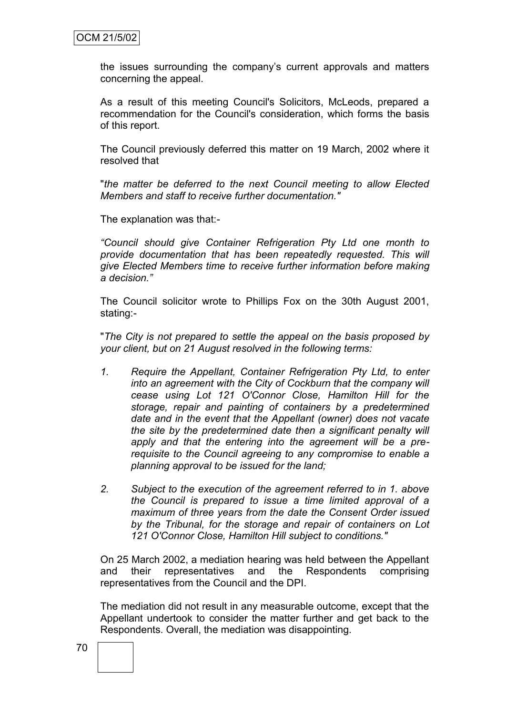the issues surrounding the company"s current approvals and matters concerning the appeal.

As a result of this meeting Council's Solicitors, McLeods, prepared a recommendation for the Council's consideration, which forms the basis of this report.

The Council previously deferred this matter on 19 March, 2002 where it resolved that

"*the matter be deferred to the next Council meeting to allow Elected Members and staff to receive further documentation."*

The explanation was that:-

*"Council should give Container Refrigeration Pty Ltd one month to provide documentation that has been repeatedly requested. This will give Elected Members time to receive further information before making a decision."*

The Council solicitor wrote to Phillips Fox on the 30th August 2001, stating:-

"*The City is not prepared to settle the appeal on the basis proposed by your client, but on 21 August resolved in the following terms:*

- *1. Require the Appellant, Container Refrigeration Pty Ltd, to enter into an agreement with the City of Cockburn that the company will cease using Lot 121 O'Connor Close, Hamilton Hill for the storage, repair and painting of containers by a predetermined date and in the event that the Appellant (owner) does not vacate the site by the predetermined date then a significant penalty will apply and that the entering into the agreement will be a prerequisite to the Council agreeing to any compromise to enable a planning approval to be issued for the land;*
- *2. Subject to the execution of the agreement referred to in 1. above the Council is prepared to issue a time limited approval of a maximum of three years from the date the Consent Order issued by the Tribunal, for the storage and repair of containers on Lot 121 O'Connor Close, Hamilton Hill subject to conditions."*

On 25 March 2002, a mediation hearing was held between the Appellant and their representatives and the Respondents comprising representatives from the Council and the DPI.

The mediation did not result in any measurable outcome, except that the Appellant undertook to consider the matter further and get back to the Respondents. Overall, the mediation was disappointing.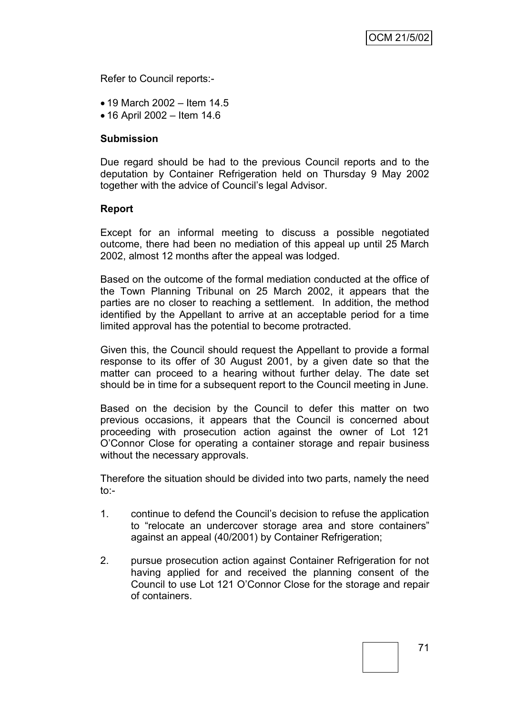Refer to Council reports:-

- 19 March 2002 Item 14.5
- 16 April 2002 Item 14.6

### **Submission**

Due regard should be had to the previous Council reports and to the deputation by Container Refrigeration held on Thursday 9 May 2002 together with the advice of Council"s legal Advisor.

#### **Report**

Except for an informal meeting to discuss a possible negotiated outcome, there had been no mediation of this appeal up until 25 March 2002, almost 12 months after the appeal was lodged.

Based on the outcome of the formal mediation conducted at the office of the Town Planning Tribunal on 25 March 2002, it appears that the parties are no closer to reaching a settlement. In addition, the method identified by the Appellant to arrive at an acceptable period for a time limited approval has the potential to become protracted.

Given this, the Council should request the Appellant to provide a formal response to its offer of 30 August 2001, by a given date so that the matter can proceed to a hearing without further delay. The date set should be in time for a subsequent report to the Council meeting in June.

Based on the decision by the Council to defer this matter on two previous occasions, it appears that the Council is concerned about proceeding with prosecution action against the owner of Lot 121 O"Connor Close for operating a container storage and repair business without the necessary approvals.

Therefore the situation should be divided into two parts, namely the need  $to -$ 

- 1. continue to defend the Council"s decision to refuse the application to "relocate an undercover storage area and store containers" against an appeal (40/2001) by Container Refrigeration;
- 2. pursue prosecution action against Container Refrigeration for not having applied for and received the planning consent of the Council to use Lot 121 O"Connor Close for the storage and repair of containers.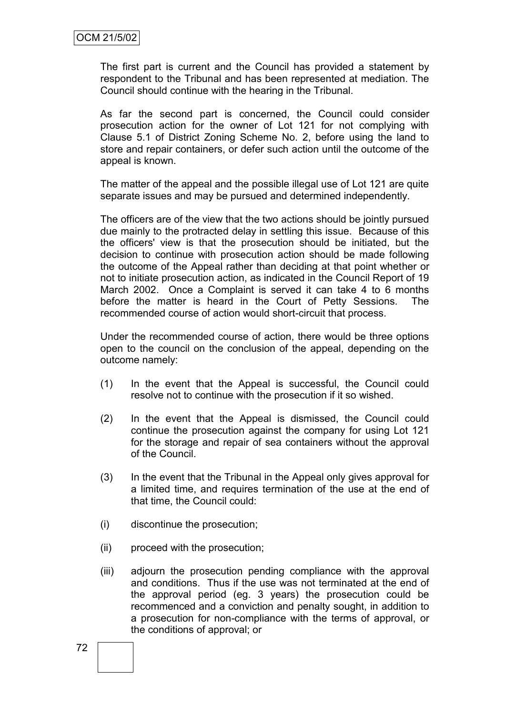The first part is current and the Council has provided a statement by respondent to the Tribunal and has been represented at mediation. The Council should continue with the hearing in the Tribunal.

As far the second part is concerned, the Council could consider prosecution action for the owner of Lot 121 for not complying with Clause 5.1 of District Zoning Scheme No. 2, before using the land to store and repair containers, or defer such action until the outcome of the appeal is known.

The matter of the appeal and the possible illegal use of Lot 121 are quite separate issues and may be pursued and determined independently.

The officers are of the view that the two actions should be jointly pursued due mainly to the protracted delay in settling this issue. Because of this the officers' view is that the prosecution should be initiated, but the decision to continue with prosecution action should be made following the outcome of the Appeal rather than deciding at that point whether or not to initiate prosecution action, as indicated in the Council Report of 19 March 2002. Once a Complaint is served it can take 4 to 6 months before the matter is heard in the Court of Petty Sessions. The recommended course of action would short-circuit that process.

Under the recommended course of action, there would be three options open to the council on the conclusion of the appeal, depending on the outcome namely:

- (1) In the event that the Appeal is successful, the Council could resolve not to continue with the prosecution if it so wished.
- (2) In the event that the Appeal is dismissed, the Council could continue the prosecution against the company for using Lot 121 for the storage and repair of sea containers without the approval of the Council.
- (3) In the event that the Tribunal in the Appeal only gives approval for a limited time, and requires termination of the use at the end of that time, the Council could:
- (i) discontinue the prosecution;
- (ii) proceed with the prosecution;
- (iii) adjourn the prosecution pending compliance with the approval and conditions. Thus if the use was not terminated at the end of the approval period (eg. 3 years) the prosecution could be recommenced and a conviction and penalty sought, in addition to a prosecution for non-compliance with the terms of approval, or the conditions of approval; or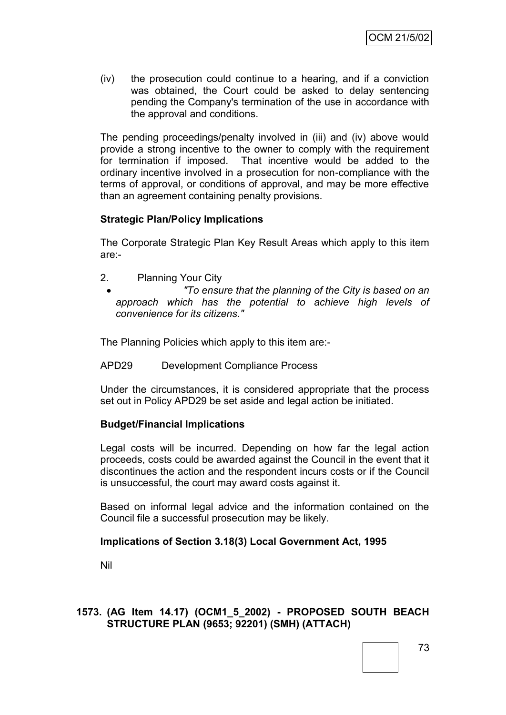(iv) the prosecution could continue to a hearing, and if a conviction was obtained, the Court could be asked to delay sentencing pending the Company's termination of the use in accordance with the approval and conditions.

The pending proceedings/penalty involved in (iii) and (iv) above would provide a strong incentive to the owner to comply with the requirement for termination if imposed. That incentive would be added to the ordinary incentive involved in a prosecution for non-compliance with the terms of approval, or conditions of approval, and may be more effective than an agreement containing penalty provisions.

# **Strategic Plan/Policy Implications**

The Corporate Strategic Plan Key Result Areas which apply to this item are:-

- 2. Planning Your City
	- *"To ensure that the planning of the City is based on an approach which has the potential to achieve high levels of convenience for its citizens."*

The Planning Policies which apply to this item are:-

APD29 Development Compliance Process

Under the circumstances, it is considered appropriate that the process set out in Policy APD29 be set aside and legal action be initiated.

#### **Budget/Financial Implications**

Legal costs will be incurred. Depending on how far the legal action proceeds, costs could be awarded against the Council in the event that it discontinues the action and the respondent incurs costs or if the Council is unsuccessful, the court may award costs against it.

Based on informal legal advice and the information contained on the Council file a successful prosecution may be likely.

#### **Implications of Section 3.18(3) Local Government Act, 1995**

Nil

#### **1573. (AG Item 14.17) (OCM1\_5\_2002) - PROPOSED SOUTH BEACH STRUCTURE PLAN (9653; 92201) (SMH) (ATTACH)**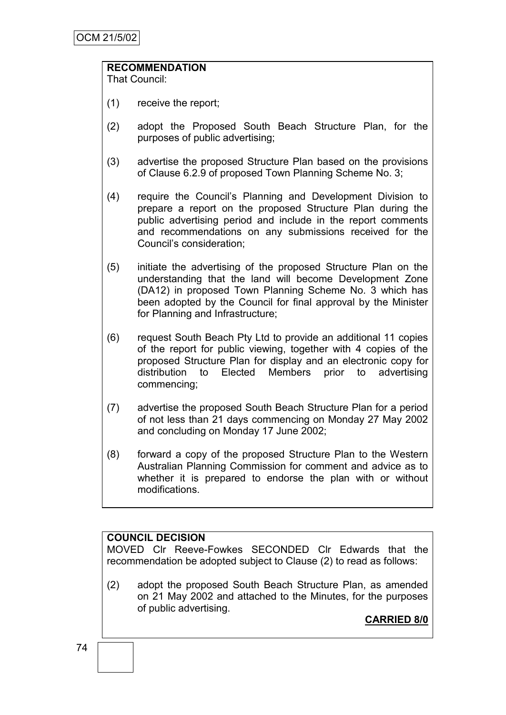# **RECOMMENDATION**

That Council:

- (1) receive the report;
- (2) adopt the Proposed South Beach Structure Plan, for the purposes of public advertising;
- (3) advertise the proposed Structure Plan based on the provisions of Clause 6.2.9 of proposed Town Planning Scheme No. 3;
- (4) require the Council"s Planning and Development Division to prepare a report on the proposed Structure Plan during the public advertising period and include in the report comments and recommendations on any submissions received for the Council"s consideration;
- (5) initiate the advertising of the proposed Structure Plan on the understanding that the land will become Development Zone (DA12) in proposed Town Planning Scheme No. 3 which has been adopted by the Council for final approval by the Minister for Planning and Infrastructure;
- (6) request South Beach Pty Ltd to provide an additional 11 copies of the report for public viewing, together with 4 copies of the proposed Structure Plan for display and an electronic copy for distribution to Elected Members prior to advertising commencing;
- (7) advertise the proposed South Beach Structure Plan for a period of not less than 21 days commencing on Monday 27 May 2002 and concluding on Monday 17 June 2002;
- (8) forward a copy of the proposed Structure Plan to the Western Australian Planning Commission for comment and advice as to whether it is prepared to endorse the plan with or without modifications.

# **COUNCIL DECISION**

MOVED Clr Reeve-Fowkes SECONDED Clr Edwards that the recommendation be adopted subject to Clause (2) to read as follows:

(2) adopt the proposed South Beach Structure Plan, as amended on 21 May 2002 and attached to the Minutes, for the purposes of public advertising.

**CARRIED 8/0**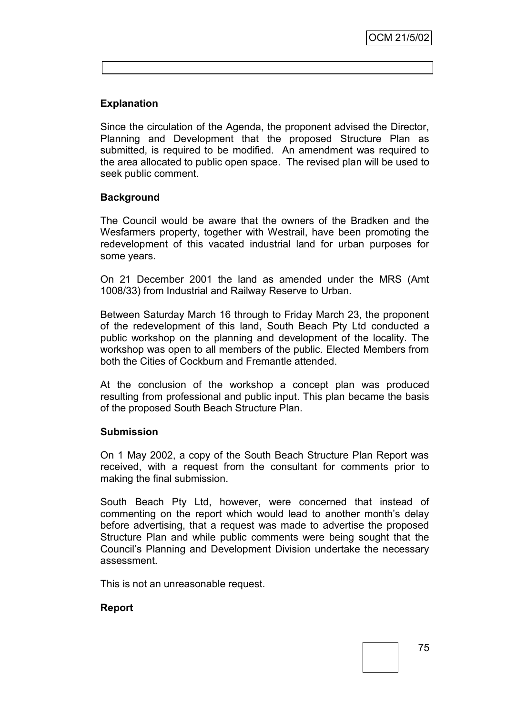# **Explanation**

Since the circulation of the Agenda, the proponent advised the Director, Planning and Development that the proposed Structure Plan as submitted, is required to be modified. An amendment was required to the area allocated to public open space. The revised plan will be used to seek public comment.

## **Background**

The Council would be aware that the owners of the Bradken and the Wesfarmers property, together with Westrail, have been promoting the redevelopment of this vacated industrial land for urban purposes for some years.

On 21 December 2001 the land as amended under the MRS (Amt 1008/33) from Industrial and Railway Reserve to Urban.

Between Saturday March 16 through to Friday March 23, the proponent of the redevelopment of this land, South Beach Pty Ltd conducted a public workshop on the planning and development of the locality. The workshop was open to all members of the public. Elected Members from both the Cities of Cockburn and Fremantle attended.

At the conclusion of the workshop a concept plan was produced resulting from professional and public input. This plan became the basis of the proposed South Beach Structure Plan.

#### **Submission**

On 1 May 2002, a copy of the South Beach Structure Plan Report was received, with a request from the consultant for comments prior to making the final submission.

South Beach Pty Ltd, however, were concerned that instead of commenting on the report which would lead to another month"s delay before advertising, that a request was made to advertise the proposed Structure Plan and while public comments were being sought that the Council"s Planning and Development Division undertake the necessary assessment.

This is not an unreasonable request.

# **Report**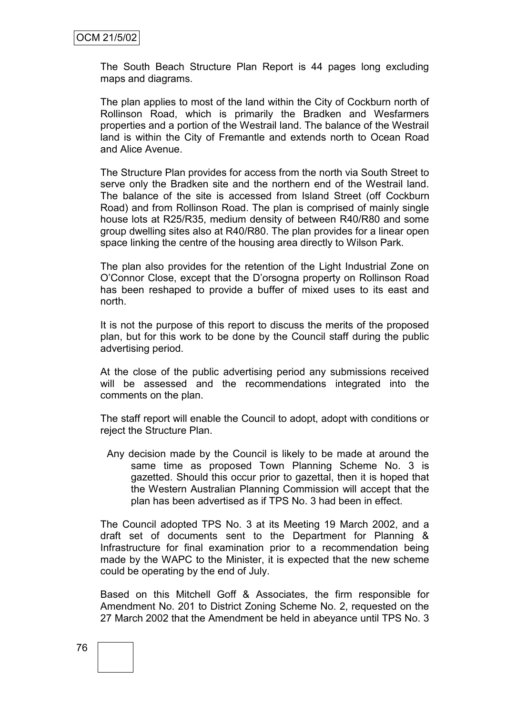The South Beach Structure Plan Report is 44 pages long excluding maps and diagrams.

The plan applies to most of the land within the City of Cockburn north of Rollinson Road, which is primarily the Bradken and Wesfarmers properties and a portion of the Westrail land. The balance of the Westrail land is within the City of Fremantle and extends north to Ocean Road and Alice Avenue.

The Structure Plan provides for access from the north via South Street to serve only the Bradken site and the northern end of the Westrail land. The balance of the site is accessed from Island Street (off Cockburn Road) and from Rollinson Road. The plan is comprised of mainly single house lots at R25/R35, medium density of between R40/R80 and some group dwelling sites also at R40/R80. The plan provides for a linear open space linking the centre of the housing area directly to Wilson Park.

The plan also provides for the retention of the Light Industrial Zone on O"Connor Close, except that the D"orsogna property on Rollinson Road has been reshaped to provide a buffer of mixed uses to its east and north.

It is not the purpose of this report to discuss the merits of the proposed plan, but for this work to be done by the Council staff during the public advertising period.

At the close of the public advertising period any submissions received will be assessed and the recommendations integrated into the comments on the plan.

The staff report will enable the Council to adopt, adopt with conditions or reject the Structure Plan.

Any decision made by the Council is likely to be made at around the same time as proposed Town Planning Scheme No. 3 is gazetted. Should this occur prior to gazettal, then it is hoped that the Western Australian Planning Commission will accept that the plan has been advertised as if TPS No. 3 had been in effect.

The Council adopted TPS No. 3 at its Meeting 19 March 2002, and a draft set of documents sent to the Department for Planning & Infrastructure for final examination prior to a recommendation being made by the WAPC to the Minister, it is expected that the new scheme could be operating by the end of July.

Based on this Mitchell Goff & Associates, the firm responsible for Amendment No. 201 to District Zoning Scheme No. 2, requested on the 27 March 2002 that the Amendment be held in abeyance until TPS No. 3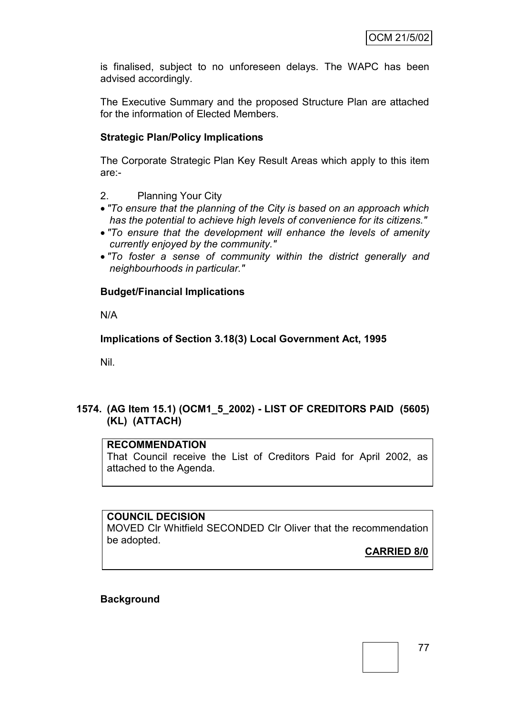is finalised, subject to no unforeseen delays. The WAPC has been advised accordingly.

The Executive Summary and the proposed Structure Plan are attached for the information of Elected Members.

### **Strategic Plan/Policy Implications**

The Corporate Strategic Plan Key Result Areas which apply to this item are:-

2. Planning Your City

- *"To ensure that the planning of the City is based on an approach which has the potential to achieve high levels of convenience for its citizens."*
- *"To ensure that the development will enhance the levels of amenity currently enjoyed by the community."*
- *"To foster a sense of community within the district generally and neighbourhoods in particular."*

#### **Budget/Financial Implications**

N/A

**Implications of Section 3.18(3) Local Government Act, 1995**

Nil.

#### **1574. (AG Item 15.1) (OCM1\_5\_2002) - LIST OF CREDITORS PAID (5605) (KL) (ATTACH)**

# **RECOMMENDATION**

That Council receive the List of Creditors Paid for April 2002, as attached to the Agenda.

#### **COUNCIL DECISION**

MOVED Clr Whitfield SECONDED Clr Oliver that the recommendation be adopted.

#### **CARRIED 8/0**

#### **Background**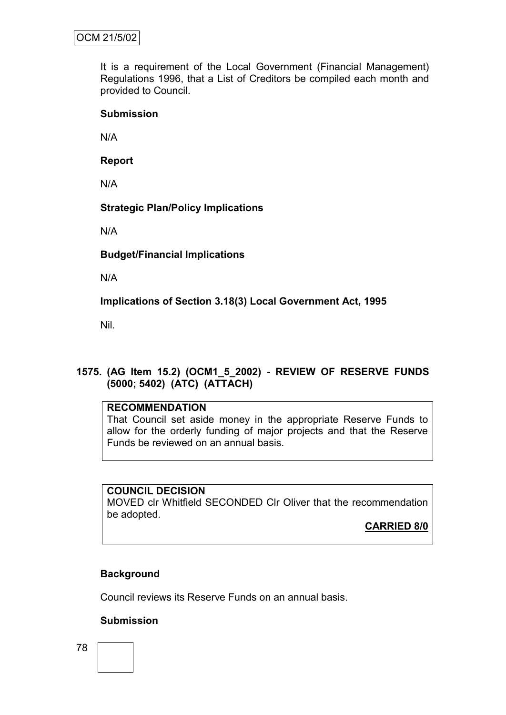It is a requirement of the Local Government (Financial Management) Regulations 1996, that a List of Creditors be compiled each month and provided to Council.

#### **Submission**

N/A

**Report**

N/A

#### **Strategic Plan/Policy Implications**

N/A

**Budget/Financial Implications**

N/A

**Implications of Section 3.18(3) Local Government Act, 1995**

Nil.

# **1575. (AG Item 15.2) (OCM1\_5\_2002) - REVIEW OF RESERVE FUNDS (5000; 5402) (ATC) (ATTACH)**

# **RECOMMENDATION**

That Council set aside money in the appropriate Reserve Funds to allow for the orderly funding of major projects and that the Reserve Funds be reviewed on an annual basis.

#### **COUNCIL DECISION**

MOVED clr Whitfield SECONDED Clr Oliver that the recommendation be adopted.

**CARRIED 8/0**

# **Background**

Council reviews its Reserve Funds on an annual basis.

#### **Submission**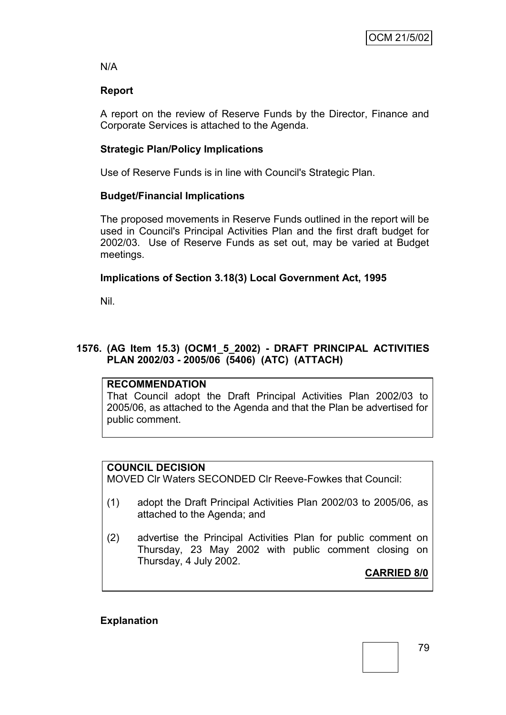N/A

# **Report**

A report on the review of Reserve Funds by the Director, Finance and Corporate Services is attached to the Agenda.

# **Strategic Plan/Policy Implications**

Use of Reserve Funds is in line with Council's Strategic Plan.

# **Budget/Financial Implications**

The proposed movements in Reserve Funds outlined in the report will be used in Council's Principal Activities Plan and the first draft budget for 2002/03. Use of Reserve Funds as set out, may be varied at Budget meetings.

# **Implications of Section 3.18(3) Local Government Act, 1995**

Nil.

# **1576. (AG Item 15.3) (OCM1\_5\_2002) - DRAFT PRINCIPAL ACTIVITIES PLAN 2002/03 - 2005/06 (5406) (ATC) (ATTACH)**

# **RECOMMENDATION**

That Council adopt the Draft Principal Activities Plan 2002/03 to 2005/06, as attached to the Agenda and that the Plan be advertised for public comment.

# **COUNCIL DECISION**

MOVED Clr Waters SECONDED Clr Reeve-Fowkes that Council:

- (1) adopt the Draft Principal Activities Plan 2002/03 to 2005/06, as attached to the Agenda; and
- (2) advertise the Principal Activities Plan for public comment on Thursday, 23 May 2002 with public comment closing on Thursday, 4 July 2002.

**CARRIED 8/0**

# **Explanation**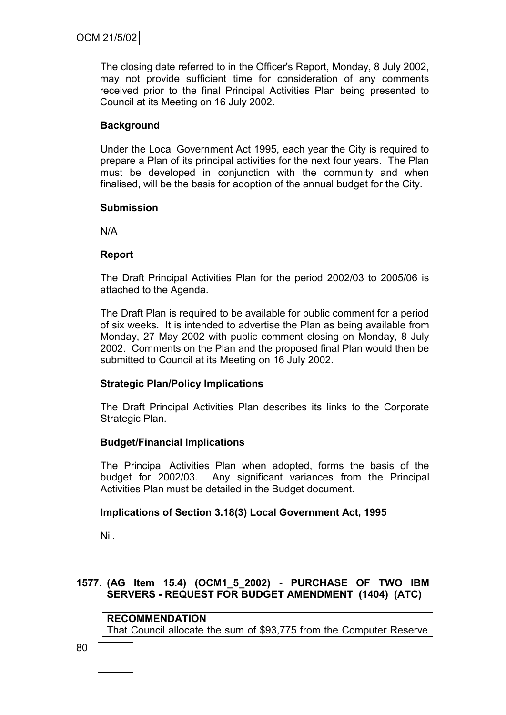The closing date referred to in the Officer's Report, Monday, 8 July 2002, may not provide sufficient time for consideration of any comments received prior to the final Principal Activities Plan being presented to Council at its Meeting on 16 July 2002.

# **Background**

Under the Local Government Act 1995, each year the City is required to prepare a Plan of its principal activities for the next four years. The Plan must be developed in conjunction with the community and when finalised, will be the basis for adoption of the annual budget for the City.

#### **Submission**

N/A

#### **Report**

The Draft Principal Activities Plan for the period 2002/03 to 2005/06 is attached to the Agenda.

The Draft Plan is required to be available for public comment for a period of six weeks. It is intended to advertise the Plan as being available from Monday, 27 May 2002 with public comment closing on Monday, 8 July 2002. Comments on the Plan and the proposed final Plan would then be submitted to Council at its Meeting on 16 July 2002.

#### **Strategic Plan/Policy Implications**

The Draft Principal Activities Plan describes its links to the Corporate Strategic Plan.

#### **Budget/Financial Implications**

The Principal Activities Plan when adopted, forms the basis of the budget for 2002/03. Any significant variances from the Principal Activities Plan must be detailed in the Budget document.

#### **Implications of Section 3.18(3) Local Government Act, 1995**

Nil.

#### **1577. (AG Item 15.4) (OCM1\_5\_2002) - PURCHASE OF TWO IBM SERVERS - REQUEST FOR BUDGET AMENDMENT (1404) (ATC)**

**RECOMMENDATION** That Council allocate the sum of \$93,775 from the Computer Reserve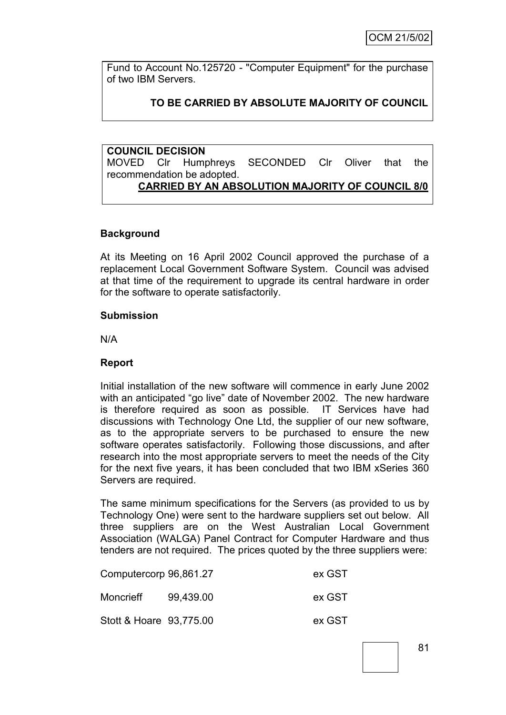Fund to Account No.125720 - "Computer Equipment" for the purchase of two IBM Servers.

# **TO BE CARRIED BY ABSOLUTE MAJORITY OF COUNCIL**

**COUNCIL DECISION** MOVED Clr Humphreys SECONDED Clr Oliver that the recommendation be adopted. **CARRIED BY AN ABSOLUTION MAJORITY OF COUNCIL 8/0**

#### **Background**

At its Meeting on 16 April 2002 Council approved the purchase of a replacement Local Government Software System. Council was advised at that time of the requirement to upgrade its central hardware in order for the software to operate satisfactorily.

#### **Submission**

N/A

#### **Report**

Initial installation of the new software will commence in early June 2002 with an anticipated "go live" date of November 2002. The new hardware is therefore required as soon as possible. IT Services have had discussions with Technology One Ltd, the supplier of our new software, as to the appropriate servers to be purchased to ensure the new software operates satisfactorily. Following those discussions, and after research into the most appropriate servers to meet the needs of the City for the next five years, it has been concluded that two IBM xSeries 360 Servers are required.

The same minimum specifications for the Servers (as provided to us by Technology One) were sent to the hardware suppliers set out below. All three suppliers are on the West Australian Local Government Association (WALGA) Panel Contract for Computer Hardware and thus tenders are not required. The prices quoted by the three suppliers were:

| Computercorp 96,861.27  |           | ex GST |
|-------------------------|-----------|--------|
| Moncrieff               | 99.439.00 | ex GST |
| Stott & Hoare 93,775.00 |           | ex GST |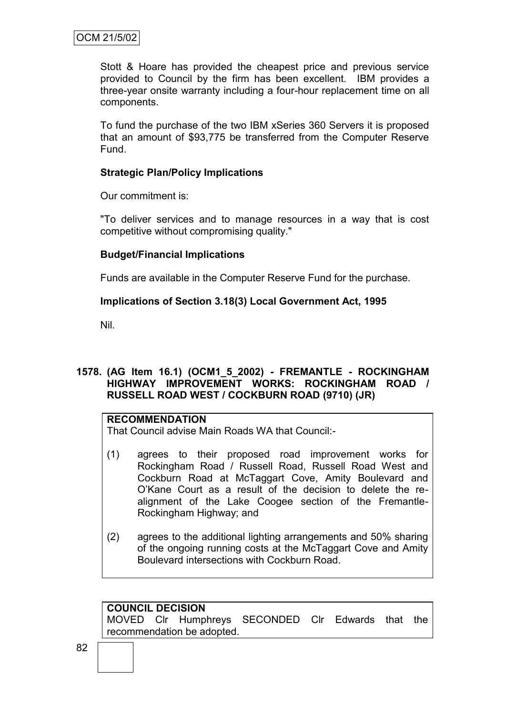Stott & Hoare has provided the cheapest price and previous service provided to Council by the firm has been excellent. IBM provides a three-year onsite warranty including a four-hour replacement time on all components.

To fund the purchase of the two IBM xSeries 360 Servers it is proposed that an amount of \$93,775 be transferred from the Computer Reserve Fund.

### **Strategic Plan/Policy Implications**

Our commitment is:

"To deliver services and to manage resources in a way that is cost competitive without compromising quality."

#### **Budget/Financial Implications**

Funds are available in the Computer Reserve Fund for the purchase.

#### **Implications of Section 3.18(3) Local Government Act, 1995**

Nil.

#### **1578. (AG Item 16.1) (OCM1\_5\_2002) - FREMANTLE - ROCKINGHAM HIGHWAY IMPROVEMENT WORKS: ROCKINGHAM ROAD / RUSSELL ROAD WEST / COCKBURN ROAD (9710) (JR)**

#### **RECOMMENDATION**

That Council advise Main Roads WA that Council:-

- (1) agrees to their proposed road improvement works for Rockingham Road / Russell Road, Russell Road West and Cockburn Road at McTaggart Cove, Amity Boulevard and O"Kane Court as a result of the decision to delete the realignment of the Lake Coogee section of the Fremantle-Rockingham Highway; and
- (2) agrees to the additional lighting arrangements and 50% sharing of the ongoing running costs at the McTaggart Cove and Amity Boulevard intersections with Cockburn Road.

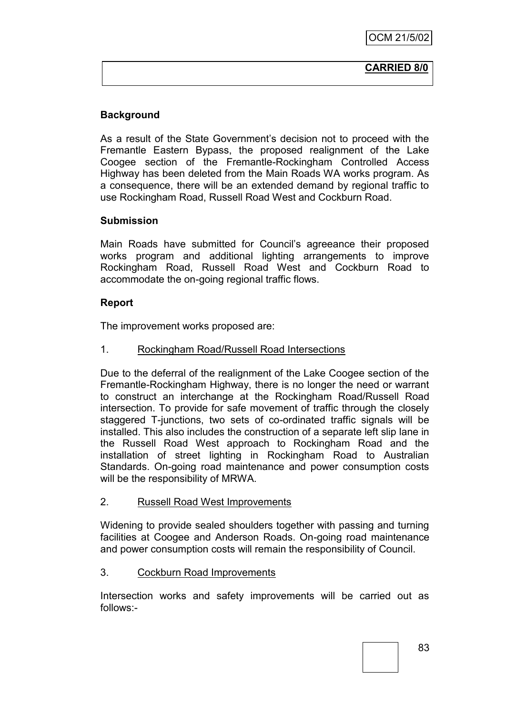#### **CARRIED 8/0**

# **Background**

As a result of the State Government's decision not to proceed with the Fremantle Eastern Bypass, the proposed realignment of the Lake Coogee section of the Fremantle-Rockingham Controlled Access Highway has been deleted from the Main Roads WA works program. As a consequence, there will be an extended demand by regional traffic to use Rockingham Road, Russell Road West and Cockburn Road.

#### **Submission**

Main Roads have submitted for Council"s agreeance their proposed works program and additional lighting arrangements to improve Rockingham Road, Russell Road West and Cockburn Road to accommodate the on-going regional traffic flows.

#### **Report**

The improvement works proposed are:

#### 1. Rockingham Road/Russell Road Intersections

Due to the deferral of the realignment of the Lake Coogee section of the Fremantle-Rockingham Highway, there is no longer the need or warrant to construct an interchange at the Rockingham Road/Russell Road intersection. To provide for safe movement of traffic through the closely staggered T-junctions, two sets of co-ordinated traffic signals will be installed. This also includes the construction of a separate left slip lane in the Russell Road West approach to Rockingham Road and the installation of street lighting in Rockingham Road to Australian Standards. On-going road maintenance and power consumption costs will be the responsibility of MRWA.

#### 2. Russell Road West Improvements

Widening to provide sealed shoulders together with passing and turning facilities at Coogee and Anderson Roads. On-going road maintenance and power consumption costs will remain the responsibility of Council.

#### 3. Cockburn Road Improvements

Intersection works and safety improvements will be carried out as follows:-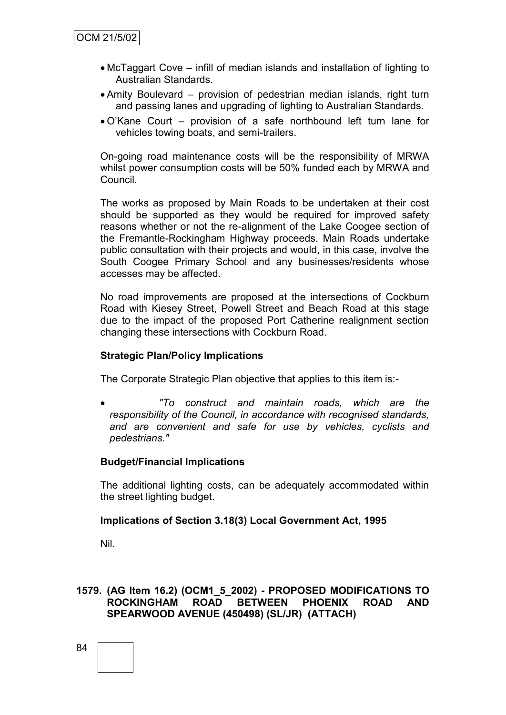- McTaggart Cove infill of median islands and installation of lighting to Australian Standards.
- Amity Boulevard provision of pedestrian median islands, right turn and passing lanes and upgrading of lighting to Australian Standards.
- O"Kane Court provision of a safe northbound left turn lane for vehicles towing boats, and semi-trailers.

On-going road maintenance costs will be the responsibility of MRWA whilst power consumption costs will be 50% funded each by MRWA and Council.

The works as proposed by Main Roads to be undertaken at their cost should be supported as they would be required for improved safety reasons whether or not the re-alignment of the Lake Coogee section of the Fremantle-Rockingham Highway proceeds. Main Roads undertake public consultation with their projects and would, in this case, involve the South Coogee Primary School and any businesses/residents whose accesses may be affected.

No road improvements are proposed at the intersections of Cockburn Road with Kiesey Street, Powell Street and Beach Road at this stage due to the impact of the proposed Port Catherine realignment section changing these intersections with Cockburn Road.

#### **Strategic Plan/Policy Implications**

The Corporate Strategic Plan objective that applies to this item is:-

 *"To construct and maintain roads, which are the responsibility of the Council, in accordance with recognised standards, and are convenient and safe for use by vehicles, cyclists and pedestrians."*

#### **Budget/Financial Implications**

The additional lighting costs, can be adequately accommodated within the street lighting budget.

#### **Implications of Section 3.18(3) Local Government Act, 1995**

Nil.

#### **1579. (AG Item 16.2) (OCM1\_5\_2002) - PROPOSED MODIFICATIONS TO ROCKINGHAM ROAD BETWEEN PHOENIX ROAD AND SPEARWOOD AVENUE (450498) (SL/JR) (ATTACH)**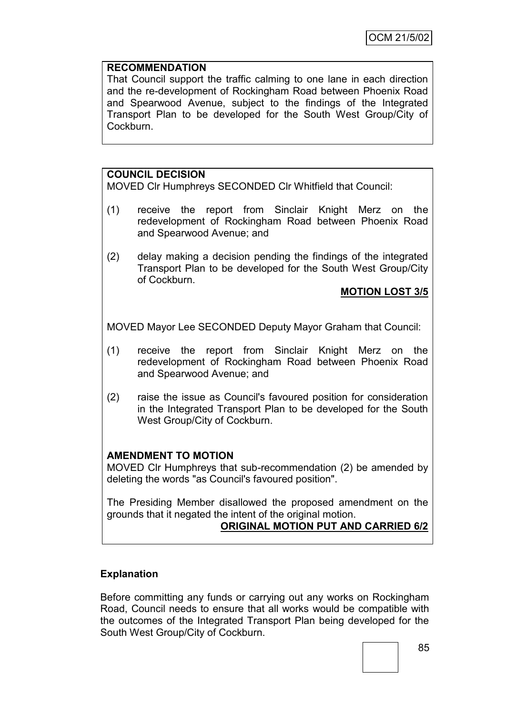### **RECOMMENDATION**

That Council support the traffic calming to one lane in each direction and the re-development of Rockingham Road between Phoenix Road and Spearwood Avenue, subject to the findings of the Integrated Transport Plan to be developed for the South West Group/City of Cockburn.

# **COUNCIL DECISION**

MOVED Clr Humphreys SECONDED Clr Whitfield that Council:

- (1) receive the report from Sinclair Knight Merz on the redevelopment of Rockingham Road between Phoenix Road and Spearwood Avenue; and
- (2) delay making a decision pending the findings of the integrated Transport Plan to be developed for the South West Group/City of Cockburn.

## **MOTION LOST 3/5**

MOVED Mayor Lee SECONDED Deputy Mayor Graham that Council:

- (1) receive the report from Sinclair Knight Merz on the redevelopment of Rockingham Road between Phoenix Road and Spearwood Avenue; and
- (2) raise the issue as Council's favoured position for consideration in the Integrated Transport Plan to be developed for the South West Group/City of Cockburn.

# **AMENDMENT TO MOTION**

MOVED Clr Humphreys that sub-recommendation (2) be amended by deleting the words "as Council's favoured position".

The Presiding Member disallowed the proposed amendment on the grounds that it negated the intent of the original motion.

# **ORIGINAL MOTION PUT AND CARRIED 6/2**

# **Explanation**

Before committing any funds or carrying out any works on Rockingham Road, Council needs to ensure that all works would be compatible with the outcomes of the Integrated Transport Plan being developed for the South West Group/City of Cockburn.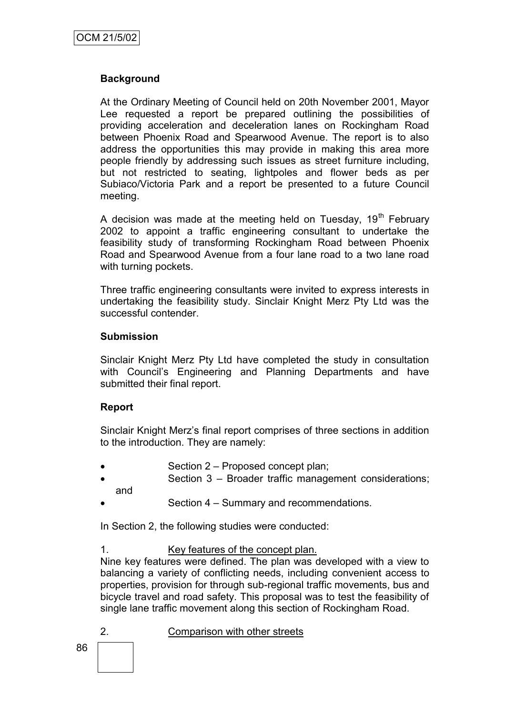## **Background**

At the Ordinary Meeting of Council held on 20th November 2001, Mayor Lee requested a report be prepared outlining the possibilities of providing acceleration and deceleration lanes on Rockingham Road between Phoenix Road and Spearwood Avenue. The report is to also address the opportunities this may provide in making this area more people friendly by addressing such issues as street furniture including, but not restricted to seating, lightpoles and flower beds as per Subiaco/Victoria Park and a report be presented to a future Council meeting.

A decision was made at the meeting held on Tuesday,  $19<sup>th</sup>$  February 2002 to appoint a traffic engineering consultant to undertake the feasibility study of transforming Rockingham Road between Phoenix Road and Spearwood Avenue from a four lane road to a two lane road with turning pockets.

Three traffic engineering consultants were invited to express interests in undertaking the feasibility study. Sinclair Knight Merz Pty Ltd was the successful contender.

#### **Submission**

Sinclair Knight Merz Pty Ltd have completed the study in consultation with Council's Engineering and Planning Departments and have submitted their final report.

#### **Report**

Sinclair Knight Merz"s final report comprises of three sections in addition to the introduction. They are namely:

- Section 2 Proposed concept plan;
- Section 3 Broader traffic management considerations;
- and
- Section 4 Summary and recommendations.

In Section 2, the following studies were conducted:

1. Key features of the concept plan.

Nine key features were defined. The plan was developed with a view to balancing a variety of conflicting needs, including convenient access to properties, provision for through sub-regional traffic movements, bus and bicycle travel and road safety. This proposal was to test the feasibility of single lane traffic movement along this section of Rockingham Road.

86 2. Comparison with other streets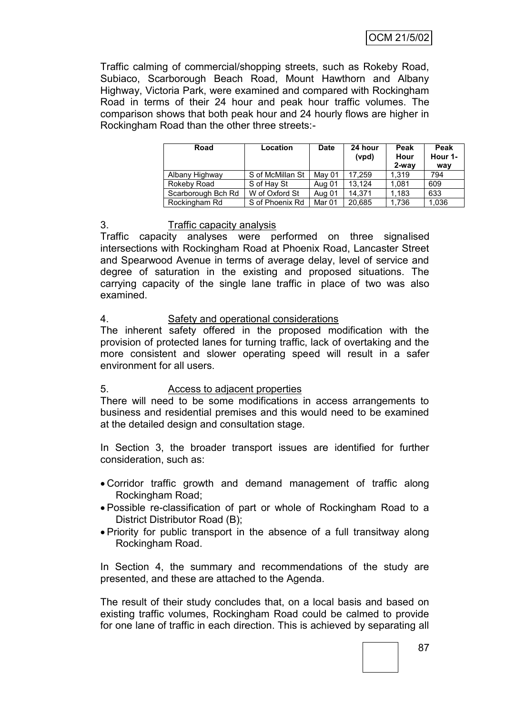Traffic calming of commercial/shopping streets, such as Rokeby Road, Subiaco, Scarborough Beach Road, Mount Hawthorn and Albany Highway, Victoria Park, were examined and compared with Rockingham Road in terms of their 24 hour and peak hour traffic volumes. The comparison shows that both peak hour and 24 hourly flows are higher in Rockingham Road than the other three streets:-

| Road               | Location         | <b>Date</b> | 24 hour<br>(vpd) | Peak<br>Hour<br>$2$ -way | Peak<br>Hour 1-<br>way |
|--------------------|------------------|-------------|------------------|--------------------------|------------------------|
| Albany Highway     | S of McMillan St | May 01      | 17.259           | 1.319                    | 794                    |
| Rokeby Road        | S of Hay St      | Aug 01      | 13.124           | 1.081                    | 609                    |
| Scarborough Bch Rd | W of Oxford St   | Aug 01      | 14.371           | 1.183                    | 633                    |
| Rockingham Rd      | S of Phoenix Rd  | Mar 01      | 20.685           | 1.736                    | 1,036                  |

#### 3. Traffic capacity analysis

Traffic capacity analyses were performed on three signalised intersections with Rockingham Road at Phoenix Road, Lancaster Street and Spearwood Avenue in terms of average delay, level of service and degree of saturation in the existing and proposed situations. The carrying capacity of the single lane traffic in place of two was also examined.

## 4. Safety and operational considerations

The inherent safety offered in the proposed modification with the provision of protected lanes for turning traffic, lack of overtaking and the more consistent and slower operating speed will result in a safer environment for all users.

# 5. Access to adjacent properties

There will need to be some modifications in access arrangements to business and residential premises and this would need to be examined at the detailed design and consultation stage.

In Section 3, the broader transport issues are identified for further consideration, such as:

- Corridor traffic growth and demand management of traffic along Rockingham Road;
- Possible re-classification of part or whole of Rockingham Road to a District Distributor Road (B);
- Priority for public transport in the absence of a full transitway along Rockingham Road.

In Section 4, the summary and recommendations of the study are presented, and these are attached to the Agenda.

The result of their study concludes that, on a local basis and based on existing traffic volumes, Rockingham Road could be calmed to provide for one lane of traffic in each direction. This is achieved by separating all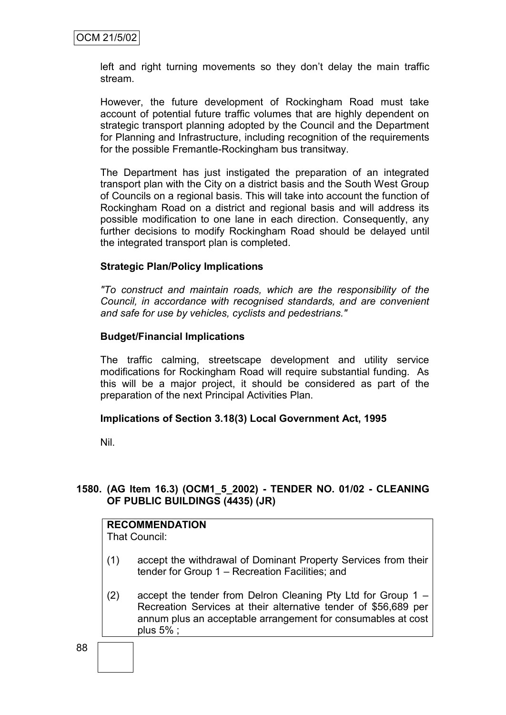left and right turning movements so they don"t delay the main traffic stream.

However, the future development of Rockingham Road must take account of potential future traffic volumes that are highly dependent on strategic transport planning adopted by the Council and the Department for Planning and Infrastructure, including recognition of the requirements for the possible Fremantle-Rockingham bus transitway.

The Department has just instigated the preparation of an integrated transport plan with the City on a district basis and the South West Group of Councils on a regional basis. This will take into account the function of Rockingham Road on a district and regional basis and will address its possible modification to one lane in each direction. Consequently, any further decisions to modify Rockingham Road should be delayed until the integrated transport plan is completed.

#### **Strategic Plan/Policy Implications**

*"To construct and maintain roads, which are the responsibility of the Council, in accordance with recognised standards, and are convenient and safe for use by vehicles, cyclists and pedestrians."*

#### **Budget/Financial Implications**

The traffic calming, streetscape development and utility service modifications for Rockingham Road will require substantial funding. As this will be a major project, it should be considered as part of the preparation of the next Principal Activities Plan.

#### **Implications of Section 3.18(3) Local Government Act, 1995**

Nil.

## **1580. (AG Item 16.3) (OCM1\_5\_2002) - TENDER NO. 01/02 - CLEANING OF PUBLIC BUILDINGS (4435) (JR)**

# **RECOMMENDATION**

That Council:

- (1) accept the withdrawal of Dominant Property Services from their tender for Group 1 – Recreation Facilities; and
- (2) accept the tender from Delron Cleaning Pty Ltd for Group 1 Recreation Services at their alternative tender of \$56,689 per annum plus an acceptable arrangement for consumables at cost plus 5% ;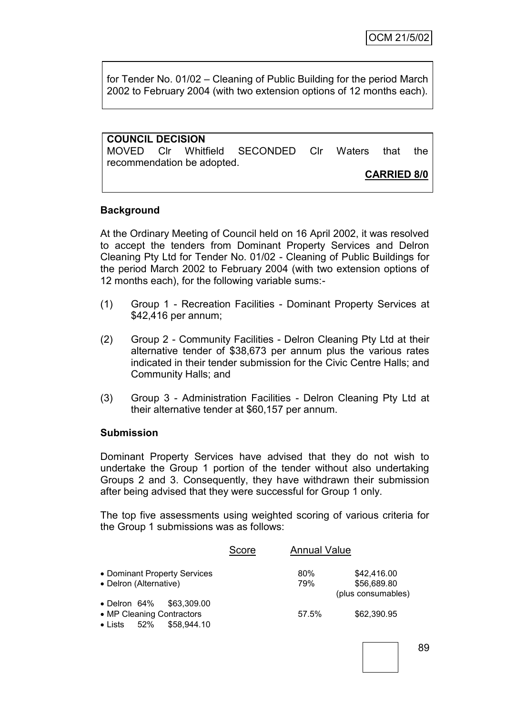for Tender No. 01/02 – Cleaning of Public Building for the period March 2002 to February 2004 (with two extension options of 12 months each).

| <b>COUNCIL DECISION</b> |                            |                                              |  |                    |      |
|-------------------------|----------------------------|----------------------------------------------|--|--------------------|------|
|                         |                            | MOVED CIr Whitfield SECONDED CIr Waters that |  |                    | the. |
|                         | recommendation be adopted. |                                              |  |                    |      |
|                         |                            |                                              |  | <b>CARRIED 8/0</b> |      |

#### **Background**

At the Ordinary Meeting of Council held on 16 April 2002, it was resolved to accept the tenders from Dominant Property Services and Delron Cleaning Pty Ltd for Tender No. 01/02 - Cleaning of Public Buildings for the period March 2002 to February 2004 (with two extension options of 12 months each), for the following variable sums:-

- (1) Group 1 Recreation Facilities Dominant Property Services at \$42,416 per annum;
- (2) Group 2 Community Facilities Delron Cleaning Pty Ltd at their alternative tender of \$38,673 per annum plus the various rates indicated in their tender submission for the Civic Centre Halls; and Community Halls; and
- (3) Group 3 Administration Facilities Delron Cleaning Pty Ltd at their alternative tender at \$60,157 per annum.

#### **Submission**

Dominant Property Services have advised that they do not wish to undertake the Group 1 portion of the tender without also undertaking Groups 2 and 3. Consequently, they have withdrawn their submission after being advised that they were successful for Group 1 only.

The top five assessments using weighted scoring of various criteria for the Group 1 submissions was as follows:

|                                                                                                        | Score | <b>Annual Value</b> |                                                  |
|--------------------------------------------------------------------------------------------------------|-------|---------------------|--------------------------------------------------|
| • Dominant Property Services<br>• Delron (Alternative)                                                 |       | 80%<br>79%          | \$42,416.00<br>\$56,689.80<br>(plus consumables) |
| $\bullet$ Delron 64%<br>\$63,309.00<br>• MP Cleaning Contractors<br>\$58,944.10<br>$\bullet$ Lists 52% |       | 57.5%               | \$62,390.95                                      |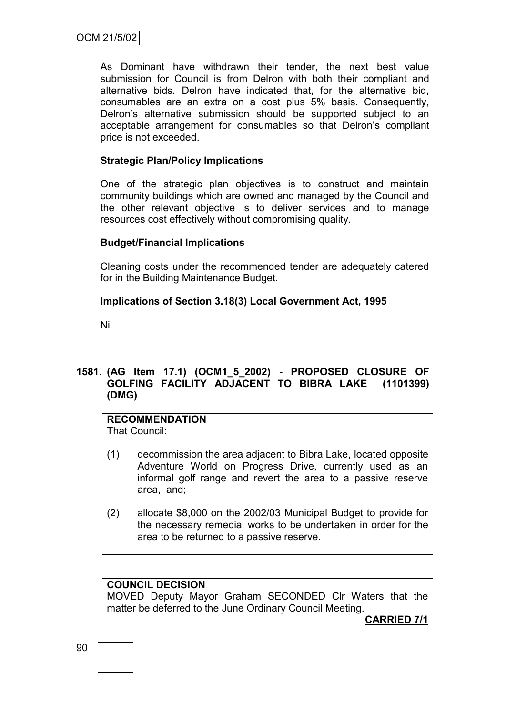As Dominant have withdrawn their tender, the next best value submission for Council is from Delron with both their compliant and alternative bids. Delron have indicated that, for the alternative bid, consumables are an extra on a cost plus 5% basis. Consequently, Delron"s alternative submission should be supported subject to an acceptable arrangement for consumables so that Delron"s compliant price is not exceeded.

### **Strategic Plan/Policy Implications**

One of the strategic plan objectives is to construct and maintain community buildings which are owned and managed by the Council and the other relevant objective is to deliver services and to manage resources cost effectively without compromising quality.

## **Budget/Financial Implications**

Cleaning costs under the recommended tender are adequately catered for in the Building Maintenance Budget.

## **Implications of Section 3.18(3) Local Government Act, 1995**

Nil

# **1581. (AG Item 17.1) (OCM1\_5\_2002) - PROPOSED CLOSURE OF GOLFING FACILITY ADJACENT TO BIBRA LAKE (1101399) (DMG)**

# **RECOMMENDATION**

That Council:

- (1) decommission the area adjacent to Bibra Lake, located opposite Adventure World on Progress Drive, currently used as an informal golf range and revert the area to a passive reserve area, and;
- (2) allocate \$8,000 on the 2002/03 Municipal Budget to provide for the necessary remedial works to be undertaken in order for the area to be returned to a passive reserve.

# **COUNCIL DECISION**

MOVED Deputy Mayor Graham SECONDED Clr Waters that the matter be deferred to the June Ordinary Council Meeting.

**CARRIED 7/1**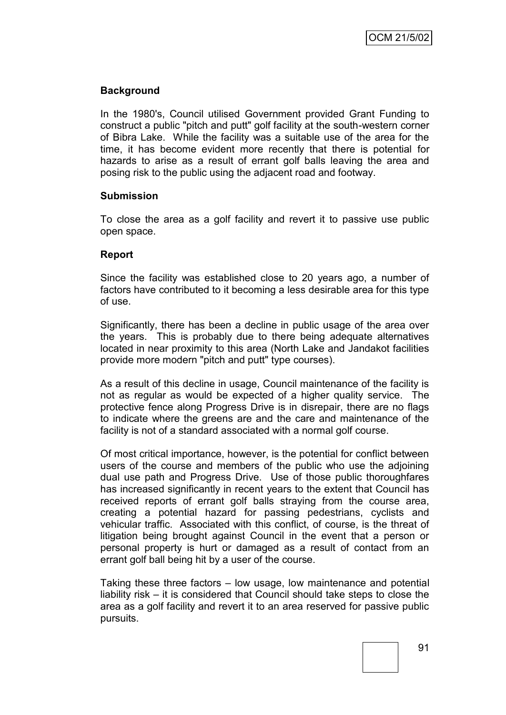### **Background**

In the 1980's, Council utilised Government provided Grant Funding to construct a public "pitch and putt" golf facility at the south-western corner of Bibra Lake. While the facility was a suitable use of the area for the time, it has become evident more recently that there is potential for hazards to arise as a result of errant golf balls leaving the area and posing risk to the public using the adjacent road and footway.

#### **Submission**

To close the area as a golf facility and revert it to passive use public open space.

#### **Report**

Since the facility was established close to 20 years ago, a number of factors have contributed to it becoming a less desirable area for this type of use.

Significantly, there has been a decline in public usage of the area over the years. This is probably due to there being adequate alternatives located in near proximity to this area (North Lake and Jandakot facilities provide more modern "pitch and putt" type courses).

As a result of this decline in usage, Council maintenance of the facility is not as regular as would be expected of a higher quality service. The protective fence along Progress Drive is in disrepair, there are no flags to indicate where the greens are and the care and maintenance of the facility is not of a standard associated with a normal golf course.

Of most critical importance, however, is the potential for conflict between users of the course and members of the public who use the adjoining dual use path and Progress Drive. Use of those public thoroughfares has increased significantly in recent years to the extent that Council has received reports of errant golf balls straying from the course area, creating a potential hazard for passing pedestrians, cyclists and vehicular traffic. Associated with this conflict, of course, is the threat of litigation being brought against Council in the event that a person or personal property is hurt or damaged as a result of contact from an errant golf ball being hit by a user of the course.

Taking these three factors – low usage, low maintenance and potential liability risk – it is considered that Council should take steps to close the area as a golf facility and revert it to an area reserved for passive public pursuits.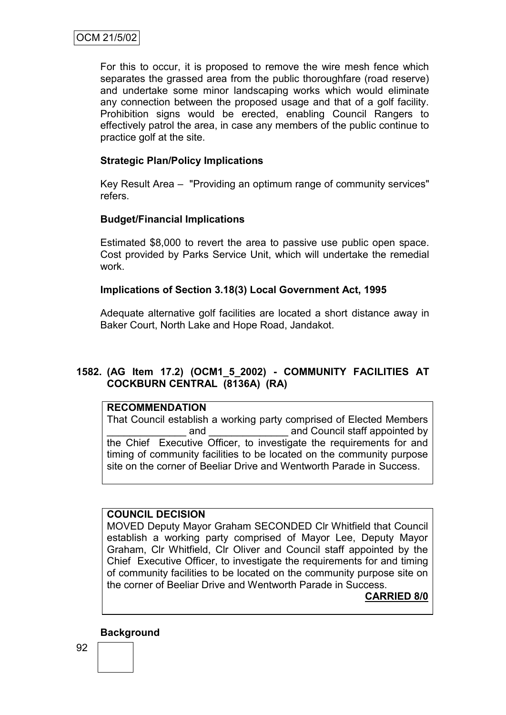For this to occur, it is proposed to remove the wire mesh fence which separates the grassed area from the public thoroughfare (road reserve) and undertake some minor landscaping works which would eliminate any connection between the proposed usage and that of a golf facility. Prohibition signs would be erected, enabling Council Rangers to effectively patrol the area, in case any members of the public continue to practice golf at the site.

## **Strategic Plan/Policy Implications**

Key Result Area – "Providing an optimum range of community services" refers.

## **Budget/Financial Implications**

Estimated \$8,000 to revert the area to passive use public open space. Cost provided by Parks Service Unit, which will undertake the remedial work.

#### **Implications of Section 3.18(3) Local Government Act, 1995**

Adequate alternative golf facilities are located a short distance away in Baker Court, North Lake and Hope Road, Jandakot.

## **1582. (AG Item 17.2) (OCM1\_5\_2002) - COMMUNITY FACILITIES AT COCKBURN CENTRAL (8136A) (RA)**

#### **RECOMMENDATION**

That Council establish a working party comprised of Elected Members and and Council staff appointed by the Chief Executive Officer, to investigate the requirements for and timing of community facilities to be located on the community purpose site on the corner of Beeliar Drive and Wentworth Parade in Success.

#### **COUNCIL DECISION**

MOVED Deputy Mayor Graham SECONDED Clr Whitfield that Council establish a working party comprised of Mayor Lee, Deputy Mayor Graham, Clr Whitfield, Clr Oliver and Council staff appointed by the Chief Executive Officer, to investigate the requirements for and timing of community facilities to be located on the community purpose site on the corner of Beeliar Drive and Wentworth Parade in Success.

**CARRIED 8/0**

#### **Background**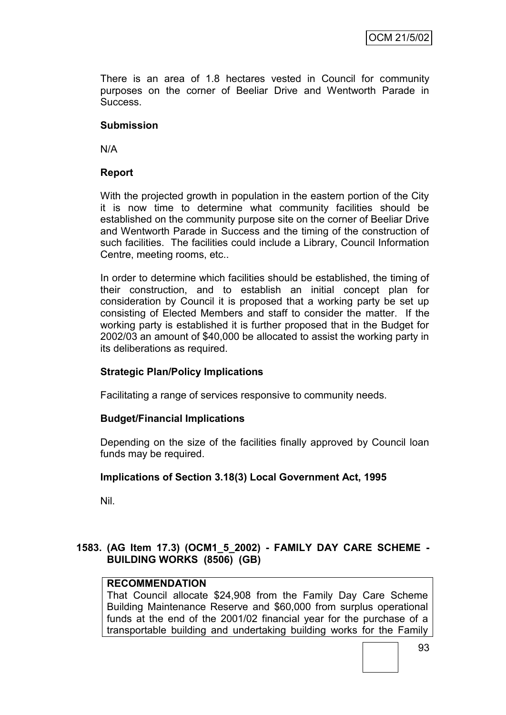There is an area of 1.8 hectares vested in Council for community purposes on the corner of Beeliar Drive and Wentworth Parade in Success.

#### **Submission**

N/A

### **Report**

With the projected growth in population in the eastern portion of the City it is now time to determine what community facilities should be established on the community purpose site on the corner of Beeliar Drive and Wentworth Parade in Success and the timing of the construction of such facilities. The facilities could include a Library, Council Information Centre, meeting rooms, etc..

In order to determine which facilities should be established, the timing of their construction, and to establish an initial concept plan for consideration by Council it is proposed that a working party be set up consisting of Elected Members and staff to consider the matter. If the working party is established it is further proposed that in the Budget for 2002/03 an amount of \$40,000 be allocated to assist the working party in its deliberations as required.

#### **Strategic Plan/Policy Implications**

Facilitating a range of services responsive to community needs.

#### **Budget/Financial Implications**

Depending on the size of the facilities finally approved by Council loan funds may be required.

#### **Implications of Section 3.18(3) Local Government Act, 1995**

Nil.

## **1583. (AG Item 17.3) (OCM1\_5\_2002) - FAMILY DAY CARE SCHEME - BUILDING WORKS (8506) (GB)**

# **RECOMMENDATION**

That Council allocate \$24,908 from the Family Day Care Scheme Building Maintenance Reserve and \$60,000 from surplus operational funds at the end of the 2001/02 financial year for the purchase of a transportable building and undertaking building works for the Family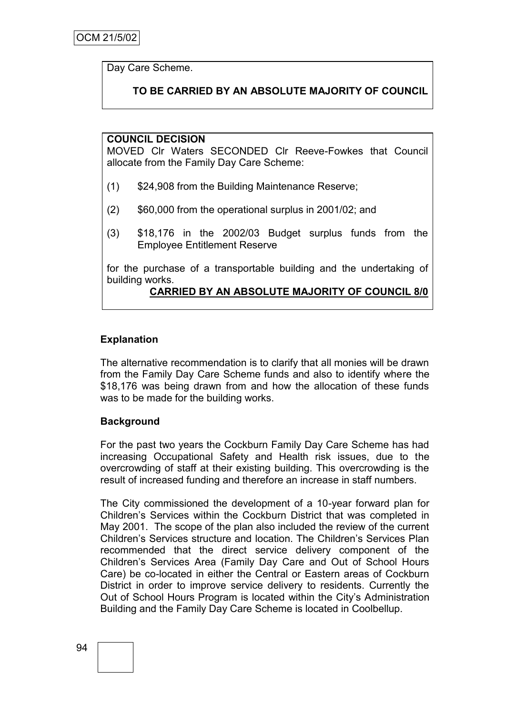Day Care Scheme.

# **TO BE CARRIED BY AN ABSOLUTE MAJORITY OF COUNCIL**

#### **COUNCIL DECISION**

MOVED Clr Waters SECONDED Clr Reeve-Fowkes that Council allocate from the Family Day Care Scheme:

- (1) \$24,908 from the Building Maintenance Reserve;
- (2) \$60,000 from the operational surplus in 2001/02; and
- (3) \$18,176 in the 2002/03 Budget surplus funds from the Employee Entitlement Reserve

for the purchase of a transportable building and the undertaking of building works.

#### **CARRIED BY AN ABSOLUTE MAJORITY OF COUNCIL 8/0**

#### **Explanation**

The alternative recommendation is to clarify that all monies will be drawn from the Family Day Care Scheme funds and also to identify where the \$18,176 was being drawn from and how the allocation of these funds was to be made for the building works.

#### **Background**

For the past two years the Cockburn Family Day Care Scheme has had increasing Occupational Safety and Health risk issues, due to the overcrowding of staff at their existing building. This overcrowding is the result of increased funding and therefore an increase in staff numbers.

The City commissioned the development of a 10-year forward plan for Children"s Services within the Cockburn District that was completed in May 2001. The scope of the plan also included the review of the current Children"s Services structure and location. The Children"s Services Plan recommended that the direct service delivery component of the Children"s Services Area (Family Day Care and Out of School Hours Care) be co-located in either the Central or Eastern areas of Cockburn District in order to improve service delivery to residents. Currently the Out of School Hours Program is located within the City"s Administration Building and the Family Day Care Scheme is located in Coolbellup.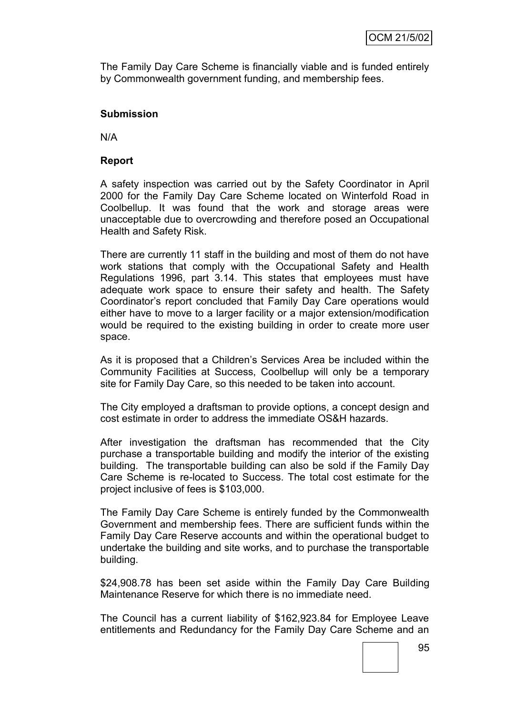The Family Day Care Scheme is financially viable and is funded entirely by Commonwealth government funding, and membership fees.

#### **Submission**

N/A

#### **Report**

A safety inspection was carried out by the Safety Coordinator in April 2000 for the Family Day Care Scheme located on Winterfold Road in Coolbellup. It was found that the work and storage areas were unacceptable due to overcrowding and therefore posed an Occupational Health and Safety Risk.

There are currently 11 staff in the building and most of them do not have work stations that comply with the Occupational Safety and Health Regulations 1996, part 3.14. This states that employees must have adequate work space to ensure their safety and health. The Safety Coordinator"s report concluded that Family Day Care operations would either have to move to a larger facility or a major extension/modification would be required to the existing building in order to create more user space.

As it is proposed that a Children"s Services Area be included within the Community Facilities at Success, Coolbellup will only be a temporary site for Family Day Care, so this needed to be taken into account.

The City employed a draftsman to provide options, a concept design and cost estimate in order to address the immediate OS&H hazards.

After investigation the draftsman has recommended that the City purchase a transportable building and modify the interior of the existing building. The transportable building can also be sold if the Family Day Care Scheme is re-located to Success. The total cost estimate for the project inclusive of fees is \$103,000.

The Family Day Care Scheme is entirely funded by the Commonwealth Government and membership fees. There are sufficient funds within the Family Day Care Reserve accounts and within the operational budget to undertake the building and site works, and to purchase the transportable building.

\$24,908.78 has been set aside within the Family Day Care Building Maintenance Reserve for which there is no immediate need.

The Council has a current liability of \$162,923.84 for Employee Leave entitlements and Redundancy for the Family Day Care Scheme and an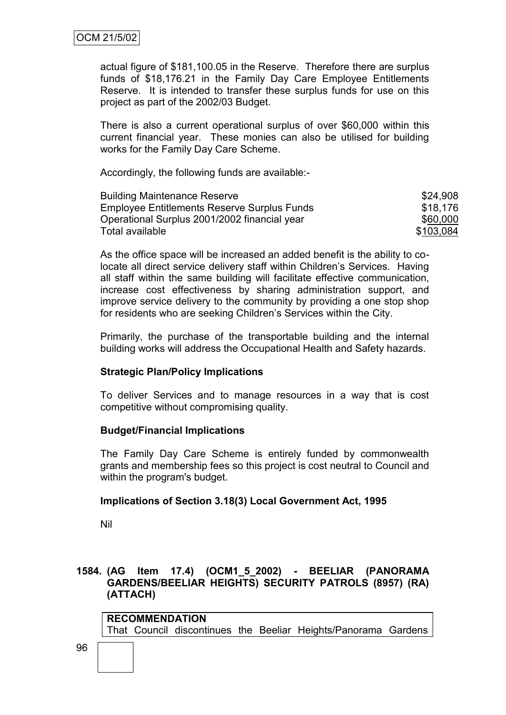actual figure of \$181,100.05 in the Reserve. Therefore there are surplus funds of \$18,176.21 in the Family Day Care Employee Entitlements Reserve. It is intended to transfer these surplus funds for use on this project as part of the 2002/03 Budget.

There is also a current operational surplus of over \$60,000 within this current financial year. These monies can also be utilised for building works for the Family Day Care Scheme.

Accordingly, the following funds are available:-

| <b>Building Maintenance Reserve</b>          | \$24,908  |
|----------------------------------------------|-----------|
| Employee Entitlements Reserve Surplus Funds  | \$18,176  |
| Operational Surplus 2001/2002 financial year | \$60,000  |
| Total available                              | \$103,084 |

As the office space will be increased an added benefit is the ability to colocate all direct service delivery staff within Children"s Services. Having all staff within the same building will facilitate effective communication, increase cost effectiveness by sharing administration support, and improve service delivery to the community by providing a one stop shop for residents who are seeking Children"s Services within the City.

Primarily, the purchase of the transportable building and the internal building works will address the Occupational Health and Safety hazards.

#### **Strategic Plan/Policy Implications**

To deliver Services and to manage resources in a way that is cost competitive without compromising quality.

#### **Budget/Financial Implications**

The Family Day Care Scheme is entirely funded by commonwealth grants and membership fees so this project is cost neutral to Council and within the program's budget.

#### **Implications of Section 3.18(3) Local Government Act, 1995**

Nil

### **1584. (AG Item 17.4) (OCM1\_5\_2002) - BEELIAR (PANORAMA GARDENS/BEELIAR HEIGHTS) SECURITY PATROLS (8957) (RA) (ATTACH)**

**RECOMMENDATION** That Council discontinues the Beeliar Heights/Panorama Gardens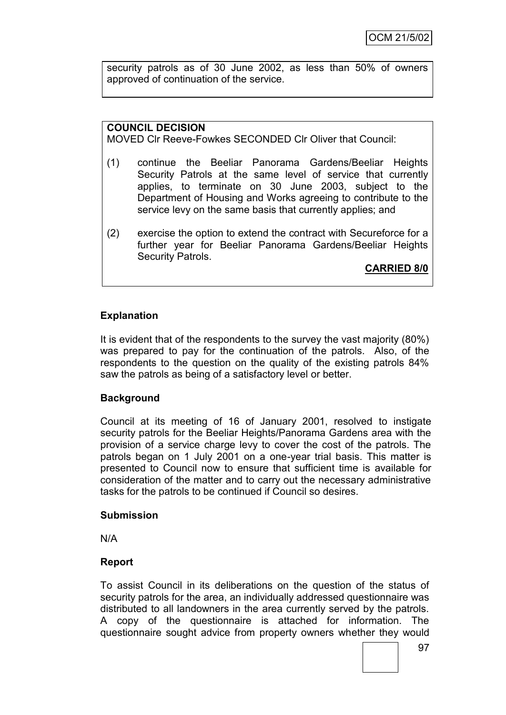security patrols as of 30 June 2002, as less than 50% of owners approved of continuation of the service.

### **COUNCIL DECISION**

MOVED Clr Reeve-Fowkes SECONDED Clr Oliver that Council:

- (1) continue the Beeliar Panorama Gardens/Beeliar Heights Security Patrols at the same level of service that currently applies, to terminate on 30 June 2003, subject to the Department of Housing and Works agreeing to contribute to the service levy on the same basis that currently applies; and
- (2) exercise the option to extend the contract with Secureforce for a further year for Beeliar Panorama Gardens/Beeliar Heights Security Patrols.

**CARRIED 8/0**

## **Explanation**

It is evident that of the respondents to the survey the vast majority (80%) was prepared to pay for the continuation of the patrols. Also, of the respondents to the question on the quality of the existing patrols 84% saw the patrols as being of a satisfactory level or better.

#### **Background**

Council at its meeting of 16 of January 2001, resolved to instigate security patrols for the Beeliar Heights/Panorama Gardens area with the provision of a service charge levy to cover the cost of the patrols. The patrols began on 1 July 2001 on a one-year trial basis. This matter is presented to Council now to ensure that sufficient time is available for consideration of the matter and to carry out the necessary administrative tasks for the patrols to be continued if Council so desires.

#### **Submission**

N/A

#### **Report**

To assist Council in its deliberations on the question of the status of security patrols for the area, an individually addressed questionnaire was distributed to all landowners in the area currently served by the patrols. A copy of the questionnaire is attached for information. The questionnaire sought advice from property owners whether they would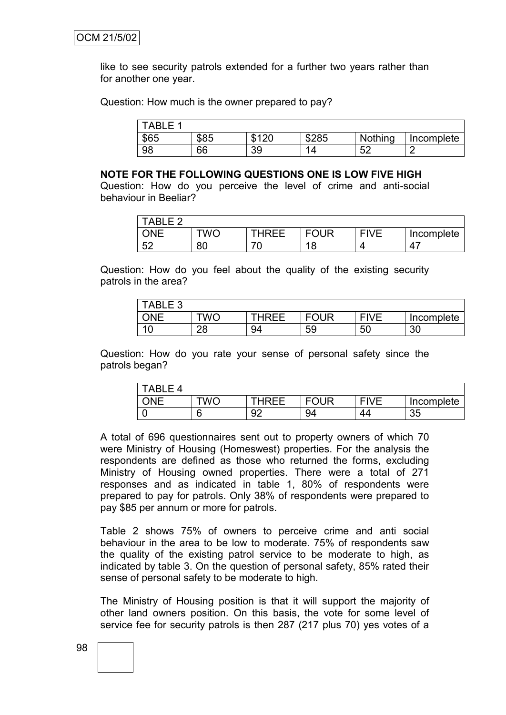like to see security patrols extended for a further two years rather than for another one year.

Question: How much is the owner prepared to pay?

| TABL<br><u>—</u> |      |       |                     |          |            |
|------------------|------|-------|---------------------|----------|------------|
| \$65             | \$85 | \$120 | \$285               | Nothing  | Incomplete |
| 98               | 66   | 39    | $\overline{ }$<br>Δ | 50<br>◡▵ | c          |

#### **NOTE FOR THE FOLLOWING QUESTIONS ONE IS LOW FIVE HIGH**

Question: How do you perceive the level of crime and anti-social behaviour in Beeliar?

| <b>TABLE 2</b> |     |       |             |      |            |
|----------------|-----|-------|-------------|------|------------|
| ONE            | TWO | THRFF | <b>FOUR</b> | FIVE | Incomplete |
| 52             | 80  | v     | 18          |      | $\Delta$   |

Question: How do you feel about the quality of the existing security patrols in the area?

| <b>TABLE 3</b> |         |       |             |             |            |
|----------------|---------|-------|-------------|-------------|------------|
| ONE            | .<br>WC | THRFF | <b>FOUR</b> | <b>FIVF</b> | Incomplete |
|                | 28      | 94    | 59          | 50          | 30         |

Question: How do you rate your sense of personal safety since the patrols began?

| ARI<br>൧ |    |           |             |             |            |
|----------|----|-----------|-------------|-------------|------------|
| ONE      | WC | THRFF     | <b>FOUR</b> | <b>EIVE</b> | Incomplete |
|          | ∽  | ۵î<br>JZ. | 94          | 44          | 35         |

A total of 696 questionnaires sent out to property owners of which 70 were Ministry of Housing (Homeswest) properties. For the analysis the respondents are defined as those who returned the forms, excluding Ministry of Housing owned properties. There were a total of 271 responses and as indicated in table 1, 80% of respondents were prepared to pay for patrols. Only 38% of respondents were prepared to pay \$85 per annum or more for patrols.

Table 2 shows 75% of owners to perceive crime and anti social behaviour in the area to be low to moderate. 75% of respondents saw the quality of the existing patrol service to be moderate to high, as indicated by table 3. On the question of personal safety, 85% rated their sense of personal safety to be moderate to high.

The Ministry of Housing position is that it will support the majority of other land owners position. On this basis, the vote for some level of service fee for security patrols is then 287 (217 plus 70) yes votes of a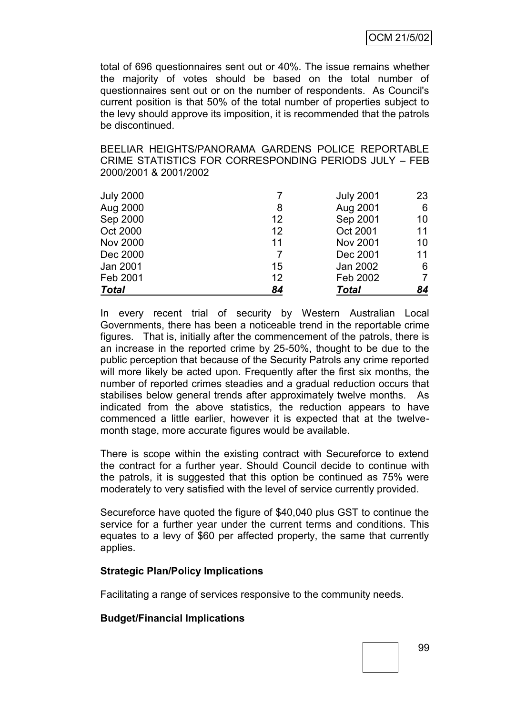total of 696 questionnaires sent out or 40%. The issue remains whether the majority of votes should be based on the total number of questionnaires sent out or on the number of respondents. As Council's current position is that 50% of the total number of properties subject to the levy should approve its imposition, it is recommended that the patrols be discontinued.

BEELIAR HEIGHTS/PANORAMA GARDENS POLICE REPORTABLE CRIME STATISTICS FOR CORRESPONDING PERIODS JULY – FEB 2000/2001 & 2001/2002

| <b>Total</b>     | 84 | Total            | 84 |
|------------------|----|------------------|----|
|                  |    |                  |    |
| Feb 2001         | 12 | Feb 2002         |    |
| Jan 2001         | 15 | Jan 2002         | 6  |
| Dec 2000         | 7  | Dec 2001         | 11 |
| <b>Nov 2000</b>  | 11 | <b>Nov 2001</b>  | 10 |
| Oct 2000         | 12 | Oct 2001         | 11 |
| Sep 2000         | 12 | Sep 2001         | 10 |
| Aug 2000         | 8  | Aug 2001         | 6  |
| <b>July 2000</b> |    | <b>July 2001</b> | 23 |
|                  |    |                  |    |

In every recent trial of security by Western Australian Local Governments, there has been a noticeable trend in the reportable crime figures. That is, initially after the commencement of the patrols, there is an increase in the reported crime by 25-50%, thought to be due to the public perception that because of the Security Patrols any crime reported will more likely be acted upon. Frequently after the first six months, the number of reported crimes steadies and a gradual reduction occurs that stabilises below general trends after approximately twelve months. As indicated from the above statistics, the reduction appears to have commenced a little earlier, however it is expected that at the twelvemonth stage, more accurate figures would be available.

There is scope within the existing contract with Secureforce to extend the contract for a further year. Should Council decide to continue with the patrols, it is suggested that this option be continued as 75% were moderately to very satisfied with the level of service currently provided.

Secureforce have quoted the figure of \$40,040 plus GST to continue the service for a further year under the current terms and conditions. This equates to a levy of \$60 per affected property, the same that currently applies.

#### **Strategic Plan/Policy Implications**

Facilitating a range of services responsive to the community needs.

#### **Budget/Financial Implications**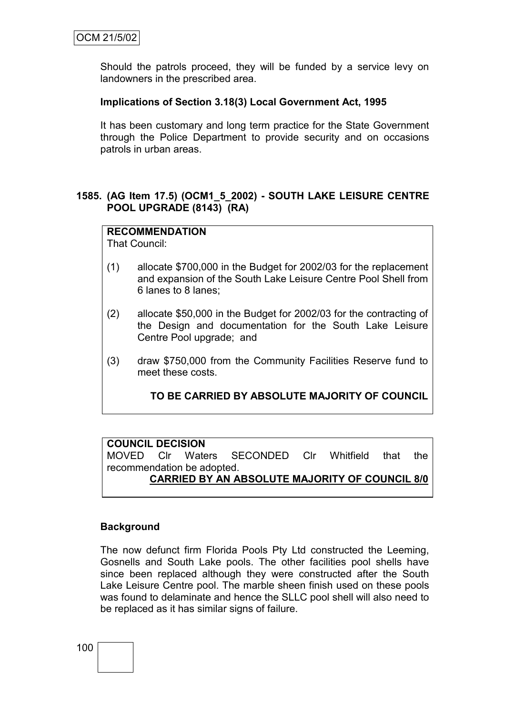Should the patrols proceed, they will be funded by a service levy on landowners in the prescribed area.

### **Implications of Section 3.18(3) Local Government Act, 1995**

It has been customary and long term practice for the State Government through the Police Department to provide security and on occasions patrols in urban areas.

### **1585. (AG Item 17.5) (OCM1\_5\_2002) - SOUTH LAKE LEISURE CENTRE POOL UPGRADE (8143) (RA)**

## **RECOMMENDATION**

That Council:

- (1) allocate \$700,000 in the Budget for 2002/03 for the replacement and expansion of the South Lake Leisure Centre Pool Shell from 6 lanes to 8 lanes;
- (2) allocate \$50,000 in the Budget for 2002/03 for the contracting of the Design and documentation for the South Lake Leisure Centre Pool upgrade; and
- (3) draw \$750,000 from the Community Facilities Reserve fund to meet these costs.

# **TO BE CARRIED BY ABSOLUTE MAJORITY OF COUNCIL**

#### **COUNCIL DECISION**

MOVED Clr Waters SECONDED Clr Whitfield that the recommendation be adopted. **CARRIED BY AN ABSOLUTE MAJORITY OF COUNCIL 8/0**

#### **Background**

The now defunct firm Florida Pools Pty Ltd constructed the Leeming, Gosnells and South Lake pools. The other facilities pool shells have since been replaced although they were constructed after the South Lake Leisure Centre pool. The marble sheen finish used on these pools was found to delaminate and hence the SLLC pool shell will also need to be replaced as it has similar signs of failure.

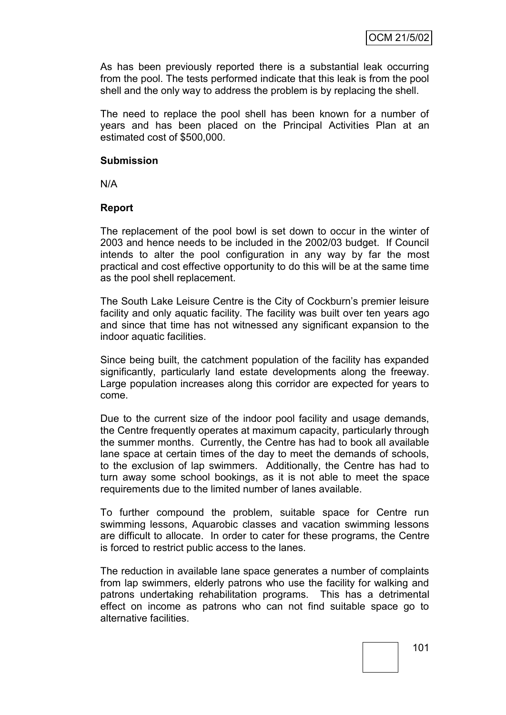As has been previously reported there is a substantial leak occurring from the pool. The tests performed indicate that this leak is from the pool shell and the only way to address the problem is by replacing the shell.

The need to replace the pool shell has been known for a number of years and has been placed on the Principal Activities Plan at an estimated cost of \$500,000.

#### **Submission**

N/A

#### **Report**

The replacement of the pool bowl is set down to occur in the winter of 2003 and hence needs to be included in the 2002/03 budget. If Council intends to alter the pool configuration in any way by far the most practical and cost effective opportunity to do this will be at the same time as the pool shell replacement.

The South Lake Leisure Centre is the City of Cockburn's premier leisure facility and only aquatic facility. The facility was built over ten years ago and since that time has not witnessed any significant expansion to the indoor aquatic facilities.

Since being built, the catchment population of the facility has expanded significantly, particularly land estate developments along the freeway. Large population increases along this corridor are expected for years to come.

Due to the current size of the indoor pool facility and usage demands, the Centre frequently operates at maximum capacity, particularly through the summer months. Currently, the Centre has had to book all available lane space at certain times of the day to meet the demands of schools, to the exclusion of lap swimmers. Additionally, the Centre has had to turn away some school bookings, as it is not able to meet the space requirements due to the limited number of lanes available.

To further compound the problem, suitable space for Centre run swimming lessons, Aquarobic classes and vacation swimming lessons are difficult to allocate. In order to cater for these programs, the Centre is forced to restrict public access to the lanes.

The reduction in available lane space generates a number of complaints from lap swimmers, elderly patrons who use the facility for walking and patrons undertaking rehabilitation programs. This has a detrimental effect on income as patrons who can not find suitable space go to alternative facilities.

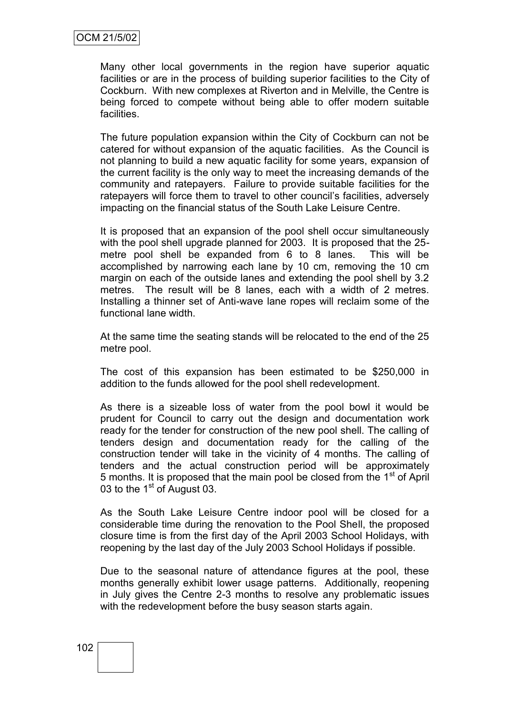Many other local governments in the region have superior aquatic facilities or are in the process of building superior facilities to the City of Cockburn. With new complexes at Riverton and in Melville, the Centre is being forced to compete without being able to offer modern suitable facilities.

The future population expansion within the City of Cockburn can not be catered for without expansion of the aquatic facilities. As the Council is not planning to build a new aquatic facility for some years, expansion of the current facility is the only way to meet the increasing demands of the community and ratepayers. Failure to provide suitable facilities for the ratepayers will force them to travel to other council's facilities, adversely impacting on the financial status of the South Lake Leisure Centre.

It is proposed that an expansion of the pool shell occur simultaneously with the pool shell upgrade planned for 2003. It is proposed that the 25metre pool shell be expanded from 6 to 8 lanes. This will be accomplished by narrowing each lane by 10 cm, removing the 10 cm margin on each of the outside lanes and extending the pool shell by 3.2 metres. The result will be 8 lanes, each with a width of 2 metres. Installing a thinner set of Anti-wave lane ropes will reclaim some of the functional lane width.

At the same time the seating stands will be relocated to the end of the 25 metre pool.

The cost of this expansion has been estimated to be \$250,000 in addition to the funds allowed for the pool shell redevelopment.

As there is a sizeable loss of water from the pool bowl it would be prudent for Council to carry out the design and documentation work ready for the tender for construction of the new pool shell. The calling of tenders design and documentation ready for the calling of the construction tender will take in the vicinity of 4 months. The calling of tenders and the actual construction period will be approximately 5 months. It is proposed that the main pool be closed from the 1<sup>st</sup> of April 03 to the 1<sup>st</sup> of August 03.

As the South Lake Leisure Centre indoor pool will be closed for a considerable time during the renovation to the Pool Shell, the proposed closure time is from the first day of the April 2003 School Holidays, with reopening by the last day of the July 2003 School Holidays if possible.

Due to the seasonal nature of attendance figures at the pool, these months generally exhibit lower usage patterns. Additionally, reopening in July gives the Centre 2-3 months to resolve any problematic issues with the redevelopment before the busy season starts again.

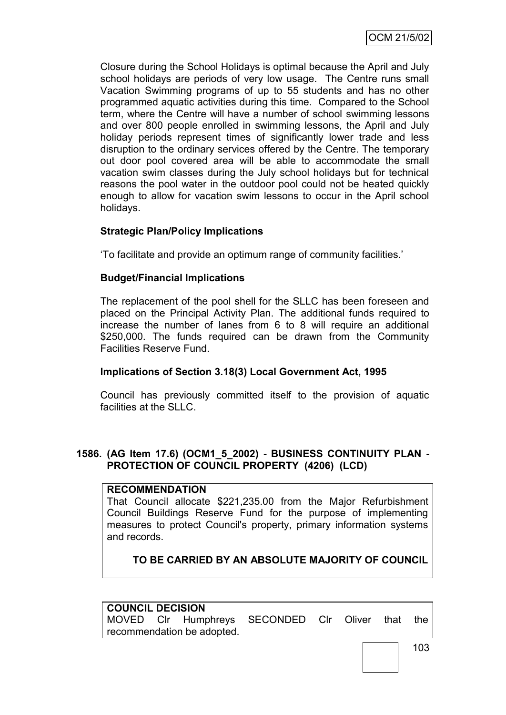Closure during the School Holidays is optimal because the April and July school holidays are periods of very low usage. The Centre runs small Vacation Swimming programs of up to 55 students and has no other programmed aquatic activities during this time. Compared to the School term, where the Centre will have a number of school swimming lessons and over 800 people enrolled in swimming lessons, the April and July holiday periods represent times of significantly lower trade and less disruption to the ordinary services offered by the Centre. The temporary out door pool covered area will be able to accommodate the small vacation swim classes during the July school holidays but for technical reasons the pool water in the outdoor pool could not be heated quickly enough to allow for vacation swim lessons to occur in the April school holidays.

## **Strategic Plan/Policy Implications**

"To facilitate and provide an optimum range of community facilities."

#### **Budget/Financial Implications**

The replacement of the pool shell for the SLLC has been foreseen and placed on the Principal Activity Plan. The additional funds required to increase the number of lanes from 6 to 8 will require an additional \$250,000. The funds required can be drawn from the Community Facilities Reserve Fund.

#### **Implications of Section 3.18(3) Local Government Act, 1995**

Council has previously committed itself to the provision of aquatic facilities at the SLLC.

## **1586. (AG Item 17.6) (OCM1\_5\_2002) - BUSINESS CONTINUITY PLAN - PROTECTION OF COUNCIL PROPERTY (4206) (LCD)**

#### **RECOMMENDATION**

That Council allocate \$221,235.00 from the Major Refurbishment Council Buildings Reserve Fund for the purpose of implementing measures to protect Council's property, primary information systems and records.

# **TO BE CARRIED BY AN ABSOLUTE MAJORITY OF COUNCIL**

| <b>COUNCIL DECISION</b> |  |                            |                                                  |  |  |  |  |  |
|-------------------------|--|----------------------------|--------------------------------------------------|--|--|--|--|--|
|                         |  |                            | MOVED CIr Humphreys SECONDED CIr Oliver that the |  |  |  |  |  |
|                         |  | recommendation be adopted. |                                                  |  |  |  |  |  |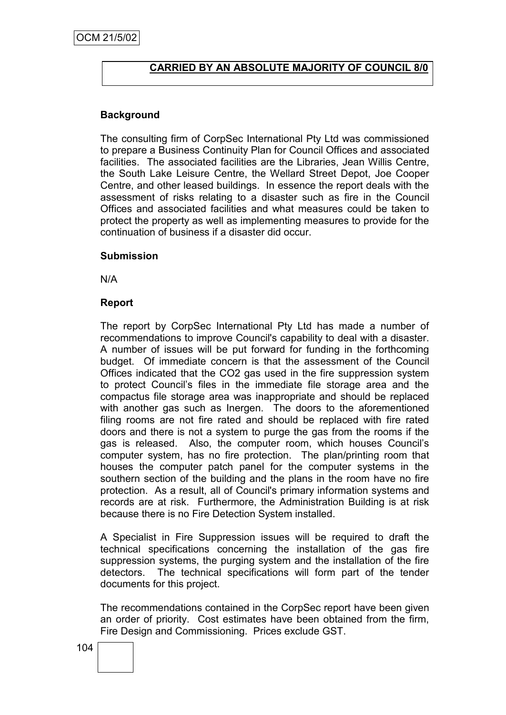## **CARRIED BY AN ABSOLUTE MAJORITY OF COUNCIL 8/0**

# **Background**

The consulting firm of CorpSec International Pty Ltd was commissioned to prepare a Business Continuity Plan for Council Offices and associated facilities. The associated facilities are the Libraries, Jean Willis Centre, the South Lake Leisure Centre, the Wellard Street Depot, Joe Cooper Centre, and other leased buildings. In essence the report deals with the assessment of risks relating to a disaster such as fire in the Council Offices and associated facilities and what measures could be taken to protect the property as well as implementing measures to provide for the continuation of business if a disaster did occur.

#### **Submission**

N/A

#### **Report**

The report by CorpSec International Pty Ltd has made a number of recommendations to improve Council's capability to deal with a disaster. A number of issues will be put forward for funding in the forthcoming budget. Of immediate concern is that the assessment of the Council Offices indicated that the CO2 gas used in the fire suppression system to protect Council"s files in the immediate file storage area and the compactus file storage area was inappropriate and should be replaced with another gas such as Inergen. The doors to the aforementioned filing rooms are not fire rated and should be replaced with fire rated doors and there is not a system to purge the gas from the rooms if the gas is released. Also, the computer room, which houses Council"s computer system, has no fire protection. The plan/printing room that houses the computer patch panel for the computer systems in the southern section of the building and the plans in the room have no fire protection. As a result, all of Council's primary information systems and records are at risk. Furthermore, the Administration Building is at risk because there is no Fire Detection System installed.

A Specialist in Fire Suppression issues will be required to draft the technical specifications concerning the installation of the gas fire suppression systems, the purging system and the installation of the fire detectors. The technical specifications will form part of the tender documents for this project.

The recommendations contained in the CorpSec report have been given an order of priority. Cost estimates have been obtained from the firm, Fire Design and Commissioning. Prices exclude GST.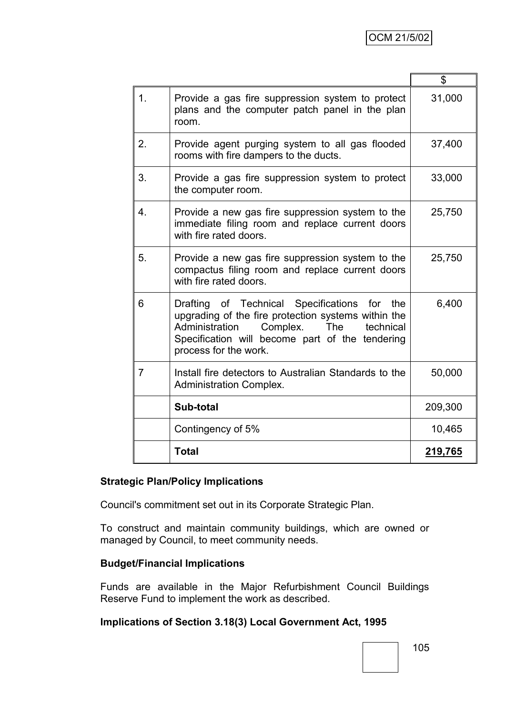|                  |                                                                                                                                                                                                                                | \$      |
|------------------|--------------------------------------------------------------------------------------------------------------------------------------------------------------------------------------------------------------------------------|---------|
| 1 <sub>1</sub>   | Provide a gas fire suppression system to protect<br>plans and the computer patch panel in the plan<br>room.                                                                                                                    | 31,000  |
| 2.               | Provide agent purging system to all gas flooded<br>rooms with fire dampers to the ducts.                                                                                                                                       | 37,400  |
| 3.               | Provide a gas fire suppression system to protect<br>the computer room.                                                                                                                                                         | 33,000  |
| $\overline{4}$ . | Provide a new gas fire suppression system to the<br>immediate filing room and replace current doors<br>with fire rated doors.                                                                                                  | 25,750  |
| 5.               | Provide a new gas fire suppression system to the<br>compactus filing room and replace current doors<br>with fire rated doors.                                                                                                  | 25,750  |
| 6                | Drafting of Technical Specifications for the<br>upgrading of the fire protection systems within the<br>Administration<br>Complex.<br>The technical<br>Specification will become part of the tendering<br>process for the work. | 6,400   |
| 7                | Install fire detectors to Australian Standards to the<br><b>Administration Complex.</b>                                                                                                                                        | 50,000  |
|                  | Sub-total                                                                                                                                                                                                                      | 209,300 |
|                  | Contingency of 5%                                                                                                                                                                                                              | 10,465  |
|                  | <b>Total</b>                                                                                                                                                                                                                   | 219,765 |

## **Strategic Plan/Policy Implications**

Council's commitment set out in its Corporate Strategic Plan.

To construct and maintain community buildings, which are owned or managed by Council, to meet community needs.

## **Budget/Financial Implications**

Funds are available in the Major Refurbishment Council Buildings Reserve Fund to implement the work as described.

#### **Implications of Section 3.18(3) Local Government Act, 1995**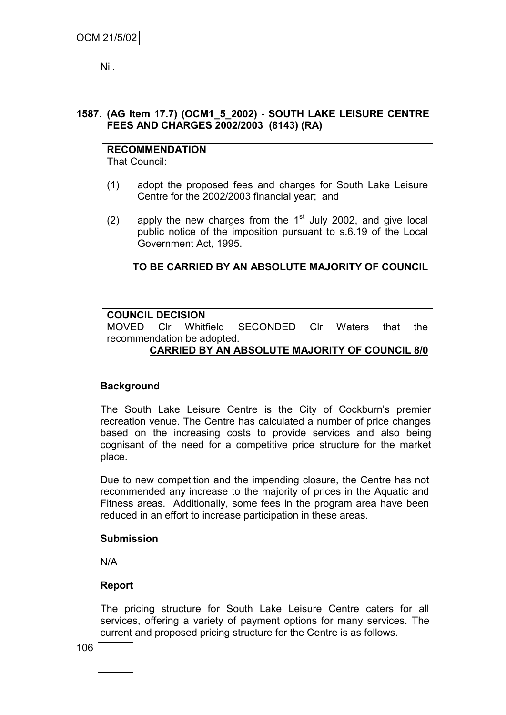Nil.

## **1587. (AG Item 17.7) (OCM1\_5\_2002) - SOUTH LAKE LEISURE CENTRE FEES AND CHARGES 2002/2003 (8143) (RA)**

**RECOMMENDATION** That Council:

- (1) adopt the proposed fees and charges for South Lake Leisure Centre for the 2002/2003 financial year; and
- (2) apply the new charges from the  $1<sup>st</sup>$  July 2002, and give local public notice of the imposition pursuant to s.6.19 of the Local Government Act, 1995.

**TO BE CARRIED BY AN ABSOLUTE MAJORITY OF COUNCIL**

## **COUNCIL DECISION**

MOVED Clr Whitfield SECONDED Clr Waters that the recommendation be adopted.

## **CARRIED BY AN ABSOLUTE MAJORITY OF COUNCIL 8/0**

#### **Background**

The South Lake Leisure Centre is the City of Cockburn's premier recreation venue. The Centre has calculated a number of price changes based on the increasing costs to provide services and also being cognisant of the need for a competitive price structure for the market place.

Due to new competition and the impending closure, the Centre has not recommended any increase to the majority of prices in the Aquatic and Fitness areas. Additionally, some fees in the program area have been reduced in an effort to increase participation in these areas.

#### **Submission**

N/A

#### **Report**

The pricing structure for South Lake Leisure Centre caters for all services, offering a variety of payment options for many services. The current and proposed pricing structure for the Centre is as follows.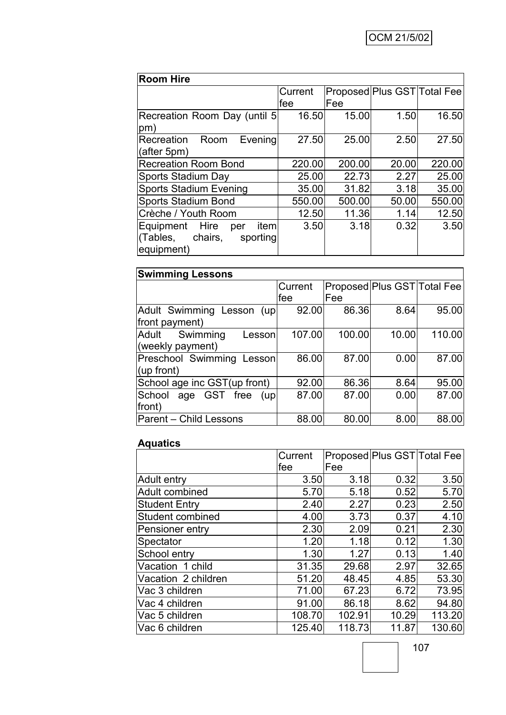| <b>Room Hire</b>                                                               |         |                             |       |        |  |
|--------------------------------------------------------------------------------|---------|-----------------------------|-------|--------|--|
|                                                                                | Current | Proposed Plus GST Total Fee |       |        |  |
|                                                                                | lfee    | Fee                         |       |        |  |
| Recreation Room Day (until 5)<br>pm)                                           | 16.50   | 15.00                       | 1.50  | 16.50  |  |
| Recreation<br>Room<br>Evening<br>(after 5pm)                                   | 27.50   | 25.00                       | 2.50  | 27.50  |  |
| <b>Recreation Room Bond</b>                                                    | 220.00  | 200.00                      | 20.00 | 220.00 |  |
| Sports Stadium Day                                                             | 25.00   | 22.73                       | 2.27  | 25.00  |  |
| <b>Sports Stadium Evening</b>                                                  | 35.00   | 31.82                       | 3.18  | 35.00  |  |
| <b>Sports Stadium Bond</b>                                                     | 550.00  | 500.00                      | 50.00 | 550.00 |  |
| Crèche / Youth Room                                                            | 12.50   | 11.36                       | 1.14  | 12.50  |  |
| Equipment Hire<br>item<br>per<br>chairs,<br>(Tables,<br>sporting<br>equipment) | 3.50    | 3.18                        | 0.32  | 3.50   |  |

| <b>Swimming Lessons</b>        |         |                             |       |        |  |
|--------------------------------|---------|-----------------------------|-------|--------|--|
|                                | Current | Proposed Plus GST Total Fee |       |        |  |
|                                | lfee    | lFee                        |       |        |  |
| Adult Swimming Lesson<br>(up)  | 92.00   | 86.36                       | 8.64  | 95.00  |  |
| front payment)                 |         |                             |       |        |  |
| Swimming<br>Adult<br>Lesson    | 107.00  | 100.00                      | 10.00 | 110.00 |  |
| (weekly payment)               |         |                             |       |        |  |
| Preschool Swimming Lesson      | 86.00   | 87.00                       | 0.00  | 87.00  |  |
| (up front)                     |         |                             |       |        |  |
| School age inc GST(up front)   | 92.00   | 86.36                       | 8.64  | 95.00  |  |
| age GST free<br>School<br>(up) | 87.00   | 87.00                       | 0.00  | 87.00  |  |
| front)                         |         |                             |       |        |  |
| <b>Parent - Child Lessons</b>  | 88.00   | 80.00                       | 8.00  | 88.00  |  |

## **Aquatics**

|                      | Current | Proposed Plus GST Total Fee |       |        |
|----------------------|---------|-----------------------------|-------|--------|
|                      | lfee    | Fee                         |       |        |
| Adult entry          | 3.50    | 3.18                        | 0.32  | 3.50   |
| Adult combined       | 5.70    | 5.18                        | 0.52  | 5.70   |
| <b>Student Entry</b> | 2.40    | 2.27                        | 0.23  | 2.50   |
| Student combined     | 4.00    | 3.73                        | 0.37  | 4.10   |
| Pensioner entry      | 2.30    | 2.09                        | 0.21  | 2.30   |
| Spectator            | 1.20    | 1.18                        | 0.12  | 1.30   |
| School entry         | 1.30    | 1.27                        | 0.13  | 1.40   |
| Vacation 1 child     | 31.35   | 29.68                       | 2.97  | 32.65  |
| Vacation 2 children  | 51.20   | 48.45                       | 4.85  | 53.30  |
| Vac 3 children       | 71.00   | 67.23                       | 6.72  | 73.95  |
| Vac 4 children       | 91.00   | 86.18                       | 8.62  | 94.80  |
| Vac 5 children       | 108.70  | 102.91                      | 10.29 | 113.20 |
| Vac 6 children       | 125.40  | 118.73                      | 11.87 | 130.60 |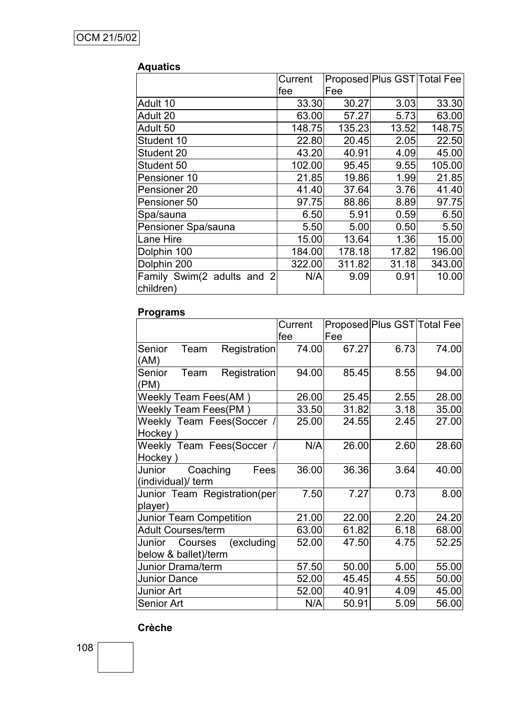|                                         | Current |        | Proposed Plus GST Total Fee |        |
|-----------------------------------------|---------|--------|-----------------------------|--------|
|                                         | lfee    | Fee    |                             |        |
| Adult 10                                | 33.30   | 30.27  | 3.03                        | 33.30  |
| Adult 20                                | 63.00   | 57.27  | 5.73                        | 63.00  |
| Adult 50                                | 148.75  | 135.23 | 13.52                       | 148.75 |
| Student 10                              | 22.80   | 20.45  | 2.05                        | 22.50  |
| Student 20                              | 43.20   | 40.91  | 4.09                        | 45.00  |
| Student 50                              | 102.00  | 95.45  | 9.55                        | 105.00 |
| Pensioner 10                            | 21.85   | 19.86  | 1.99                        | 21.85  |
| Pensioner 20                            | 41.40   | 37.64  | 3.76                        | 41.40  |
| Pensioner 50                            | 97.75   | 88.86  | 8.89                        | 97.75  |
| Spa/sauna                               | 6.50    | 5.91   | 0.59                        | 6.50   |
| Pensioner Spa/sauna                     | 5.50    | 5.00   | 0.50                        | 5.50   |
| Lane Hire                               | 15.00   | 13.64  | 1.36                        | 15.00  |
| Dolphin 100                             | 184.00  | 178.18 | 17.82                       | 196.00 |
| Dolphin 200                             | 322.00  | 311.82 | 31.18                       | 343.00 |
| Family Swim(2 adults and 2<br>children) | N/A     | 9.09   | 0.91                        | 10.00  |

#### **Aquatics**

## **Programs**

|                                                         | Current |       |      | Proposed Plus GST Total Fee |
|---------------------------------------------------------|---------|-------|------|-----------------------------|
|                                                         | fee     | Fee   |      |                             |
| Senior<br>Registration<br>Team<br>(AM)                  | 74.00   | 67.27 | 6.73 | 74.00                       |
| Registration<br>Senior<br>Team<br>(PM)                  | 94.00   | 85.45 | 8.55 | 94.00                       |
| Weekly Team Fees(AM)                                    | 26.00   | 25.45 | 2.55 | 28.00                       |
| <b>Weekly Team Fees(PM)</b>                             | 33.50   | 31.82 | 3.18 | 35.00                       |
| Weekly Team Fees(Soccer /<br>Hockey)                    | 25.00   | 24.55 | 2.45 | 27.00                       |
| Weekly Team Fees(Soccer /<br>Hockey)                    | N/A     | 26.00 | 2.60 | 28.60                       |
| Junior<br>Coaching<br>Fees<br>(individual)/ term        | 36.00   | 36.36 | 3.64 | 40.00                       |
| Junior Team Registration(per<br>player)                 | 7.50    | 7.27  | 0.73 | 8.00                        |
| <b>Junior Team Competition</b>                          | 21.00   | 22.00 | 2.20 | 24.20                       |
| <b>Adult Courses/term</b>                               | 63.00   | 61.82 | 6.18 | 68.00                       |
| (excluding<br>Junior<br>Courses<br>below & ballet)/term | 52.00   | 47.50 | 4.75 | 52.25                       |
| Junior Drama/term                                       | 57.50   | 50.00 | 5.00 | 55.00                       |
| <b>Junior Dance</b>                                     | 52.00   | 45.45 | 4.55 | 50.00                       |
| Junior Art                                              | 52.00   | 40.91 | 4.09 | 45.00                       |
| Senior Art                                              | N/A     | 50.91 | 5.09 | 56.00                       |

#### **Crèche**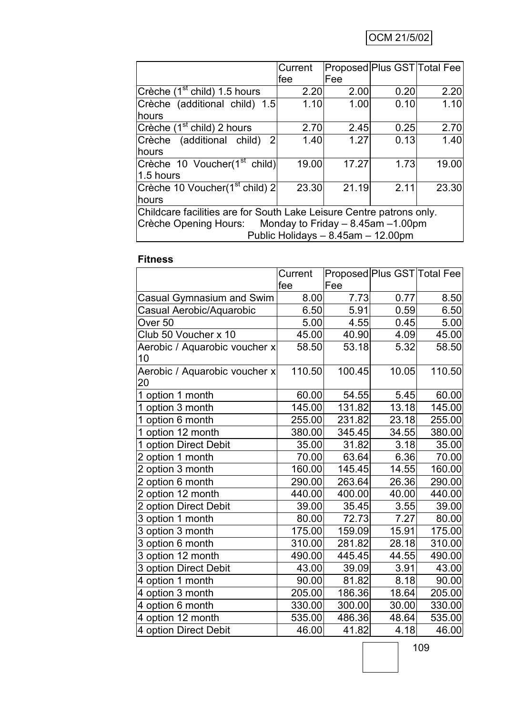# OCM 21/5/02

|                                                                      | Current | Proposed Plus GST Total Fee |      |       |  |
|----------------------------------------------------------------------|---------|-----------------------------|------|-------|--|
|                                                                      | fee     | lFee                        |      |       |  |
| Crèche (1 <sup>st</sup> child) 1.5 hours                             | 2.20    | 2.00                        | 0.20 | 2.20  |  |
| Crèche (additional child) 1.5                                        | 1.10    | 1.00                        | 0.10 | 1.10  |  |
| hours                                                                |         |                             |      |       |  |
| Crèche (1 <sup>st</sup> child) 2 hours                               | 2.70    | 2.45                        | 0.25 | 2.70  |  |
| Crèche (additional child) 2                                          | 1.40    | 1.27                        | 0.13 | 1.40  |  |
| hours                                                                |         |                             |      |       |  |
| Crèche 10 Voucher(1 <sup>st</sup> child)                             | 19.00   | 17.27                       | 1.73 | 19.00 |  |
| 1.5 hours                                                            |         |                             |      |       |  |
| Crèche 10 Voucher(1 <sup>st</sup> child) 2                           | 23.30   | 21.19                       | 2.11 | 23.30 |  |
| hours                                                                |         |                             |      |       |  |
| Childcare facilities are for South Lake Leisure Centre patrons only. |         |                             |      |       |  |
| Crèche Opening Hours: Monday to Friday – 8.45am – 1.00pm             |         |                             |      |       |  |
| Public Holidays - 8.45am - 12.00pm                                   |         |                             |      |       |  |

# **Fitness**

|                                     | Current |        |       | Proposed Plus GST Total Fee |
|-------------------------------------|---------|--------|-------|-----------------------------|
|                                     | fee     | Fee    |       |                             |
| Casual Gymnasium and Swim           | 8.00    | 7.73   | 0.77  | 8.50                        |
| Casual Aerobic/Aquarobic            | 6.50    | 5.91   | 0.59  | 6.50                        |
| Over <sub>50</sub>                  | 5.00    | 4.55   | 0.45  | 5.00                        |
| Club 50 Voucher x 10                | 45.00   | 40.90  | 4.09  | 45.00                       |
| Aerobic / Aquarobic voucher x<br>10 | 58.50   | 53.18  | 5.32  | 58.50                       |
| Aerobic / Aquarobic voucher x<br>20 | 110.50  | 100.45 | 10.05 | 110.50                      |
| 1 option 1 month                    | 60.00   | 54.55  | 5.45  | 60.00                       |
| 1 option 3 month                    | 145.00  | 131.82 | 13.18 | 145.00                      |
| 1 option 6 month                    | 255.00  | 231.82 | 23.18 | 255.00                      |
| 1 option 12 month                   | 380.00  | 345.45 | 34.55 | 380.00                      |
| 1 option Direct Debit               | 35.00   | 31.82  | 3.18  | 35.00                       |
| 2 option 1 month                    | 70.00   | 63.64  | 6.36  | 70.00                       |
| 2 option 3 month                    | 160.00  | 145.45 | 14.55 | 160.00                      |
| 2 option 6 month                    | 290.00  | 263.64 | 26.36 | 290.00                      |
| 2 option 12 month                   | 440.00  | 400.00 | 40.00 | 440.00                      |
| 2 option Direct Debit               | 39.00   | 35.45  | 3.55  | 39.00                       |
| 3 option 1 month                    | 80.00   | 72.73  | 7.27  | 80.00                       |
| 3 option 3 month                    | 175.00  | 159.09 | 15.91 | 175.00                      |
| 3 option 6 month                    | 310.00  | 281.82 | 28.18 | 310.00                      |
| 3 option 12 month                   | 490.00  | 445.45 | 44.55 | 490.00                      |
| 3 option Direct Debit               | 43.00   | 39.09  | 3.91  | 43.00                       |
| 4 option 1 month                    | 90.00   | 81.82  | 8.18  | 90.00                       |
| 4 option 3 month                    | 205.00  | 186.36 | 18.64 | 205.00                      |
| 4 option 6 month                    | 330.00  | 300.00 | 30.00 | 330.00                      |
| 4 option 12 month                   | 535.00  | 486.36 | 48.64 | 535.00                      |
| 4 option Direct Debit               | 46.00   | 41.82  | 4.18  | 46.00                       |

109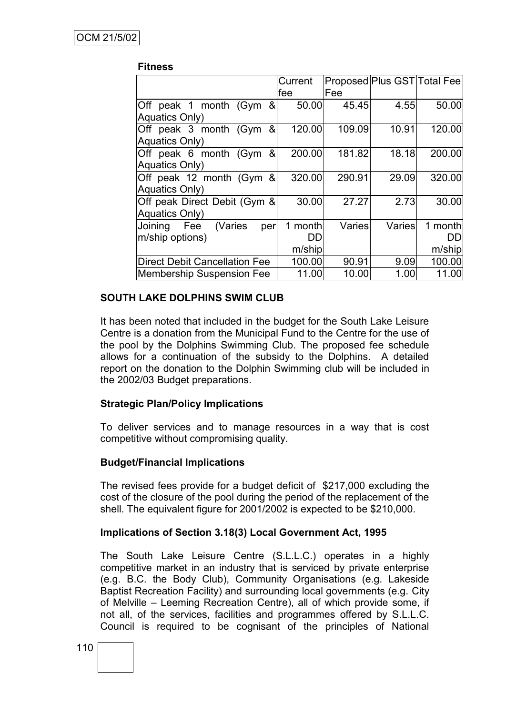#### **Fitness**

|                                      | Current | Proposed Plus GST Total Fee |        |         |
|--------------------------------------|---------|-----------------------------|--------|---------|
|                                      | fee     | Fee                         |        |         |
| Off peak 1 month (Gym &              | 50.00   | 45.45                       | 4.55   | 50.00   |
| Aquatics Only)                       |         |                             |        |         |
| Off peak 3 month (Gym<br>&           | 120.00  | 109.09                      | 10.91  | 120.00  |
| Aquatics Only)                       |         |                             |        |         |
| Off peak 6 month (Gym<br>&           | 200.00  | 181.82                      | 18.18  | 200.00  |
| <b>Aquatics Only)</b>                |         |                             |        |         |
| Off peak 12 month (Gym &             | 320.00  | 290.91                      | 29.09  | 320.00  |
| <b>Aquatics Only)</b>                |         |                             |        |         |
| Off peak Direct Debit (Gym &         | 30.00   | 27.27                       | 2.73   | 30.00   |
| <b>Aquatics Only)</b>                |         |                             |        |         |
| Joining Fee (Varies<br>per           | 1 month | Varies                      | Varies | 1 month |
| m/ship options)                      | DD      |                             |        | DD      |
|                                      | m/ship  |                             |        | m/ship  |
| <b>Direct Debit Cancellation Fee</b> | 100.00  | 90.91                       | 9.09   | 100.00  |
| <b>Membership Suspension Fee</b>     | 11.00   | 10.00                       | 1.00   | 11.00   |

## **SOUTH LAKE DOLPHINS SWIM CLUB**

It has been noted that included in the budget for the South Lake Leisure Centre is a donation from the Municipal Fund to the Centre for the use of the pool by the Dolphins Swimming Club. The proposed fee schedule allows for a continuation of the subsidy to the Dolphins. A detailed report on the donation to the Dolphin Swimming club will be included in the 2002/03 Budget preparations.

#### **Strategic Plan/Policy Implications**

To deliver services and to manage resources in a way that is cost competitive without compromising quality.

#### **Budget/Financial Implications**

The revised fees provide for a budget deficit of \$217,000 excluding the cost of the closure of the pool during the period of the replacement of the shell. The equivalent figure for 2001/2002 is expected to be \$210,000.

#### **Implications of Section 3.18(3) Local Government Act, 1995**

The South Lake Leisure Centre (S.L.L.C.) operates in a highly competitive market in an industry that is serviced by private enterprise (e.g. B.C. the Body Club), Community Organisations (e.g. Lakeside Baptist Recreation Facility) and surrounding local governments (e.g. City of Melville – Leeming Recreation Centre), all of which provide some, if not all, of the services, facilities and programmes offered by S.L.L.C. Council is required to be cognisant of the principles of National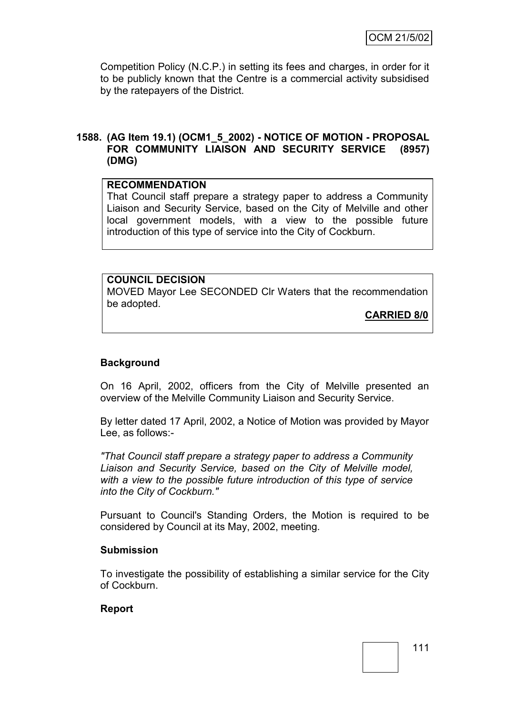Competition Policy (N.C.P.) in setting its fees and charges, in order for it to be publicly known that the Centre is a commercial activity subsidised by the ratepayers of the District.

#### **1588. (AG Item 19.1) (OCM1\_5\_2002) - NOTICE OF MOTION - PROPOSAL FOR COMMUNITY LIAISON AND SECURITY SERVICE (8957) (DMG)**

#### **RECOMMENDATION**

That Council staff prepare a strategy paper to address a Community Liaison and Security Service, based on the City of Melville and other local government models, with a view to the possible future introduction of this type of service into the City of Cockburn.

#### **COUNCIL DECISION**

MOVED Mayor Lee SECONDED Clr Waters that the recommendation be adopted.

**CARRIED 8/0**

#### **Background**

On 16 April, 2002, officers from the City of Melville presented an overview of the Melville Community Liaison and Security Service.

By letter dated 17 April, 2002, a Notice of Motion was provided by Mayor Lee, as follows:-

*"That Council staff prepare a strategy paper to address a Community Liaison and Security Service, based on the City of Melville model, with a view to the possible future introduction of this type of service into the City of Cockburn."*

Pursuant to Council's Standing Orders, the Motion is required to be considered by Council at its May, 2002, meeting.

#### **Submission**

To investigate the possibility of establishing a similar service for the City of Cockburn.

#### **Report**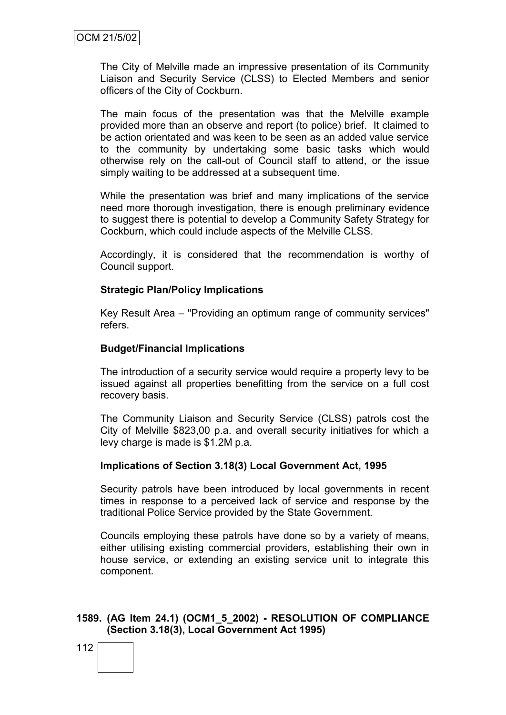The City of Melville made an impressive presentation of its Community Liaison and Security Service (CLSS) to Elected Members and senior officers of the City of Cockburn.

The main focus of the presentation was that the Melville example provided more than an observe and report (to police) brief. It claimed to be action orientated and was keen to be seen as an added value service to the community by undertaking some basic tasks which would otherwise rely on the call-out of Council staff to attend, or the issue simply waiting to be addressed at a subsequent time.

While the presentation was brief and many implications of the service need more thorough investigation, there is enough preliminary evidence to suggest there is potential to develop a Community Safety Strategy for Cockburn, which could include aspects of the Melville CLSS.

Accordingly, it is considered that the recommendation is worthy of Council support.

#### **Strategic Plan/Policy Implications**

Key Result Area – "Providing an optimum range of community services" refers.

#### **Budget/Financial Implications**

The introduction of a security service would require a property levy to be issued against all properties benefitting from the service on a full cost recovery basis.

The Community Liaison and Security Service (CLSS) patrols cost the City of Melville \$823,00 p.a. and overall security initiatives for which a levy charge is made is \$1.2M p.a.

#### **Implications of Section 3.18(3) Local Government Act, 1995**

Security patrols have been introduced by local governments in recent times in response to a perceived lack of service and response by the traditional Police Service provided by the State Government.

Councils employing these patrols have done so by a variety of means, either utilising existing commercial providers, establishing their own in house service, or extending an existing service unit to integrate this component.

## **1589. (AG Item 24.1) (OCM1\_5\_2002) - RESOLUTION OF COMPLIANCE (Section 3.18(3), Local Government Act 1995)**